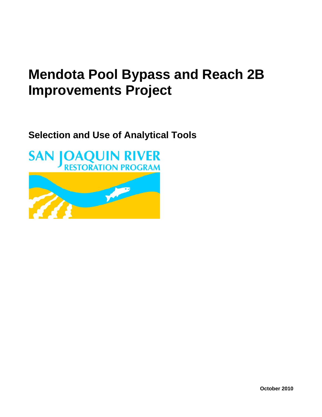# **Mendota Pool Bypass and Reach 2B Improvements Project**

## **Selection and Use of Analytical Tools**

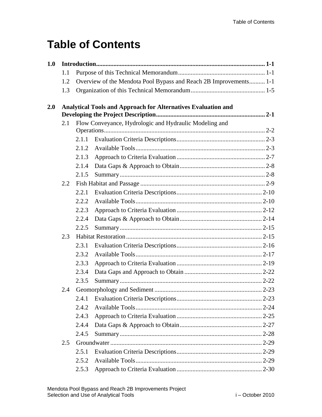## **Table of Contents**

| 1.0 |     |       |                                                                      |  |
|-----|-----|-------|----------------------------------------------------------------------|--|
|     | 1.1 |       |                                                                      |  |
|     | 1.2 |       | Overview of the Mendota Pool Bypass and Reach 2B Improvements 1-1    |  |
|     | 1.3 |       |                                                                      |  |
|     |     |       |                                                                      |  |
| 2.0 |     |       | <b>Analytical Tools and Approach for Alternatives Evaluation and</b> |  |
|     |     |       |                                                                      |  |
|     | 2.1 |       | Flow Conveyance, Hydrologic and Hydraulic Modeling and               |  |
|     |     | 2.1.1 |                                                                      |  |
|     |     | 2.1.2 |                                                                      |  |
|     |     | 2.1.3 |                                                                      |  |
|     |     | 2.1.4 |                                                                      |  |
|     |     | 2.1.5 |                                                                      |  |
|     | 2.2 |       |                                                                      |  |
|     |     | 2.2.1 |                                                                      |  |
|     |     | 2.2.2 |                                                                      |  |
|     |     | 2.2.3 |                                                                      |  |
|     |     | 2.2.4 |                                                                      |  |
|     |     | 2.2.5 |                                                                      |  |
|     | 2.3 |       |                                                                      |  |
|     |     | 2.3.1 |                                                                      |  |
|     |     | 2.3.2 |                                                                      |  |
|     |     | 2.3.3 |                                                                      |  |
|     |     | 2.3.4 |                                                                      |  |
|     |     | 2.3.5 |                                                                      |  |
|     | 2.4 |       |                                                                      |  |
|     |     | 2.4.1 |                                                                      |  |
|     |     | 2.4.2 |                                                                      |  |
|     |     | 2.4.3 |                                                                      |  |
|     |     | 2.4.4 |                                                                      |  |
|     |     | 2.4.5 |                                                                      |  |
|     | 2.5 |       |                                                                      |  |
|     |     | 2.5.1 |                                                                      |  |
|     |     | 2.5.2 |                                                                      |  |
|     |     | 2.5.3 |                                                                      |  |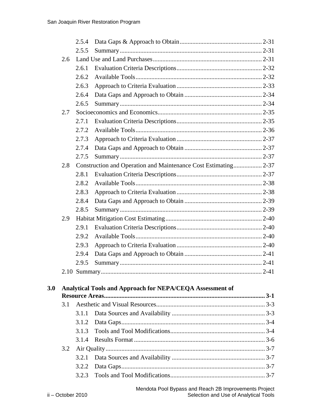|     |     | 2.5.4 |                                                           |  |
|-----|-----|-------|-----------------------------------------------------------|--|
|     |     | 2.5.5 |                                                           |  |
|     | 2.6 |       |                                                           |  |
|     |     | 2.6.1 |                                                           |  |
|     |     | 2.6.2 |                                                           |  |
|     |     | 2.6.3 |                                                           |  |
|     |     | 2.6.4 |                                                           |  |
|     |     | 2.6.5 |                                                           |  |
|     | 2.7 |       |                                                           |  |
|     |     | 2.7.1 |                                                           |  |
|     |     | 2.7.2 |                                                           |  |
|     |     | 2.7.3 |                                                           |  |
|     |     | 2.7.4 |                                                           |  |
|     |     | 2.7.5 |                                                           |  |
|     | 2.8 |       |                                                           |  |
|     |     | 2.8.1 |                                                           |  |
|     |     | 2.8.2 |                                                           |  |
|     |     | 2.8.3 |                                                           |  |
|     |     | 2.8.4 |                                                           |  |
|     |     | 2.8.5 |                                                           |  |
|     | 2.9 |       |                                                           |  |
|     |     | 2.9.1 |                                                           |  |
|     |     | 2.9.2 |                                                           |  |
|     |     | 2.9.3 |                                                           |  |
|     |     | 2.9.4 |                                                           |  |
|     |     | 2.9.5 |                                                           |  |
|     |     |       |                                                           |  |
|     |     |       |                                                           |  |
| 3.0 |     |       | Analytical Tools and Approach for NEPA/CEQA Assessment of |  |
|     |     |       |                                                           |  |
|     | 3.1 |       |                                                           |  |
|     |     | 3.1.1 |                                                           |  |
|     |     | 3.1.2 |                                                           |  |
|     |     | 3.1.3 |                                                           |  |
|     |     | 3.1.4 |                                                           |  |
|     | 3.2 |       |                                                           |  |
|     |     | 3.2.1 |                                                           |  |
|     |     | 3.2.2 |                                                           |  |
|     |     | 3.2.3 |                                                           |  |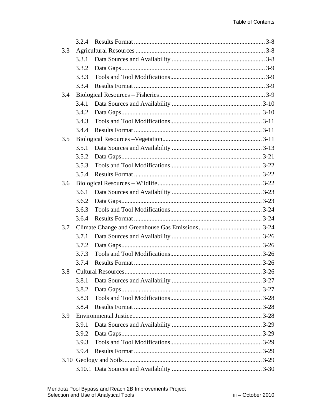|     | 3.2.4 |  |
|-----|-------|--|
| 3.3 |       |  |
|     | 3.3.1 |  |
|     | 3.3.2 |  |
|     | 3.3.3 |  |
|     | 3.3.4 |  |
| 3.4 |       |  |
|     | 3.4.1 |  |
|     | 3.4.2 |  |
|     | 3.4.3 |  |
|     | 3.4.4 |  |
| 3.5 |       |  |
|     | 3.5.1 |  |
|     | 3.5.2 |  |
|     | 3.5.3 |  |
|     | 3.5.4 |  |
| 3.6 |       |  |
|     | 3.6.1 |  |
|     | 3.6.2 |  |
|     | 3.6.3 |  |
|     | 3.6.4 |  |
| 3.7 |       |  |
|     | 3.7.1 |  |
|     | 3.7.2 |  |
|     | 3.7.3 |  |
|     | 3.7.4 |  |
| 3.8 |       |  |
|     | 3.8.1 |  |
|     | 3.8.2 |  |
|     | 3.8.3 |  |
|     | 3.8.4 |  |
| 3.9 |       |  |
|     | 3.9.1 |  |
|     | 3.9.2 |  |
|     | 3.9.3 |  |
|     | 3.9.4 |  |
|     |       |  |
|     |       |  |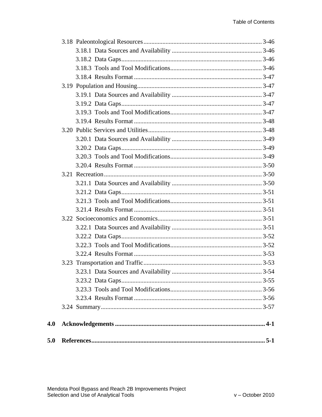| 5.0 |  |  |
|-----|--|--|
| 4.0 |  |  |
|     |  |  |
|     |  |  |
|     |  |  |
|     |  |  |
|     |  |  |
|     |  |  |
|     |  |  |
|     |  |  |
|     |  |  |
|     |  |  |
|     |  |  |
|     |  |  |
|     |  |  |
|     |  |  |
|     |  |  |
|     |  |  |
|     |  |  |
|     |  |  |
|     |  |  |
|     |  |  |
|     |  |  |
|     |  |  |
|     |  |  |
|     |  |  |
|     |  |  |
|     |  |  |
|     |  |  |
|     |  |  |
|     |  |  |
|     |  |  |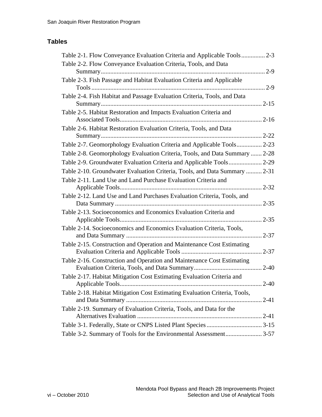#### **Tables**

| Table 2-1. Flow Conveyance Evaluation Criteria and Applicable Tools 2-3     |           |
|-----------------------------------------------------------------------------|-----------|
| Table 2-2. Flow Conveyance Evaluation Criteria, Tools, and Data             |           |
|                                                                             |           |
| Table 2-3. Fish Passage and Habitat Evaluation Criteria and Applicable      |           |
|                                                                             |           |
| Table 2-4. Fish Habitat and Passage Evaluation Criteria, Tools, and Data    |           |
|                                                                             |           |
| Table 2-5. Habitat Restoration and Impacts Evaluation Criteria and          |           |
| Table 2-6. Habitat Restoration Evaluation Criteria, Tools, and Data         |           |
|                                                                             |           |
| Table 2-7. Geomorphology Evaluation Criteria and Applicable Tools 2-23      |           |
| Table 2-8. Geomorphology Evaluation Criteria, Tools, and Data Summary  2-28 |           |
|                                                                             |           |
| Table 2-10. Groundwater Evaluation Criteria, Tools, and Data Summary  2-31  |           |
| Table 2-11. Land Use and Land Purchase Evaluation Criteria and              |           |
|                                                                             | $.2 - 32$ |
| Table 2-12. Land Use and Land Purchases Evaluation Criteria, Tools, and     |           |
|                                                                             |           |
| Table 2-13. Socioeconomics and Economics Evaluation Criteria and            |           |
| Table 2-14. Socioeconomics and Economics Evaluation Criteria, Tools,        |           |
|                                                                             |           |
| Table 2-15. Construction and Operation and Maintenance Cost Estimating      |           |
| Table 2-16. Construction and Operation and Maintenance Cost Estimating      |           |
| Table 2-17. Habitat Mitigation Cost Estimating Evaluation Criteria and      |           |
|                                                                             |           |
| Table 2-18. Habitat Mitigation Cost Estimating Evaluation Criteria, Tools,  |           |
| Table 2-19. Summary of Evaluation Criteria, Tools, and Data for the         |           |
|                                                                             |           |
|                                                                             |           |
| Table 3-2. Summary of Tools for the Environmental Assessment3-57            |           |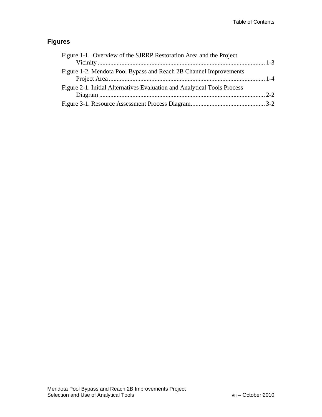### **Figures**

| Figure 1-1. Overview of the SJRRP Restoration Area and the Project       |  |
|--------------------------------------------------------------------------|--|
|                                                                          |  |
| Figure 1-2. Mendota Pool Bypass and Reach 2B Channel Improvements        |  |
| Figure 2-1. Initial Alternatives Evaluation and Analytical Tools Process |  |
|                                                                          |  |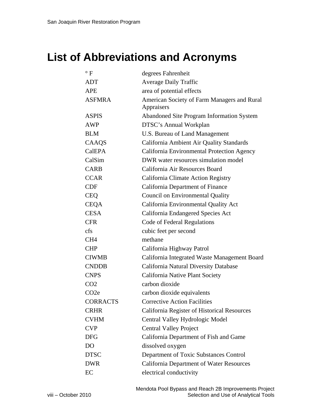## **List of Abbreviations and Acronyms**

| $\circ$ F        | degrees Fahrenheit                                        |
|------------------|-----------------------------------------------------------|
| <b>ADT</b>       | <b>Average Daily Traffic</b>                              |
| <b>APE</b>       | area of potential effects                                 |
| <b>ASFMRA</b>    | American Society of Farm Managers and Rural<br>Appraisers |
| <b>ASPIS</b>     | <b>Abandoned Site Program Information System</b>          |
| <b>AWP</b>       | DTSC's Annual Workplan                                    |
| <b>BLM</b>       | <b>U.S. Bureau of Land Management</b>                     |
| CAAQS            | California Ambient Air Quality Standards                  |
| <b>CalEPA</b>    | California Environmental Protection Agency                |
| CalSim           | DWR water resources simulation model                      |
| <b>CARB</b>      | California Air Resources Board                            |
| <b>CCAR</b>      | California Climate Action Registry                        |
| <b>CDF</b>       | California Department of Finance                          |
| <b>CEQ</b>       | <b>Council on Environmental Quality</b>                   |
| <b>CEQA</b>      | California Environmental Quality Act                      |
| <b>CESA</b>      | California Endangered Species Act                         |
| <b>CFR</b>       | Code of Federal Regulations                               |
| cfs              | cubic feet per second                                     |
| CH <sub>4</sub>  | methane                                                   |
| <b>CHP</b>       | California Highway Patrol                                 |
| <b>CIWMB</b>     | California Integrated Waste Management Board              |
| <b>CNDDB</b>     | California Natural Diversity Database                     |
| <b>CNPS</b>      | California Native Plant Society                           |
| CO <sub>2</sub>  | carbon dioxide                                            |
| CO <sub>2e</sub> | carbon dioxide equivalents                                |
| <b>CORRACTS</b>  | <b>Corrective Action Facilities</b>                       |
| <b>CRHR</b>      | California Register of Historical Resources               |
| <b>CVHM</b>      | Central Valley Hydrologic Model                           |
| <b>CVP</b>       | <b>Central Valley Project</b>                             |
| <b>DFG</b>       | California Department of Fish and Game                    |
| D <sub>O</sub>   | dissolved oxygen                                          |
| <b>DTSC</b>      | Department of Toxic Substances Control                    |
| <b>DWR</b>       | California Department of Water Resources                  |
| EC               | electrical conductivity                                   |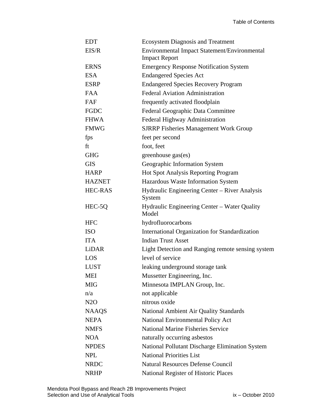| <b>EDT</b>     | <b>Ecosystem Diagnosis and Treatment</b>                             |
|----------------|----------------------------------------------------------------------|
| EIS/R          | Environmental Impact Statement/Environmental<br><b>Impact Report</b> |
| <b>ERNS</b>    | <b>Emergency Response Notification System</b>                        |
| <b>ESA</b>     | <b>Endangered Species Act</b>                                        |
| <b>ESRP</b>    | <b>Endangered Species Recovery Program</b>                           |
| <b>FAA</b>     | <b>Federal Aviation Administration</b>                               |
| FAF            | frequently activated floodplain                                      |
| <b>FGDC</b>    | Federal Geographic Data Committee                                    |
| <b>FHWA</b>    | Federal Highway Administration                                       |
| <b>FMWG</b>    | <b>SJRRP Fisheries Management Work Group</b>                         |
| fps            | feet per second                                                      |
| ft             | foot, feet                                                           |
| <b>GHG</b>     | greenhouse gas(es)                                                   |
| <b>GIS</b>     | Geographic Information System                                        |
| <b>HARP</b>    | Hot Spot Analysis Reporting Program                                  |
| <b>HAZNET</b>  | Hazardous Waste Information System                                   |
| <b>HEC-RAS</b> | Hydraulic Engineering Center – River Analysis<br>System              |
| HEC-5Q         | Hydraulic Engineering Center – Water Quality<br>Model                |
| <b>HFC</b>     | hydrofluorocarbons                                                   |
| <b>ISO</b>     | International Organization for Standardization                       |
| <b>ITA</b>     | <b>Indian Trust Asset</b>                                            |
| <b>LiDAR</b>   | Light Detection and Ranging remote sensing system                    |
| LOS            | level of service                                                     |
| <b>LUST</b>    | leaking underground storage tank                                     |
| <b>MEI</b>     | Mussetter Engineering, Inc.                                          |
| <b>MIG</b>     | Minnesota IMPLAN Group, Inc.                                         |
| n/a            | not applicable                                                       |
| N2O            | nitrous oxide                                                        |
| <b>NAAQS</b>   | National Ambient Air Quality Standards                               |
| <b>NEPA</b>    | National Environmental Policy Act                                    |
| <b>NMFS</b>    | <b>National Marine Fisheries Service</b>                             |
| <b>NOA</b>     | naturally occurring asbestos                                         |
| <b>NPDES</b>   | <b>National Pollutant Discharge Elimination System</b>               |
| <b>NPL</b>     | <b>National Priorities List</b>                                      |
| <b>NRDC</b>    | <b>Natural Resources Defense Council</b>                             |
| <b>NRHP</b>    | National Register of Historic Places                                 |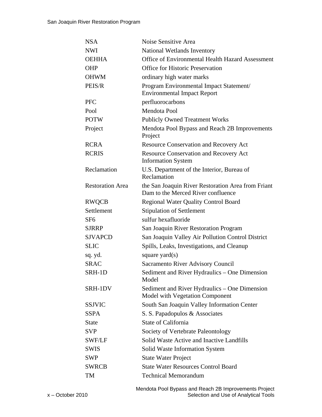| <b>NSA</b>              | Noise Sensitive Area                                                                     |
|-------------------------|------------------------------------------------------------------------------------------|
| <b>NWI</b>              | <b>National Wetlands Inventory</b>                                                       |
| <b>OEHHA</b>            | Office of Environmental Health Hazard Assessment                                         |
| <b>OHP</b>              | <b>Office for Historic Preservation</b>                                                  |
| <b>OHWM</b>             | ordinary high water marks                                                                |
| PEIS/R                  | Program Environmental Impact Statement/<br><b>Environmental Impact Report</b>            |
| <b>PFC</b>              | perfluorocarbons                                                                         |
| Pool                    | Mendota Pool                                                                             |
| <b>POTW</b>             | <b>Publicly Owned Treatment Works</b>                                                    |
| Project                 | Mendota Pool Bypass and Reach 2B Improvements<br>Project                                 |
| <b>RCRA</b>             | <b>Resource Conservation and Recovery Act</b>                                            |
| <b>RCRIS</b>            | <b>Resource Conservation and Recovery Act</b><br><b>Information System</b>               |
| Reclamation             | U.S. Department of the Interior, Bureau of<br>Reclamation                                |
| <b>Restoration Area</b> | the San Joaquin River Restoration Area from Friant<br>Dam to the Merced River confluence |
| <b>RWQCB</b>            | <b>Regional Water Quality Control Board</b>                                              |
| Settlement              | <b>Stipulation of Settlement</b>                                                         |
| SF6                     | sulfur hexafluoride                                                                      |
| <b>SJRRP</b>            | San Joaquin River Restoration Program                                                    |
| <b>SJVAPCD</b>          | San Joaquin Valley Air Pollution Control District                                        |
| <b>SLIC</b>             | Spills, Leaks, Investigations, and Cleanup                                               |
| sq. yd.                 | square $\text{yard}(s)$                                                                  |
| <b>SRAC</b>             | Sacramento River Advisory Council                                                        |
| SRH-1D                  | Sediment and River Hydraulics – One Dimension<br>Model                                   |
| SRH-1DV                 | Sediment and River Hydraulics – One Dimension<br>Model with Vegetation Component         |
| <b>SSJVIC</b>           | South San Joaquin Valley Information Center                                              |
| <b>SSPA</b>             | S. S. Papadopulos & Associates                                                           |
| <b>State</b>            | State of California                                                                      |
| <b>SVP</b>              | Society of Vertebrate Paleontology                                                       |
| <b>SWF/LF</b>           | Solid Waste Active and Inactive Landfills                                                |
| <b>SWIS</b>             | Solid Waste Information System                                                           |
| <b>SWP</b>              | <b>State Water Project</b>                                                               |
| <b>SWRCB</b>            | <b>State Water Resources Control Board</b>                                               |
| TM                      | <b>Technical Memorandum</b>                                                              |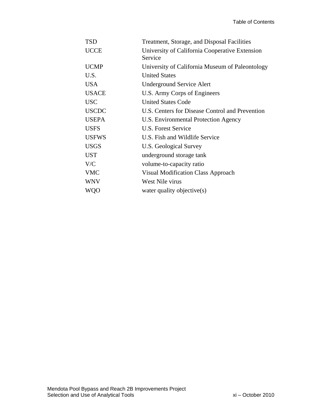| <b>TSD</b>   | Treatment, Storage, and Disposal Facilities               |
|--------------|-----------------------------------------------------------|
| <b>UCCE</b>  | University of California Cooperative Extension<br>Service |
| <b>UCMP</b>  | University of California Museum of Paleontology           |
| U.S.         | <b>United States</b>                                      |
| <b>USA</b>   | <b>Underground Service Alert</b>                          |
| <b>USACE</b> | U.S. Army Corps of Engineers                              |
| <b>USC</b>   | <b>United States Code</b>                                 |
| <b>USCDC</b> | U.S. Centers for Disease Control and Prevention           |
| <b>USEPA</b> | U.S. Environmental Protection Agency                      |
| <b>USFS</b>  | <b>U.S. Forest Service</b>                                |
| <b>USFWS</b> | U.S. Fish and Wildlife Service                            |
| <b>USGS</b>  | U.S. Geological Survey                                    |
| <b>UST</b>   | underground storage tank                                  |
| V/C          | volume-to-capacity ratio                                  |
| <b>VMC</b>   | <b>Visual Modification Class Approach</b>                 |
| <b>WNV</b>   | West Nile virus                                           |
| WQO          | water quality objective $(s)$                             |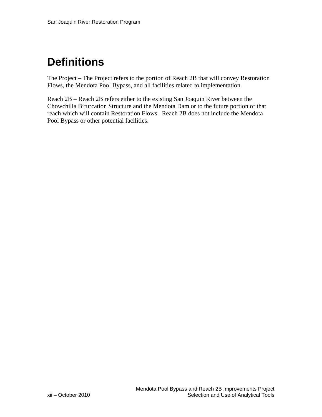## **Definitions**

The Project – The Project refers to the portion of Reach 2B that will convey Restoration Flows, the Mendota Pool Bypass, and all facilities related to implementation.

Reach 2B – Reach 2B refers either to the existing San Joaquin River between the Chowchilla Bifurcation Structure and the Mendota Dam or to the future portion of that reach which will contain Restoration Flows. Reach 2B does not include the Mendota Pool Bypass or other potential facilities.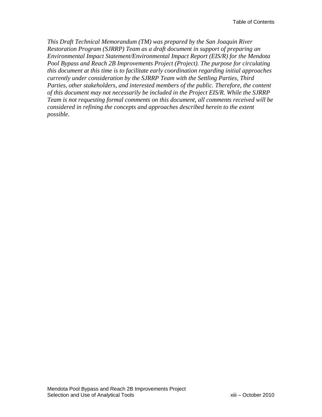*This Draft Technical Memorandum (TM) was prepared by the San Joaquin River Restoration Program (SJRRP) Team as a draft document in support of preparing an Environmental Impact Statement/Environmental Impact Report (EIS/R) for the Mendota Pool Bypass and Reach 2B Improvements Project (Project). The purpose for circulating this document at this time is to facilitate early coordination regarding initial approaches currently under consideration by the SJRRP Team with the Settling Parties, Third Parties, other stakeholders, and interested members of the public. Therefore, the content of this document may not necessarily be included in the Project EIS/R. While the SJRRP Team is not requesting formal comments on this document, all comments received will be considered in refining the concepts and approaches described herein to the extent possible.*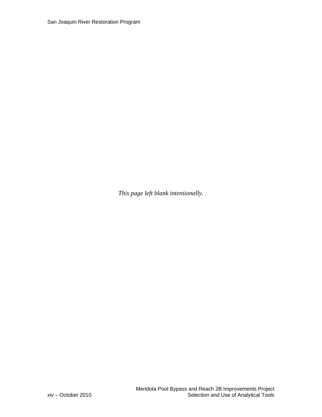*This page left blank intentionally.*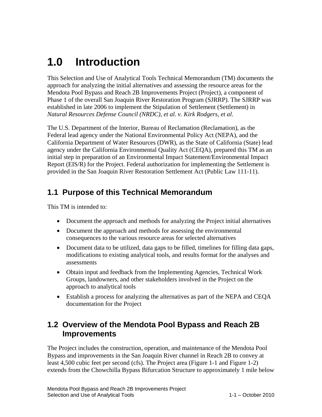## <span id="page-16-0"></span>**1.0 Introduction**

This Selection and Use of Analytical Tools Technical Memorandum (TM) documents the approach for analyzing the initial alternatives and assessing the resource areas for the Mendota Pool Bypass and Reach 2B Improvements Project (Project), a component of Phase 1 of the overall San Joaquin River Restoration Program (SJRRP). The SJRRP was established in late 2006 to implement the Stipulation of Settlement (Settlement) in *Natural Resources Defense Council (NRDC), et al. v. Kirk Rodgers, et al*.

The U.S. Department of the Interior, Bureau of Reclamation (Reclamation), as the Federal lead agency under the National Environmental Policy Act (NEPA), and the California Department of Water Resources (DWR), as the State of California (State) lead agency under the California Environmental Quality Act (CEQA), prepared this TM as an initial step in preparation of an Environmental Impact Statement/Environmental Impact Report (EIS/R) for the Project. Federal authorization for implementing the Settlement is provided in the San Joaquin River Restoration Settlement Act (Public Law 111-11).

### <span id="page-16-1"></span>**1.1 Purpose of this Technical Memorandum**

This TM is intended to:

- Document the approach and methods for analyzing the Project initial alternatives
- Document the approach and methods for assessing the environmental consequences to the various resource areas for selected alternatives
- Document data to be utilized, data gaps to be filled, timelines for filling data gaps, modifications to existing analytical tools, and results format for the analyses and assessments
- Obtain input and feedback from the Implementing Agencies, Technical Work Groups, landowners, and other stakeholders involved in the Project on the approach to analytical tools
- Establish a process for analyzing the alternatives as part of the NEPA and CEQA documentation for the Project

### <span id="page-16-2"></span>**1.2 Overview of the Mendota Pool Bypass and Reach 2B Improvements**

The Project includes the construction, operation, and maintenance of the Mendota Pool Bypass and improvements in the San Joaquin River channel in Reach 2B to convey at least 4,500 cubic feet per second (cfs). The Project area [\(Figure 1-1](#page-18-0) and [Figure 1-2\)](#page-19-0) extends from the Chowchilla Bypass Bifurcation Structure to approximately 1 mile below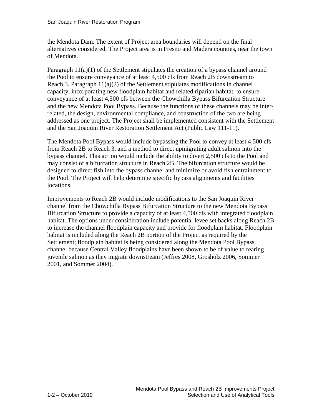the Mendota Dam. The extent of Project area boundaries will depend on the final alternatives considered. The Project area is in Fresno and Madera counties, near the town of Mendota.

Paragraph  $11(a)(1)$  of the Settlement stipulates the creation of a bypass channel around the Pool to ensure conveyance of at least 4,500 cfs from Reach 2B downstream to Reach 3. Paragraph 11(a)(2) of the Settlement stipulates modifications in channel capacity, incorporating new floodplain habitat and related riparian habitat, to ensure conveyance of at least 4,500 cfs between the Chowchilla Bypass Bifurcation Structure and the new Mendota Pool Bypass. Because the functions of these channels may be interrelated, the design, environmental compliance, and construction of the two are being addressed as one project. The Project shall be implemented consistent with the Settlement and the San Joaquin River Restoration Settlement Act (Public Law 111-11).

The Mendota Pool Bypass would include bypassing the Pool to convey at least 4,500 cfs from Reach 2B to Reach 3, and a method to direct upmigrating adult salmon into the bypass channel. This action would include the ability to divert 2,500 cfs to the Pool and may consist of a bifurcation structure in Reach 2B. The bifurcation structure would be designed to direct fish into the bypass channel and minimize or avoid fish entrainment to the Pool. The Project will help determine specific bypass alignments and facilities locations.

Improvements to Reach 2B would include modifications to the San Joaquin River channel from the Chowchilla Bypass Bifurcation Structure to the new Mendota Bypass Bifurcation Structure to provide a capacity of at least 4,500 cfs with integrated floodplain habitat. The options under consideration include potential levee set backs along Reach 2B to increase the channel floodplain capacity and provide for floodplain habitat. Floodplain habitat is included along the Reach 2B portion of the Project as required by the Settlement; floodplain habitat is being considered along the Mendota Pool Bypass channel because Central Valley floodplains have been shown to be of value to rearing juvenile salmon as they migrate downstream (Jeffres 2008, Grosholz 2006, Sommer 2001, and Sommer 2004).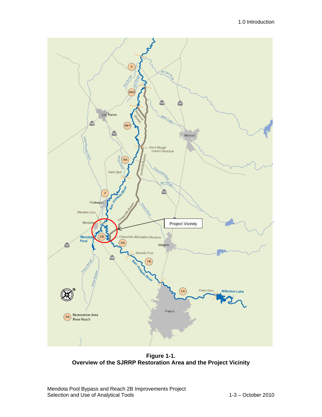

<span id="page-18-0"></span>**Figure 1-1. Overview of the SJRRP Restoration Area and the Project Vicinity** 

Mendota Pool Bypass and Reach 2B Improvements Project Selection and Use of Analytical Tools 1-3 – October 2010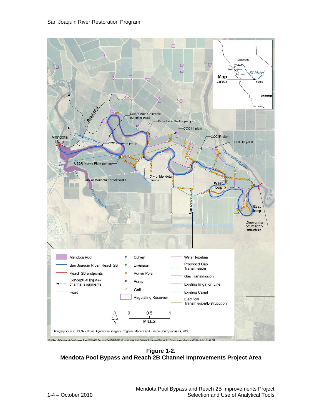

<span id="page-19-0"></span>**Figure 1-2. Mendota Pool Bypass and Reach 2B Channel Improvements Project Area**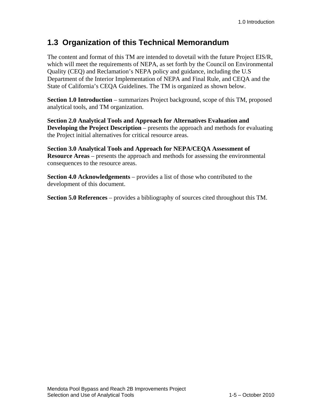### <span id="page-20-0"></span>**1.3 Organization of this Technical Memorandum**

The content and format of this TM are intended to dovetail with the future Project EIS/R, which will meet the requirements of NEPA, as set forth by the Council on Environmental Quality (CEQ) and Reclamation's NEPA policy and guidance, including the U.S Department of the Interior Implementation of NEPA and Final Rule, and CEQA and the State of California's CEQA Guidelines. The TM is organized as shown below.

**Section 1.0 Introduction** – summarizes Project background, scope of this TM, proposed analytical tools, and TM organization.

**Section [2.0 Analytical Tools and Approach for Alternatives Evaluation and](#page-22-0)  Developing the Project Description** – presents the approach and methods for evaluating the Project initial alternatives for critical resource areas.

**Section [3.0 Analytical Tools and Approach for NEPA/CEQA Assessment](#page-66-0) of [Resource Areas](#page-66-0)** – presents the approach and methods for assessing the environmental consequences to the resource areas.

**Section [4.0 Acknowledgements](#page-126-0)** – provides a list of those who contributed to the development of this document.

**Section [5.0 References](#page-128-0)** – provides a bibliography of sources cited throughout this TM.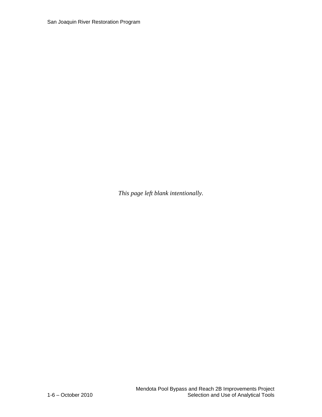*This page left blank intentionally.*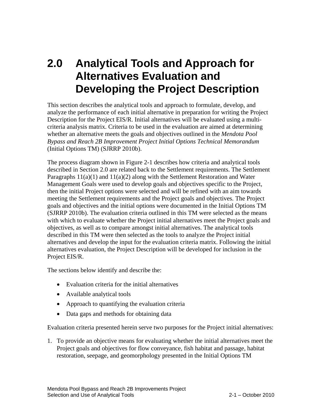## <span id="page-22-0"></span>**2.0 Analytical Tools and Approach for Alternatives Evaluation and Developing the Project Description**

This section describes the analytical tools and approach to formulate, develop, and analyze the performance of each initial alternative in preparation for writing the Project Description for the Project EIS/R. Initial alternatives will be evaluated using a multicriteria analysis matrix. Criteria to be used in the evaluation are aimed at determining whether an alternative meets the goals and objectives outlined in the *Mendota Pool Bypass and Reach 2B Improvement Project Initial Options Technical Memorandum* (Initial Options TM) (SJRRP 2010b).

The process diagram shown in [Figure 2-1](#page-23-1) describes how criteria and analytical tools described in Section [2.0](#page-22-0) are related back to the Settlement requirements. The Settlement Paragraphs  $11(a)(1)$  and  $11(a)(2)$  along with the Settlement Restoration and Water Management Goals were used to develop goals and objectives specific to the Project, then the initial Project options were selected and will be refined with an aim towards meeting the Settlement requirements and the Project goals and objectives. The Project goals and objectives and the initial options were documented in the Initial Options TM (SJRRP 2010b). The evaluation criteria outlined in this TM were selected as the means with which to evaluate whether the Project initial alternatives meet the Project goals and objectives, as well as to compare amongst initial alternatives. The analytical tools described in this TM were then selected as the tools to analyze the Project initial alternatives and develop the input for the evaluation criteria matrix. Following the initial alternatives evaluation, the Project Description will be developed for inclusion in the Project EIS/R.

The sections below identify and describe the:

- Evaluation criteria for the initial alternatives
- Available analytical tools
- Approach to quantifying the evaluation criteria
- Data gaps and methods for obtaining data

Evaluation criteria presented herein serve two purposes for the Project initial alternatives:

1. To provide an objective means for evaluating whether the initial alternatives meet the Project goals and objectives for flow conveyance, fish habitat and passage, habitat restoration, seepage, and geomorphology presented in the Initial Options TM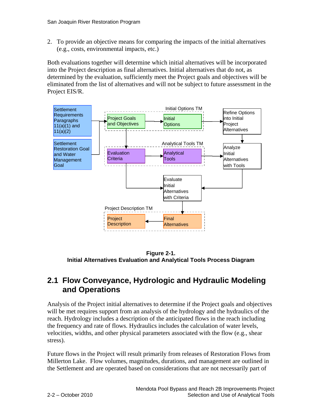2. To provide an objective means for comparing the impacts of the initial alternatives (e.g., costs, environmental impacts, etc.)

Both evaluations together will determine which initial alternatives will be incorporated into the Project description as final alternatives. Initial alternatives that do not, as determined by the evaluation, sufficiently meet the Project goals and objectives will be eliminated from the list of alternatives and will not be subject to future assessment in the Project EIS/R.



<span id="page-23-1"></span>**Figure 2-1. Initial Alternatives Evaluation and Analytical Tools Process Diagram** 

### <span id="page-23-0"></span>**2.1 Flow Conveyance, Hydrologic and Hydraulic Modeling and Operations**

Analysis of the Project initial alternatives to determine if the Project goals and objectives will be met requires support from an analysis of the hydrology and the hydraulics of the reach. Hydrology includes a description of the anticipated flows in the reach including the frequency and rate of flows. Hydraulics includes the calculation of water levels, velocities, widths, and other physical parameters associated with the flow (e.g., shear stress).

Future flows in the Project will result primarily from releases of Restoration Flows from Millerton Lake. Flow volumes, magnitudes, durations, and management are outlined in the Settlement and are operated based on considerations that are not necessarily part of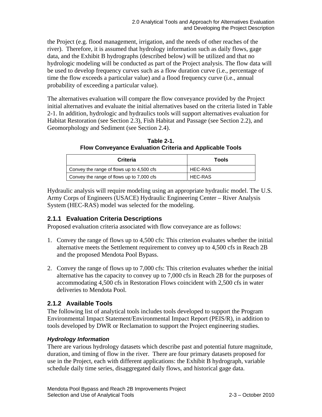the Project (e.g. flood management, irrigation, and the needs of other reaches of the river). Therefore, it is assumed that hydrology information such as daily flows, gage data, and the Exhibit B hydrographs (described below) will be utilized and that no hydrologic modeling will be conducted as part of the Project analysis. The flow data will be used to develop frequency curves such as a flow duration curve (i.e., percentage of time the flow exceeds a particular value) and a flood frequency curve (i.e., annual probability of exceeding a particular value).

The alternatives evaluation will compare the flow conveyance provided by the Project initial alternatives and evaluate the initial alternatives based on the criteria listed in [Table](#page-24-2)  [2-1.](#page-24-2) In addition, hydrologic and hydraulics tools will support alternatives evaluation for Habitat Restoration (see Section [2.3\)](#page-36-1), Fish Habitat and Passage (see Section [2.2\)](#page-30-0), and Geomorphology and Sediment (see Section [2.4\)](#page-44-0).

<span id="page-24-2"></span>**Table 2-1. Flow Conveyance Evaluation Criteria and Applicable Tools** 

| Criteria                                  | Tools   |
|-------------------------------------------|---------|
| Convey the range of flows up to 4,500 cfs | HEC-RAS |
| Convey the range of flows up to 7,000 cfs | HEC-RAS |

Hydraulic analysis will require modeling using an appropriate hydraulic model. The U.S. Army Corps of Engineers (USACE) Hydraulic Engineering Center – River Analysis System (HEC-RAS) model was selected for the modeling.

#### <span id="page-24-0"></span>**2.1.1 Evaluation Criteria Descriptions**

Proposed evaluation criteria associated with flow conveyance are as follows:

- 1. Convey the range of flows up to 4,500 cfs: This criterion evaluates whether the initial alternative meets the Settlement requirement to convey up to 4,500 cfs in Reach 2B and the proposed Mendota Pool Bypass.
- 2. Convey the range of flows up to 7,000 cfs: This criterion evaluates whether the initial alternative has the capacity to convey up to 7,000 cfs in Reach 2B for the purposes of accommodating 4,500 cfs in Restoration Flows coincident with 2,500 cfs in water deliveries to Mendota Pool.

#### **2.1.2 Available Tools**

<span id="page-24-1"></span>The following list of analytical tools includes tools developed to support the Program Environmental Impact Statement/Environmental Impact Report (PEIS/R), in addition to tools developed by DWR or Reclamation to support the Project engineering studies.

#### *Hydrology Information*

There are various hydrology datasets which describe past and potential future magnitude, duration, and timing of flow in the river. There are four primary datasets proposed for use in the Project, each with different applications: the Exhibit B hydrograph, variable schedule daily time series, disaggregated daily flows, and historical gage data.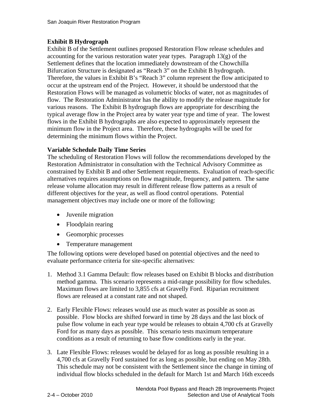#### **Exhibit B Hydrograph**

Exhibit B of the Settlement outlines proposed Restoration Flow release schedules and accounting for the various restoration water year types. Paragraph  $13(g)$  of the Settlement defines that the location immediately downstream of the Chowchilla Bifurcation Structure is designated as "Reach 3" on the Exhibit B hydrograph. Therefore, the values in Exhibit B's "Reach 3" column represent the flow anticipated to occur at the upstream end of the Project. However, it should be understood that the Restoration Flows will be managed as volumetric blocks of water, not as magnitudes of flow. The Restoration Administrator has the ability to modify the release magnitude for various reasons. The Exhibit B hydrograph flows are appropriate for describing the typical average flow in the Project area by water year type and time of year. The lowest flows in the Exhibit B hydrographs are also expected to approximately represent the minimum flow in the Project area. Therefore, these hydrographs will be used for determining the minimum flows within the Project.

#### **Variable Schedule Daily Time Series**

The scheduling of Restoration Flows will follow the recommendations developed by the Restoration Administrator in consultation with the Technical Advisory Committee as constrained by Exhibit B and other Settlement requirements. Evaluation of reach-specific alternatives requires assumptions on flow magnitude, frequency, and pattern. The same release volume allocation may result in different release flow patterns as a result of different objectives for the year, as well as flood control operations. Potential management objectives may include one or more of the following:

- Juvenile migration
- Floodplain rearing
- Geomorphic processes
- Temperature management

The following options were developed based on potential objectives and the need to evaluate performance criteria for site-specific alternatives:

- 1. Method 3.1 Gamma Default: flow releases based on Exhibit B blocks and distribution method gamma. This scenario represents a mid-range possibility for flow schedules. Maximum flows are limited to 3,855 cfs at Gravelly Ford. Riparian recruitment flows are released at a constant rate and not shaped.
- 2. Early Flexible Flows: releases would use as much water as possible as soon as possible. Flow blocks are shifted forward in time by 28 days and the last block of pulse flow volume in each year type would be releases to obtain 4,700 cfs at Gravelly Ford for as many days as possible. This scenario tests maximum temperature conditions as a result of returning to base flow conditions early in the year.
- 3. Late Flexible Flows: releases would be delayed for as long as possible resulting in a 4,700 cfs at Gravelly Ford sustained for as long as possible, but ending on May 28th. This schedule may not be consistent with the Settlement since the change in timing of individual flow blocks scheduled in the default for March 1st and March 16th exceeds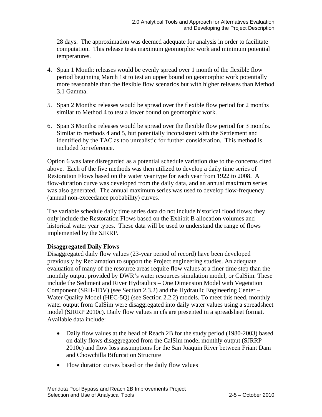28 days. The approximation was deemed adequate for analysis in order to facilitate computation. This release tests maximum geomorphic work and minimum potential temperatures.

- 4. Span 1 Month: releases would be evenly spread over 1 month of the flexible flow period beginning March 1st to test an upper bound on geomorphic work potentially more reasonable than the flexible flow scenarios but with higher releases than Method 3.1 Gamma.
- 5. Span 2 Months: releases would be spread over the flexible flow period for 2 months similar to Method 4 to test a lower bound on geomorphic work.
- 6. Span 3 Months: releases would be spread over the flexible flow period for 3 months. Similar to methods 4 and 5, but potentially inconsistent with the Settlement and identified by the TAC as too unrealistic for further consideration. This method is included for reference.

Option 6 was later disregarded as a potential schedule variation due to the concerns cited above. Each of the five methods was then utilized to develop a daily time series of Restoration Flows based on the water year type for each year from 1922 to 2008. A flow-duration curve was developed from the daily data, and an annual maximum series was also generated. The annual maximum series was used to develop flow-frequency (annual non-exceedance probability) curves.

The variable schedule daily time series data do not include historical flood flows; they only include the Restoration Flows based on the Exhibit B allocation volumes and historical water year types. These data will be used to understand the range of flows implemented by the SJRRP.

#### **Disaggregated Daily Flows**

Disaggregated daily flow values (23-year period of record) have been developed previously by Reclamation to support the Project engineering studies. An adequate evaluation of many of the resource areas require flow values at a finer time step than the monthly output provided by DWR's water resources simulation model, or CalSim. These include the Sediment and River Hydraulics – One Dimension Model with Vegetation Component (SRH-1DV) (see Section [2.3.2\)](#page-38-0) and the Hydraulic Engineering Center – Water Quality Model (HEC-5Q) (see Section [2.2.2\)](#page-31-1) models. To meet this need, monthly water output from CalSim were disaggregated into daily water values using a spreadsheet model (SJRRP 2010c). Daily flow values in cfs are presented in a spreadsheet format. Available data include:

- Daily flow values at the head of Reach 2B for the study period (1980-2003) based on daily flows disaggregated from the CalSim model monthly output (SJRRP 2010c) and flow loss assumptions for the San Joaquin River between Friant Dam and Chowchilla Bifurcation Structure
- Flow duration curves based on the daily flow values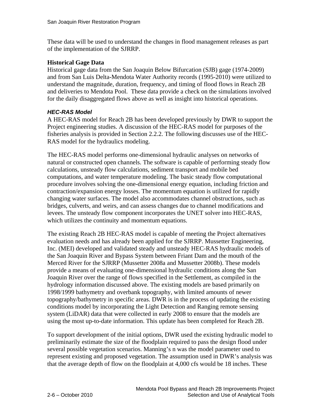These data will be used to understand the changes in flood management releases as part of the implementation of the SJRRP.

#### **Historical Gage Data**

Historical gage data from the San Joaquin Below Bifurcation (SJB) gage (1974-2009) and from San Luis Delta-Mendota Water Authority records (1995-2010) were utilized to understand the magnitude, duration, frequency, and timing of flood flows in Reach 2B and deliveries to Mendota Pool. These data provide a check on the simulations involved for the daily disaggregated flows above as well as insight into historical operations.

#### *HEC-RAS Model*

A HEC-RAS model for Reach 2B has been developed previously by DWR to support the Project engineering studies. A discussion of the HEC-RAS model for purposes of the fisheries analysis is provided in Section [2.2.2.](#page-31-1) The following discusses use of the HEC-RAS model for the hydraulics modeling.

The HEC-RAS model performs one-dimensional hydraulic analyses on networks of natural or constructed open channels. The software is capable of performing steady flow calculations, unsteady flow calculations, sediment transport and mobile bed computations, and water temperature modeling. The basic steady flow computational procedure involves solving the one-dimensional energy equation, including friction and contraction/expansion energy losses. The momentum equation is utilized for rapidly changing water surfaces. The model also accommodates channel obstructions, such as bridges, culverts, and weirs, and can assess changes due to channel modifications and levees. The unsteady flow component incorporates the UNET solver into HEC-RAS, which utilizes the continuity and momentum equations.

The existing Reach 2B HEC-RAS model is capable of meeting the Project alternatives evaluation needs and has already been applied for the SJRRP. Mussetter Engineering, Inc. (MEI) developed and validated steady and unsteady HEC-RAS hydraulic models of the San Joaquin River and Bypass System between Friant Dam and the mouth of the Merced River for the SJRRP (Mussetter 2008a and Mussetter 2008b). These models provide a means of evaluating one-dimensional hydraulic conditions along the San Joaquin River over the range of flows specified in the Settlement, as compiled in the hydrology information discussed above. The existing models are based primarily on 1998/1999 bathymetry and overbank topography, with limited amounts of newer topography/bathymetry in specific areas. DWR is in the process of updating the existing conditions model by incorporating the Light Detection and Ranging remote sensing system (LiDAR) data that were collected in early 2008 to ensure that the models are using the most up-to-date information. This update has been completed for Reach 2B.

To support development of the initial options, DWR used the existing hydraulic model to preliminarily estimate the size of the floodplain required to pass the design flood under several possible vegetation scenarios. Manning's n was the model parameter used to represent existing and proposed vegetation. The assumption used in DWR's analysis was that the average depth of flow on the floodplain at 4,000 cfs would be 18 inches. These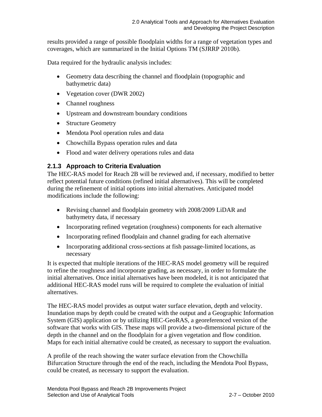results provided a range of possible floodplain widths for a range of vegetation types and coverages, which are summarized in the Initial Options TM (SJRRP 2010b).

Data required for the hydraulic analysis includes:

- Geometry data describing the channel and floodplain (topographic and bathymetric data)
- Vegetation cover (DWR 2002)
- Channel roughness
- Upstream and downstream boundary conditions
- Structure Geometry
- Mendota Pool operation rules and data
- Chowchilla Bypass operation rules and data
- Flood and water delivery operations rules and data

#### **2.1.3 Approach to Criteria Evaluation**

<span id="page-28-0"></span>The HEC-RAS model for Reach 2B will be reviewed and, if necessary, modified to better reflect potential future conditions (refined initial alternatives). This will be completed during the refinement of initial options into initial alternatives. Anticipated model modifications include the following:

- Revising channel and floodplain geometry with 2008/2009 LiDAR and bathymetry data, if necessary
- Incorporating refined vegetation (roughness) components for each alternative
- Incorporating refined floodplain and channel grading for each alternative
- Incorporating additional cross-sections at fish passage-limited locations, as necessary

It is expected that multiple iterations of the HEC-RAS model geometry will be required to refine the roughness and incorporate grading, as necessary, in order to formulate the initial alternatives. Once initial alternatives have been modeled, it is not anticipated that additional HEC-RAS model runs will be required to complete the evaluation of initial alternatives.

The HEC-RAS model provides as output water surface elevation, depth and velocity. Inundation maps by depth could be created with the output and a Geographic Information System (GIS) application or by utilizing HEC-GeoRAS, a georeferenced version of the software that works with GIS. These maps will provide a two-dimensional picture of the depth in the channel and on the floodplain for a given vegetation and flow condition. Maps for each initial alternative could be created, as necessary to support the evaluation.

A profile of the reach showing the water surface elevation from the Chowchilla Bifurcation Structure through the end of the reach, including the Mendota Pool Bypass, could be created, as necessary to support the evaluation.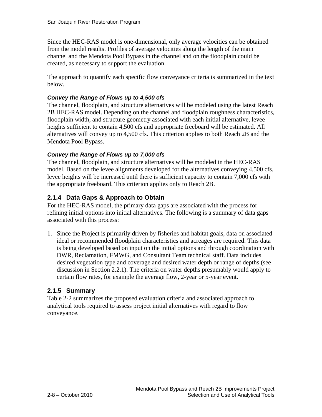Since the HEC-RAS model is one-dimensional, only average velocities can be obtained from the model results. Profiles of average velocities along the length of the main channel and the Mendota Pool Bypass in the channel and on the floodplain could be created, as necessary to support the evaluation.

The approach to quantify each specific flow conveyance criteria is summarized in the text below.

#### *Convey the Range of Flows up to 4,500 cfs*

The channel, floodplain, and structure alternatives will be modeled using the latest Reach 2B HEC-RAS model. Depending on the channel and floodplain roughness characteristics, floodplain width, and structure geometry associated with each initial alternative, levee heights sufficient to contain 4,500 cfs and appropriate freeboard will be estimated. All alternatives will convey up to 4,500 cfs. This criterion applies to both Reach 2B and the Mendota Pool Bypass.

#### *Convey the Range of Flows up to 7,000 cfs*

The channel, floodplain, and structure alternatives will be modeled in the HEC-RAS model. Based on the levee alignments developed for the alternatives conveying 4,500 cfs, levee heights will be increased until there is sufficient capacity to contain 7,000 cfs with the appropriate freeboard. This criterion applies only to Reach 2B.

#### **2.1.4 Data Gaps & Approach to Obtain**

<span id="page-29-0"></span>For the HEC-RAS model, the primary data gaps are associated with the process for refining initial options into initial alternatives. The following is a summary of data gaps associated with this process:

1. Since the Project is primarily driven by fisheries and habitat goals, data on associated ideal or recommended floodplain characteristics and acreages are required. This data is being developed based on input on the initial options and through coordination with DWR, Reclamation, FMWG, and Consultant Team technical staff. Data includes desired vegetation type and coverage and desired water depth or range of depths (see discussion in Section [2.2.1\)](#page-31-0). The criteria on water depths presumably would apply to certain flow rates, for example the average flow, 2-year or 5-year event.

#### **2.1.5 Summary**

<span id="page-29-1"></span>[Table 2-2](#page-30-1) summarizes the proposed evaluation criteria and associated approach to analytical tools required to assess project initial alternatives with regard to flow conveyance.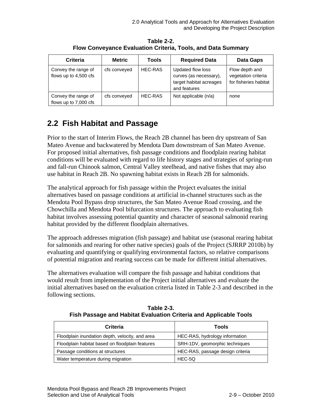| Criteria                                     | <b>Metric</b> | <b>Tools</b>   | <b>Required Data</b>                                                                   | Data Gaps                                                      |
|----------------------------------------------|---------------|----------------|----------------------------------------------------------------------------------------|----------------------------------------------------------------|
| Convey the range of<br>flows up to 4,500 cfs | cfs conveyed  | <b>HEC-RAS</b> | Updated flow loss<br>curves (as necessary),<br>target habitat acreages<br>and features | Flow depth and<br>vegetation criteria<br>for fisheries habitat |
| Convey the range of<br>flows up to 7,000 cfs | cfs conveyed  | <b>HEC-RAS</b> | Not applicable (n/a)                                                                   | none                                                           |

<span id="page-30-1"></span>**Table 2-2. Flow Conveyance Evaluation Criteria, Tools, and Data Summary** 

### <span id="page-30-0"></span>**2.2 Fish Habitat and Passage**

Prior to the start of Interim Flows, the Reach 2B channel has been dry upstream of San Mateo Avenue and backwatered by Mendota Dam downstream of San Mateo Avenue. For proposed initial alternatives, fish passage conditions and floodplain rearing habitat conditions will be evaluated with regard to life history stages and strategies of spring-run and fall-run Chinook salmon, Central Valley steelhead, and native fishes that may also use habitat in Reach 2B. No spawning habitat exists in Reach 2B for salmonids.

The analytical approach for fish passage within the Project evaluates the initial alternatives based on passage conditions at artificial in-channel structures such as the Mendota Pool Bypass drop structures, the San Mateo Avenue Road crossing, and the Chowchilla and Mendota Pool bifurcation structures. The approach to evaluating fish habitat involves assessing potential quantity and character of seasonal salmonid rearing habitat provided by the different floodplain alternatives.

The approach addresses migration (fish passage) and habitat use (seasonal rearing habitat for salmonids and rearing for other native species) goals of the Project (SJRRP 2010b) by evaluating and quantifying or qualifying environmental factors, so relative comparisons of potential migration and rearing success can be made for different initial alternatives.

The alternatives evaluation will compare the fish passage and habitat conditions that would result from implementation of the Project initial alternatives and evaluate the initial alternatives based on the evaluation criteria listed in [Table 2-3](#page-30-2) and described in the following sections.

| <b>Criteria</b>                                 | Tools                            |  |
|-------------------------------------------------|----------------------------------|--|
| Floodplain inundation depth, velocity, and area | HEC-RAS, hydrology information   |  |
| Floodplain habitat based on floodplain features | SRH-1DV, geomorphic techniques   |  |
| Passage conditions at structures                | HEC-RAS, passage design criteria |  |
| Water temperature during migration              | HEC-5Q                           |  |

<span id="page-30-2"></span>**Table 2-3. Fish Passage and Habitat Evaluation Criteria and Applicable Tools**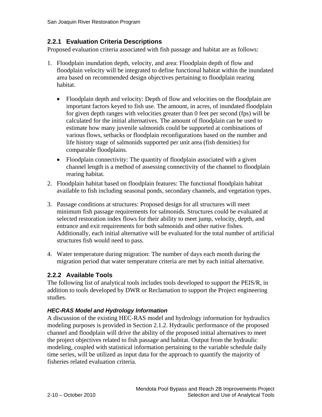#### <span id="page-31-0"></span>**2.2.1 Evaluation Criteria Descriptions**

Proposed evaluation criteria associated with fish passage and habitat are as follows:

- 1. Floodplain inundation depth, velocity, and area: Floodplain depth of flow and floodplain velocity will be integrated to define functional habitat within the inundated area based on recommended design objectives pertaining to floodplain rearing habitat.
	- Floodplain depth and velocity: Depth of flow and velocities on the floodplain are important factors keyed to fish use. The amount, in acres, of inundated floodplain for given depth ranges with velocities greater than 0 feet per second (fps) will be calculated for the initial alternatives. The amount of floodplain can be used to estimate how many juvenile salmonids could be supported at combinations of various flows, setbacks or floodplain reconfigurations based on the number and life history stage of salmonids supported per unit area (fish densities) for comparable floodplains.
	- Floodplain connectivity: The quantity of floodplain associated with a given channel length is a method of assessing connectivity of the channel to floodplain rearing habitat.
- 2. Floodplain habitat based on floodplain features: The functional floodplain habitat available to fish including seasonal ponds, secondary channels, and vegetation types.
- 3. Passage conditions at structures: Proposed design for all structures will meet minimum fish passage requirements for salmonids. Structures could be evaluated at selected restoration index flows for their ability to meet jump, velocity, depth, and entrance and exit requirements for both salmonids and other native fishes. Additionally, each initial alternative will be evaluated for the total number of artificial structures fish would need to pass.
- 4. Water temperature during migration: The number of days each month during the migration period that water temperature criteria are met by each initial alternative.

#### **2.2.2 Available Tools**

<span id="page-31-1"></span>The following list of analytical tools includes tools developed to support the PEIS/R, in addition to tools developed by DWR or Reclamation to support the Project engineering studies.

#### *HEC-RAS Model and Hydrology Information*

A discussion of the existing HEC-RAS model and hydrology information for hydraulics modeling purposes is provided in Section [2.1.2.](#page-24-1) Hydraulic performance of the proposed channel and floodplain will drive the ability of the proposed initial alternatives to meet the project objectives related to fish passage and habitat. Output from the hydraulic modeling, coupled with statistical information pertaining to the variable schedule daily time series, will be utilized as input data for the approach to quantify the majority of fisheries related evaluation criteria.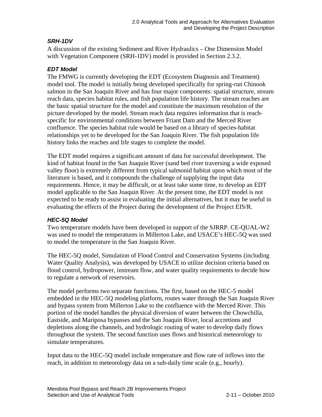#### *SRH-1DV*

A discussion of the existing Sediment and River Hydraulics – One Dimension Model with Vegetation Component (SRH-1DV) model is provided in Section [2.3.2.](#page-38-0)

#### *EDT Model*

The FMWG is currently developing the EDT (Ecosystem Diagnosis and Treatment) model tool. The model is initially being developed specifically for spring-run Chinook salmon in the San Joaquin River and has four major components: spatial structure, stream reach data, species habitat rules, and fish population life history. The stream reaches are the basic spatial structure for the model and constitute the maximum resolution of the picture developed by the model. Stream reach data requires information that is reachspecific for environmental conditions between Friant Dam and the Merced River confluence. The species habitat rule would be based on a library of species-habitat relationships yet to be developed for the San Joaquin River. The fish population life history links the reaches and life stages to complete the model.

The EDT model requires a significant amount of data for successful development. The kind of habitat found in the San Joaquin River (sand bed river traversing a wide exposed valley floor) is extremely different from typical salmonid habitat upon which most of the literature is based, and it compounds the challenge of supplying the input data requirements. Hence, it may be difficult, or at least take some time, to develop an EDT model applicable to the San Joaquin River. At the present time, the EDT model is not expected to be ready to assist in evaluating the initial alternatives, but it may be useful in evaluating the effects of the Project during the development of the Project EIS/R.

#### *HEC-5Q Model*

Two temperature models have been developed in support of the SJRRP. CE-QUAL-W2 was used to model the temperatures in Millerton Lake, and USACE's HEC-5Q was used to model the temperature in the San Joaquin River.

The HEC-5Q model, Simulation of Flood Control and Conservation Systems (including Water Quality Analysis), was developed by USACE to utilize decision criteria based on flood control, hydropower, instream flow, and water quality requirements to decide how to regulate a network of reservoirs.

The model performs two separate functions. The first, based on the HEC-5 model embedded in the HEC-5Q modeling platform, routes water through the San Joaquin River and bypass system from Millerton Lake to the confluence with the Merced River. This portion of the model handles the physical diversion of water between the Chowchilla, Eastside, and Mariposa bypasses and the San Joaquin River, local accretions and depletions along the channels, and hydrologic routing of water to develop daily flows throughout the system. The second function uses flows and historical meteorology to simulate temperatures.

Input data to the HEC-5Q model include temperature and flow rate of inflows into the reach, in addition to meteorology data on a sub-daily time scale (e.g., hourly).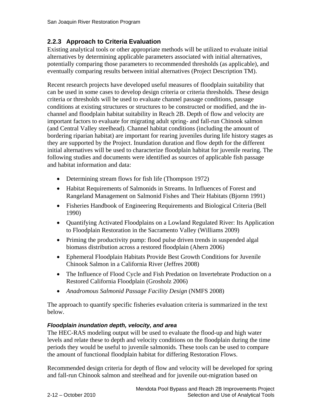#### **2.2.3 Approach to Criteria Evaluation**

<span id="page-33-0"></span>Existing analytical tools or other appropriate methods will be utilized to evaluate initial alternatives by determining applicable parameters associated with initial alternatives, potentially comparing those parameters to recommended thresholds (as applicable), and eventually comparing results between initial alternatives (Project Description TM).

Recent research projects have developed useful measures of floodplain suitability that can be used in some cases to develop design criteria or criteria thresholds. These design criteria or thresholds will be used to evaluate channel passage conditions, passage conditions at existing structures or structures to be constructed or modified, and the inchannel and floodplain habitat suitability in Reach 2B. Depth of flow and velocity are important factors to evaluate for migrating adult spring- and fall-run Chinook salmon (and Central Valley steelhead). Channel habitat conditions (including the amount of bordering riparian habitat) are important for rearing juveniles during life history stages as they are supported by the Project. Inundation duration and flow depth for the different initial alternatives will be used to characterize floodplain habitat for juvenile rearing. The following studies and documents were identified as sources of applicable fish passage and habitat information and data:

- Determining stream flows for fish life (Thompson 1972)
- Habitat Requirements of Salmonids in Streams. In Influences of Forest and Rangeland Management on Salmonid Fishes and Their Habitats (Bjornn 1991)
- Fisheries Handbook of Engineering Requirements and Biological Criteria (Bell 1990)
- Quantifying Activated Floodplains on a Lowland Regulated River: Its Application to Floodplain Restoration in the Sacramento Valley (Williams 2009)
- Priming the productivity pump: flood pulse driven trends in suspended algal biomass distribution across a restored floodplain (Ahern 2006)
- Ephemeral Floodplain Habitats Provide Best Growth Conditions for Juvenile Chinook Salmon in a California River (Jeffres 2008)
- The Influence of Flood Cycle and Fish Predation on Invertebrate Production on a Restored California Floodplain (Grosholz 2006)
- *Anadromous Salmonid Passage Facility Design* (NMFS 2008)

The approach to quantify specific fisheries evaluation criteria is summarized in the text below.

#### *Floodplain inundation depth, velocity, and area*

The HEC-RAS modeling output will be used to evaluate the flood-up and high water levels and relate these to depth and velocity conditions on the floodplain during the time periods they would be useful to juvenile salmonids. These tools can be used to compare the amount of functional floodplain habitat for differing Restoration Flows.

Recommended design criteria for depth of flow and velocity will be developed for spring and fall-run Chinook salmon and steelhead and for juvenile out-migration based on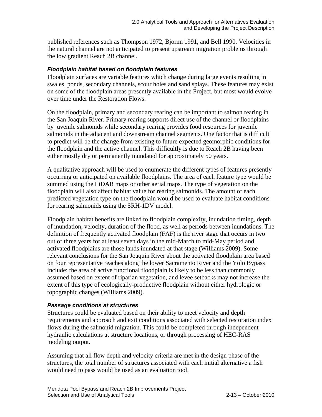published references such as Thompson 1972, Bjornn 1991, and Bell 1990. Velocities in the natural channel are not anticipated to present upstream migration problems through the low gradient Reach 2B channel.

#### *Floodplain habitat based on floodplain features*

Floodplain surfaces are variable features which change during large events resulting in swales, ponds, secondary channels, scour holes and sand splays. These features may exist on some of the floodplain areas presently available in the Project, but most would evolve over time under the Restoration Flows.

On the floodplain, primary and secondary rearing can be important to salmon rearing in the San Joaquin River. Primary rearing supports direct use of the channel or floodplains by juvenile salmonids while secondary rearing provides food resources for juvenile salmonids in the adjacent and downstream channel segments. One factor that is difficult to predict will be the change from existing to future expected geomorphic conditions for the floodplain and the active channel. This difficultly is due to Reach 2B having been either mostly dry or permanently inundated for approximately 50 years.

A qualitative approach will be used to enumerate the different types of features presently occurring or anticipated on available floodplains. The area of each feature type would be summed using the LiDAR maps or other aerial maps. The type of vegetation on the floodplain will also affect habitat value for rearing salmonids. The amount of each predicted vegetation type on the floodplain would be used to evaluate habitat conditions for rearing salmonids using the SRH-1DV model.

Floodplain habitat benefits are linked to floodplain complexity, inundation timing, depth of inundation, velocity, duration of the flood, as well as periods between inundations. The definition of frequently activated floodplain (FAF) is the river stage that occurs in two out of three years for at least seven days in the mid-March to mid-May period and activated floodplains are those lands inundated at that stage (Williams 2009). Some relevant conclusions for the San Joaquin River about the activated floodplain area based on four representative reaches along the lower Sacramento River and the Yolo Bypass include: the area of active functional floodplain is likely to be less than commonly assumed based on extent of riparian vegetation, and levee setbacks may not increase the extent of this type of ecologically-productive floodplain without either hydrologic or topographic changes (Williams 2009).

#### *Passage conditions at structures*

Structures could be evaluated based on their ability to meet velocity and depth requirements and approach and exit conditions associated with selected restoration index flows during the salmonid migration. This could be completed through independent hydraulic calculations at structure locations, or through processing of HEC-RAS modeling output.

Assuming that all flow depth and velocity criteria are met in the design phase of the structures, the total number of structures associated with each initial alternative a fish would need to pass would be used as an evaluation tool.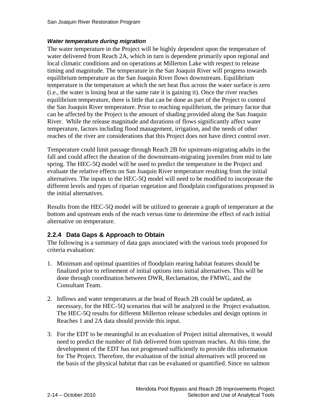#### *Water temperature during migration*

The water temperature in the Project will be highly dependent upon the temperature of water delivered from Reach 2A, which in turn is dependent primarily upon regional and local climatic conditions and on operations at Millerton Lake with respect to release timing and magnitude. The temperature in the San Joaquin River will progress towards equilibrium temperature as the San Joaquin River flows downstream. Equilibrium temperature is the temperature at which the net heat flux across the water surface is zero (i.e., the water is losing heat at the same rate it is gaining it). Once the river reaches equilibrium temperature, there is little that can be done as part of the Project to control the San Joaquin River temperature. Prior to reaching equilibrium, the primary factor that can be affected by the Project is the amount of shading provided along the San Joaquin River. While the release magnitude and durations of flows significantly affect water temperature, factors including flood management, irrigation, and the needs of other reaches of the river are considerations that this Project does not have direct control over.

Temperature could limit passage through Reach 2B for upstream-migrating adults in the fall and could affect the duration of the downstream-migrating juveniles from mid to late spring. The HEC-5Q model will be used to predict the temperature in the Project and evaluate the relative effects on San Joaquin River temperature resulting from the initial alternatives. The inputs to the HEC-5Q model will need to be modified to incorporate the different levels and types of riparian vegetation and floodplain configurations proposed in the initial alternatives.

Results from the HEC-5Q model will be utilized to generate a graph of temperature at the bottom and upstream ends of the reach versus time to determine the effect of each initial alternative on temperature.

#### **2.2.4 Data Gaps & Approach to Obtain**

<span id="page-35-0"></span>The following is a summary of data gaps associated with the various tools proposed for criteria evaluation:

- 1. Minimum and optimal quantities of floodplain rearing habitat features should be finalized prior to refinement of initial options into initial alternatives. This will be done through coordination between DWR, Reclamation, the FMWG, and the Consultant Team.
- 2. Inflows and water temperatures at the head of Reach 2B could be updated, as necessary, for the HEC-5Q scenarios that will be analyzed in the Project evaluation. The HEC-5Q results for different Millerton release schedules and design options in Reaches 1 and 2A data should provide this input.
- 3. For the EDT to be meaningful in an evaluation of Project initial alternatives, it would need to predict the number of fish delivered from upstream reaches. At this time, the development of the EDT has not progressed sufficiently to provide this information for The Project. Therefore, the evaluation of the initial alternatives will proceed on the basis of the physical habitat that can be evaluated or quantified. Since no salmon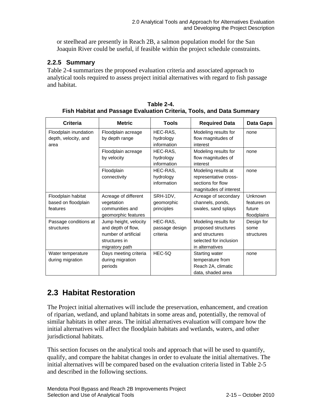or steelhead are presently in Reach 2B, a salmon population model for the San Joaquin River could be useful, if feasible within the project schedule constraints.

## **2.2.5 Summary**

[Table 2-4](#page-36-0) summarizes the proposed evaluation criteria and associated approach to analytical tools required to assess project initial alternatives with regard to fish passage and habitat.

| <b>Criteria</b>       | <b>Metric</b>         | <b>Tools</b>   | <b>Required Data</b>   | Data Gaps   |
|-----------------------|-----------------------|----------------|------------------------|-------------|
| Floodplain inundation | Floodplain acreage    | HEC-RAS,       | Modeling results for   | none        |
| depth, velocity, and  | by depth range        | hydrology      | flow magnitudes of     |             |
| area                  |                       | information    | interest               |             |
|                       | Floodplain acreage    | HEC-RAS,       | Modeling results for   | none        |
|                       | by velocity           | hydrology      | flow magnitudes of     |             |
|                       |                       | information    | interest               |             |
|                       | Floodplain            | HEC-RAS,       | Modeling results at    | none        |
|                       | connectivity          | hydrology      | representative cross-  |             |
|                       |                       | information    | sections for flow      |             |
|                       |                       |                | magnitudes of interest |             |
| Floodplain habitat    | Acreage of different  | SRH-1DV,       | Acreage of secondary   | Unknown     |
| based on floodplain   | vegetation            | geomorphic     | channels, ponds,       | features on |
| features              | communities and       | principles     | swales, sand splays    | future      |
|                       | geomorphic features   |                |                        | floodplains |
| Passage conditions at | Jump height, velocity | HEC-RAS,       | Modeling results for   | Design for  |
| structures            | and depth of flow,    | passage design | proposed structures    | some        |
|                       | number of artificial  | criteria       | and structures         | structures  |
|                       | structures in         |                | selected for inclusion |             |
|                       | migratory path        |                | in alternatives        |             |
| Water temperature     | Days meeting criteria | HEC-5Q         | Starting water         | none        |
| during migration      | during migration      |                | temperature from       |             |
|                       | periods               |                | Reach 2A, climatic     |             |
|                       |                       |                | data, shaded area      |             |

<span id="page-36-0"></span>**Table 2-4. Fish Habitat and Passage Evaluation Criteria, Tools, and Data Summary** 

## **2.3 Habitat Restoration**

The Project initial alternatives will include the preservation, enhancement, and creation of riparian, wetland, and upland habitats in some areas and, potentially, the removal of similar habitats in other areas. The initial alternatives evaluation will compare how the initial alternatives will affect the floodplain habitats and wetlands, waters, and other jurisdictional habitats.

This section focuses on the analytical tools and approach that will be used to quantify, qualify, and compare the habitat changes in order to evaluate the initial alternatives. The initial alternatives will be compared based on the evaluation criteria listed in [Table 2-5](#page-37-0)  and described in the following sections.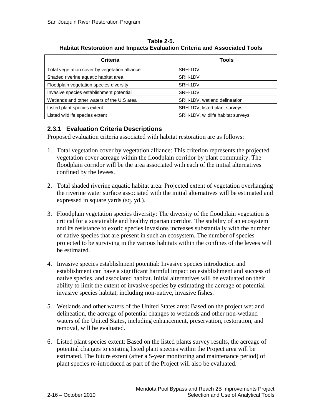| Criteria                                      | Tools                             |
|-----------------------------------------------|-----------------------------------|
| Total vegetation cover by vegetation alliance | SRH-1DV                           |
| Shaded riverine aquatic habitat area          | SRH-1DV                           |
| Floodplain vegetation species diversity       | SRH-1DV                           |
| Invasive species establishment potential      | SRH-1DV                           |
| Wetlands and other waters of the U.S area     | SRH-1DV, wetland delineation      |
| Listed plant species extent                   | SRH-1DV, listed plant surveys     |
| Listed wildlife species extent                | SRH-1DV, wildlife habitat surveys |

<span id="page-37-0"></span>**Table 2-5. Habitat Restoration and Impacts Evaluation Criteria and Associated Tools** 

## **2.3.1 Evaluation Criteria Descriptions**

Proposed evaluation criteria associated with habitat restoration are as follows:

- 1. Total vegetation cover by vegetation alliance: This criterion represents the projected vegetation cover acreage within the floodplain corridor by plant community. The floodplain corridor will be the area associated with each of the initial alternatives confined by the levees.
- 2. Total shaded riverine aquatic habitat area: Projected extent of vegetation overhanging the riverine water surface associated with the initial alternatives will be estimated and expressed in square yards (sq. yd.).
- 3. Floodplain vegetation species diversity: The diversity of the floodplain vegetation is critical for a sustainable and healthy riparian corridor. The stability of an ecosystem and its resistance to exotic species invasions increases substantially with the number of native species that are present in such an ecosystem. The number of species projected to be surviving in the various habitats within the confines of the levees will be estimated.
- 4. Invasive species establishment potential: Invasive species introduction and establishment can have a significant harmful impact on establishment and success of native species, and associated habitat. Initial alternatives will be evaluated on their ability to limit the extent of invasive species by estimating the acreage of potential invasive species habitat, including non-native, invasive fishes.
- 5. Wetlands and other waters of the United States area: Based on the project wetland delineation, the acreage of potential changes to wetlands and other non-wetland waters of the United States, including enhancement, preservation, restoration, and removal, will be evaluated.
- 6. Listed plant species extent: Based on the listed plants survey results, the acreage of potential changes to existing listed plant species within the Project area will be estimated. The future extent (after a 5-year monitoring and maintenance period) of plant species re-introduced as part of the Project will also be evaluated.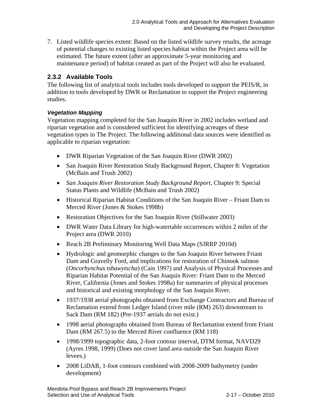7. Listed wildlife species extent: Based on the listed wildlife survey results, the acreage of potential changes to existing listed species habitat within the Project area will be estimated. The future extent (after an approximate 5-year monitoring and maintenance period) of habitat created as part of the Project will also be evaluated.

## **2.3.2 Available Tools**

<span id="page-38-0"></span>The following list of analytical tools includes tools developed to support the PEIS/R, in addition to tools developed by DWR or Reclamation to support the Project engineering studies.

#### *Vegetation Mapping*

Vegetation mapping completed for the San Joaquin River in 2002 includes wetland and riparian vegetation and is considered sufficient for identifying acreages of these vegetation types in The Project. The following additional data sources were identified as applicable to riparian vegetation:

- DWR Riparian Vegetation of the San Joaquin River (DWR 2002)
- San Joaquin River Restoration Study Background Report, Chapter 8: Vegetation (McBain and Trush 2002)
- *San Joaquin River Restoration Study Background Report*, Chapter 9: Special Status Plants and Wildlife (McBain and Trush 2002)
- Historical Riparian Habitat Conditions of the San Joaquin River Friant Dam to Merced River (Jones & Stokes 1998b)
- Restoration Objectives for the San Joaquin River (Stillwater 2003)
- DWR Water Data Library for high-watertable occurrences within 2 miles of the Project area (DWR 2010)
- Reach 2B Preliminary Monitoring Well Data Maps (SJRRP 2010d)
- Hydrologic and geomorphic changes to the San Joaquin River between Friant Dam and Gravelly Ford, and implications for restoration of Chinook salmon (*Oncorhynchus tshawytscha*) (Cain 1997) and Analysis of Physical Processes and Riparian Habitat Potential of the San Joaquin River: Friant Dam to the Merced River, California (Jones and Stokes 1998a) for summaries of physical processes and historical and existing morphology of the San Joaquin River.
- 1937/1938 aerial photographs obtained from Exchange Contractors and Bureau of Reclamation extend from Ledger Island (river mile (RM) 263) downstream to Sack Dam (RM 182) (Pre-1937 aerials do not exist.)
- 1998 aerial photographs obtained from Bureau of Reclamation extend from Friant Dam (RM 267.5) to the Merced River confluence (RM 118)
- 1998/1999 topographic data, 2-foot contour interval, DTM format, NAVD29 (Ayres 1998, 1999) (Does not cover land area outside the San Joaquin River levees.)
- 2008 LiDAR, 1-foot contours combined with 2008-2009 bathymetry (under development)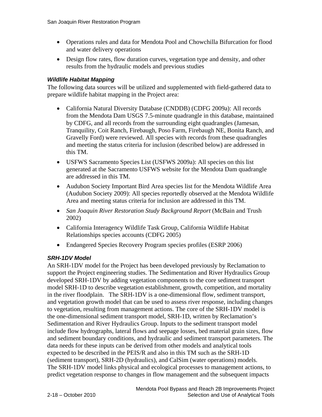- Operations rules and data for Mendota Pool and Chowchilla Bifurcation for flood and water delivery operations
- Design flow rates, flow duration curves, vegetation type and density, and other results from the hydraulic models and previous studies

#### *Wildlife Habitat Mapping*

The following data sources will be utilized and supplemented with field-gathered data to prepare wildlife habitat mapping in the Project area:

- California Natural Diversity Database (CNDDB) (CDFG 2009a): All records from the Mendota Dam USGS 7.5-minute quadrangle in this database, maintained by CDFG, and all records from the surrounding eight quadrangles (Jamesan, Tranquility, Coit Ranch, Firebaugh, Poso Farm, Firebaugh NE, Bonita Ranch, and Gravelly Ford) were reviewed. All species with records from these quadrangles and meeting the status criteria for inclusion (described below) are addressed in this TM.
- USFWS Sacramento Species List (USFWS 2009a): All species on this list generated at the Sacramento USFWS website for the Mendota Dam quadrangle are addressed in this TM.
- Audubon Society Important Bird Area species list for the Mendota Wildlife Area (Audubon Society 2009): All species reportedly observed at the Mendota Wildlife Area and meeting status criteria for inclusion are addressed in this TM.
- *San Joaquin River Restoration Study Background Report* (McBain and Trush 2002)
- California Interagency Wildlife Task Group, California Wildlife Habitat Relationships species accounts (CDFG 2005)
- Endangered Species Recovery Program species profiles (ESRP 2006)

#### *SRH-1DV Model*

An SRH-1DV model for the Project has been developed previously by Reclamation to support the Project engineering studies. The Sedimentation and River Hydraulics Group developed SRH-1DV by adding vegetation components to the core sediment transport model SRH-1D to describe vegetation establishment, growth, competition, and mortality in the river floodplain. The SRH-1DV is a one-dimensional flow, sediment transport, and vegetation growth model that can be used to assess river response, including changes to vegetation, resulting from management actions. The core of the SRH-1DV model is the one-dimensional sediment transport model, SRH-1D, written by Reclamation's Sedimentation and River Hydraulics Group. Inputs to the sediment transport model include flow hydrographs, lateral flows and seepage losses, bed material grain sizes, flow and sediment boundary conditions, and hydraulic and sediment transport parameters. The data needs for these inputs can be derived from other models and analytical tools expected to be described in the PEIS/R and also in this TM such as the SRH-1D (sediment transport), SRH-2D (hydraulics), and CalSim (water operations) models. The SRH-1DV model links physical and ecological processes to management actions, to predict vegetation response to changes in flow management and the subsequent impacts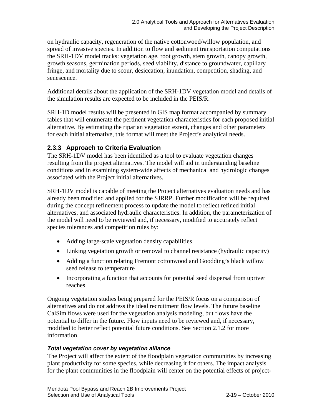on hydraulic capacity, regeneration of the native cottonwood/willow population, and spread of invasive species. In addition to flow and sediment transportation computations the SRH-1DV model tracks: vegetation age, root growth, stem growth, canopy growth, growth seasons, germination periods, seed viability, distance to groundwater, capillary fringe, and mortality due to scour, desiccation, inundation, competition, shading, and senescence.

Additional details about the application of the SRH-1DV vegetation model and details of the simulation results are expected to be included in the PEIS/R.

SRH-1D model results will be presented in GIS map format accompanied by summary tables that will enumerate the pertinent vegetation characteristics for each proposed initial alternative. By estimating the riparian vegetation extent, changes and other parameters for each initial alternative, this format will meet the Project's analytical needs.

## **2.3.3 Approach to Criteria Evaluation**

The SRH-1DV model has been identified as a tool to evaluate vegetation changes resulting from the project alternatives. The model will aid in understanding baseline conditions and in examining system-wide affects of mechanical and hydrologic changes associated with the Project initial alternatives.

SRH-1DV model is capable of meeting the Project alternatives evaluation needs and has already been modified and applied for the SJRRP. Further modification will be required during the concept refinement process to update the model to reflect refined initial alternatives, and associated hydraulic characteristics. In addition, the parameterization of the model will need to be reviewed and, if necessary, modified to accurately reflect species tolerances and competition rules by:

- Adding large-scale vegetation density capabilities
- Linking vegetation growth or removal to channel resistance (hydraulic capacity)
- Adding a function relating Fremont cottonwood and Goodding's black willow seed release to temperature
- Incorporating a function that accounts for potential seed dispersal from upriver reaches

Ongoing vegetation studies being prepared for the PEIS/R focus on a comparison of alternatives and do not address the ideal recruitment flow levels. The future baseline CalSim flows were used for the vegetation analysis modeling, but flows have the potential to differ in the future. Flow inputs need to be reviewed and, if necessary, modified to better reflect potential future conditions. See Section [2.1.2](#page-24-0) for more information.

#### *Total vegetation cover by vegetation alliance*

The Project will affect the extent of the floodplain vegetation communities by increasing plant productivity for some species, while decreasing it for others. The impact analysis for the plant communities in the floodplain will center on the potential effects of project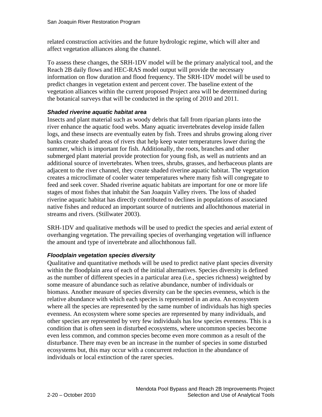related construction activities and the future hydrologic regime, which will alter and affect vegetation alliances along the channel.

To assess these changes, the SRH-1DV model will be the primary analytical tool, and the Reach 2B daily flows and HEC-RAS model output will provide the necessary information on flow duration and flood frequency. The SRH-1DV model will be used to predict changes in vegetation extent and percent cover. The baseline extent of the vegetation alliances within the current proposed Project area will be determined during the botanical surveys that will be conducted in the spring of 2010 and 2011.

#### *Shaded riverine aquatic habitat area*

Insects and plant material such as woody debris that fall from riparian plants into the river enhance the aquatic food webs. Many aquatic invertebrates develop inside fallen logs, and these insects are eventually eaten by fish. Trees and shrubs growing along river banks create shaded areas of rivers that help keep water temperatures lower during the summer, which is important for fish. Additionally, the roots, branches and other submerged plant material provide protection for young fish, as well as nutrients and an additional source of invertebrates. When trees, shrubs, grasses, and herbaceous plants are adjacent to the river channel, they create shaded riverine aquatic habitat. The vegetation creates a microclimate of cooler water temperatures where many fish will congregate to feed and seek cover. Shaded riverine aquatic habitats are important for one or more life stages of most fishes that inhabit the San Joaquin Valley rivers. The loss of shaded riverine aquatic habitat has directly contributed to declines in populations of associated native fishes and reduced an important source of nutrients and allochthonous material in streams and rivers. (Stillwater 2003).

SRH-1DV and qualitative methods will be used to predict the species and aerial extent of overhanging vegetation. The prevailing species of overhanging vegetation will influence the amount and type of invertebrate and allochthonous fall.

#### *Floodplain vegetation species diversity*

Qualitative and quantitative methods will be used to predict native plant species diversity within the floodplain area of each of the initial alternatives. Species diversity is defined as the number of different species in a particular area (i.e., species richness) weighted by some measure of abundance such as relative abundance, number of individuals or biomass. Another measure of species diversity can be the species evenness, which is the relative abundance with which each species is represented in an area. An ecosystem where all the species are represented by the same number of individuals has high species evenness. An ecosystem where some species are represented by many individuals, and other species are represented by very few individuals has low species evenness. This is a condition that is often seen in disturbed ecosystems, where uncommon species become even less common, and common species become even more common as a result of the disturbance. There may even be an increase in the number of species in some disturbed ecosystems but, this may occur with a concurrent reduction in the abundance of individuals or local extinction of the rarer species.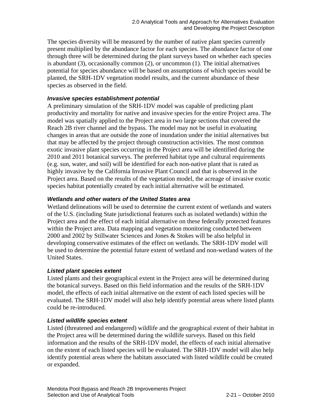The species diversity will be measured by the number of native plant species currently present multiplied by the abundance factor for each species. The abundance factor of one through three will be determined during the plant surveys based on whether each species is abundant (3), occasionally common (2), or uncommon (1). The initial alternatives potential for species abundance will be based on assumptions of which species would be planted, the SRH-1DV vegetation model results, and the current abundance of these species as observed in the field.

#### *Invasive species establishment potential*

A preliminary simulation of the SRH-1DV model was capable of predicting plant productivity and mortality for native and invasive species for the entire Project area. The model was spatially applied to the Project area in two large sections that covered the Reach 2B river channel and the bypass. The model may not be useful in evaluating changes in areas that are outside the zone of inundation under the initial alternatives but that may be affected by the project through construction activities. The most common exotic invasive plant species occurring in the Project area will be identified during the 2010 and 2011 botanical surveys. The preferred habitat type and cultural requirements (e.g. sun, water, and soil) will be identified for each non-native plant that is rated as highly invasive by the California Invasive Plant Council and that is observed in the Project area. Based on the results of the vegetation model, the acreage of invasive exotic species habitat potentially created by each initial alternative will be estimated.

#### *Wetlands and other waters of the United States area*

Wetland delineations will be used to determine the current extent of wetlands and waters of the U.S. (including State jurisdictional features such as isolated wetlands) within the Project area and the effect of each initial alternative on these federally protected features within the Project area. Data mapping and vegetation monitoring conducted between 2000 and 2002 by Stillwater Sciences and Jones & Stokes will be also helpful in developing conservative estimates of the effect on wetlands. The SRH-1DV model will be used to determine the potential future extent of wetland and non-wetland waters of the United States.

#### *Listed plant species extent*

Listed plants and their geographical extent in the Project area will be determined during the botanical surveys. Based on this field information and the results of the SRH-1DV model, the effects of each initial alternative on the extent of each listed species will be evaluated. The SRH-1DV model will also help identify potential areas where listed plants could be re-introduced.

#### *Listed wildlife species extent*

Listed (threatened and endangered) wildlife and the geographical extent of their habitat in the Project area will be determined during the wildlife surveys. Based on this field information and the results of the SRH-1DV model, the effects of each initial alternative on the extent of each listed species will be evaluated. The SRH-1DV model will also help identify potential areas where the habitats associated with listed wildlife could be created or expanded.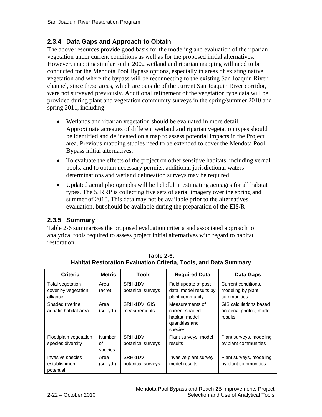## **2.3.4 Data Gaps and Approach to Obtain**

The above resources provide good basis for the modeling and evaluation of the riparian vegetation under current conditions as well as for the proposed initial alternatives. However, mapping similar to the 2002 wetland and riparian mapping will need to be conducted for the Mendota Pool Bypass options, especially in areas of existing native vegetation and where the bypass will be reconnecting to the existing San Joaquin River channel, since these areas, which are outside of the current San Joaquin River corridor, were not surveyed previously. Additional refinement of the vegetation type data will be provided during plant and vegetation community surveys in the spring/summer 2010 and spring 2011, including:

- Wetlands and riparian vegetation should be evaluated in more detail. Approximate acreages of different wetland and riparian vegetation types should be identified and delineated on a map to assess potential impacts in the Project area. Previous mapping studies need to be extended to cover the Mendota Pool Bypass initial alternatives.
- To evaluate the effects of the project on other sensitive habitats, including vernal pools, and to obtain necessary permits, additional jurisdictional waters determinations and wetland delineation surveys may be required.
- Updated aerial photographs will be helpful in estimating acreages for all habitat types. The SJRRP is collecting five sets of aerial imagery over the spring and summer of 2010. This data may not be available prior to the alternatives evaluation, but should be available during the preparation of the EIS/R

## **2.3.5 Summary**

[Table 2-6](#page-43-0) summarizes the proposed evaluation criteria and associated approach to analytical tools required to assess project initial alternatives with regard to habitat restoration.

| Criteria                                            | <b>Metric</b>                  | <b>Tools</b>                  | <b>Required Data</b>                                                             | <b>Data Gaps</b>                                             |
|-----------------------------------------------------|--------------------------------|-------------------------------|----------------------------------------------------------------------------------|--------------------------------------------------------------|
| Total vegetation<br>cover by vegetation<br>alliance | Area<br>(acre)                 | SRH-1DV,<br>botanical surveys | Field update of past<br>data, model results by<br>plant community                | Current conditions,<br>modeling by plant<br>communities      |
| Shaded riverine<br>aquatic habitat area             | Area<br>(sq. yd.)              | SRH-1DV, GIS<br>measurements  | Measurements of<br>current shaded<br>habitat, model<br>quantities and<br>species | GIS calculations based<br>on aerial photos, model<br>results |
| Floodplain vegetation<br>species diversity          | <b>Number</b><br>οf<br>species | SRH-1DV,<br>botanical surveys | Plant surveys, model<br>results                                                  | Plant surveys, modeling<br>by plant communities              |
| Invasive species<br>establishment<br>potential      | Area<br>(sq. yd.)              | SRH-1DV,<br>botanical surveys | Invasive plant survey,<br>model results                                          | Plant surveys, modeling<br>by plant communities              |

<span id="page-43-0"></span>**Table 2-6. Habitat Restoration Evaluation Criteria, Tools, and Data Summary**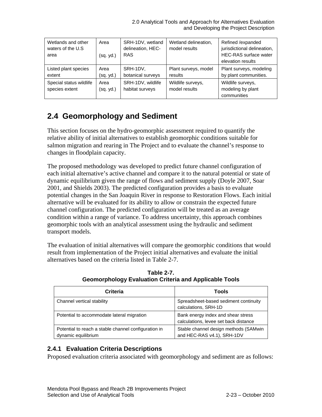| Wetlands and other<br>waters of the U.S.<br>area | Area<br>(sq. yd.) | SRH-1DV, wetland<br>delineation, HEC-<br><b>RAS</b> | Wetland delineation,<br>model results | Refined /expanded<br>jurisdictional delineation,<br><b>HEC-RAS</b> surface water<br>elevation results |
|--------------------------------------------------|-------------------|-----------------------------------------------------|---------------------------------------|-------------------------------------------------------------------------------------------------------|
| Listed plant species<br>extent                   | Area<br>(sq. yd.) | SRH-1DV,<br>botanical surveys                       | Plant surveys, model<br>results       | Plant surveys, modeling<br>by plant communities.                                                      |
| Special status wildlife<br>species extent        | Area<br>(sq. yd.) | SRH-1DV, wildlife<br>habitat surveys                | Wildlife surveys,<br>model results    | Wildlife surveys,<br>modeling by plant<br>communities                                                 |

## **2.4 Geomorphology and Sediment**

This section focuses on the hydro-geomorphic assessment required to quantify the relative ability of initial alternatives to establish geomorphic conditions suitable for salmon migration and rearing in The Project and to evaluate the channel's response to changes in floodplain capacity.

The proposed methodology was developed to predict future channel configuration of each initial alternative's active channel and compare it to the natural potential or state of dynamic equilibrium given the range of flows and sediment supply (Doyle 2007, Soar 2001, and Shields 2003). The predicted configuration provides a basis to evaluate potential changes in the San Joaquin River in response to Restoration Flows. Each initial alternative will be evaluated for its ability to allow or constrain the expected future channel configuration. The predicted configuration will be treated as an average condition within a range of variance. To address uncertainty, this approach combines geomorphic tools with an analytical assessment using the hydraulic and sediment transport models.

The evaluation of initial alternatives will compare the geomorphic conditions that would result from implementation of the Project initial alternatives and evaluate the initial alternatives based on the criteria listed in [Table 2-7.](#page-44-0)

| Criteria                                                                    | <b>Tools</b>                                                                |
|-----------------------------------------------------------------------------|-----------------------------------------------------------------------------|
| Channel vertical stability                                                  | Spreadsheet-based sediment continuity<br>calculations, SRH-1D               |
| Potential to accommodate lateral migration                                  | Bank energy index and shear stress<br>calculations, levee set back distance |
| Potential to reach a stable channel configuration in<br>dynamic equilibrium | Stable channel design methods (SAMwin<br>and HEC-RAS v4.1), SRH-1DV         |

<span id="page-44-0"></span>**Table 2-7. Geomorphology Evaluation Criteria and Applicable Tools** 

## **2.4.1 Evaluation Criteria Descriptions**

Proposed evaluation criteria associated with geomorphology and sediment are as follows: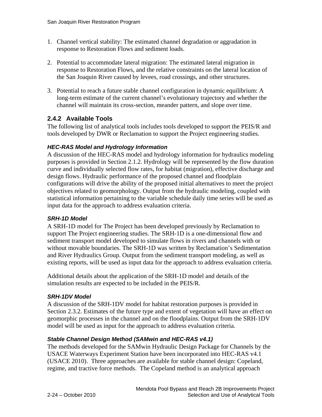- 1. Channel vertical stability: The estimated channel degradation or aggradation in response to Restoration Flows and sediment loads.
- 2. Potential to accommodate lateral migration: The estimated lateral migration in response to Restoration Flows, and the relative constraints on the lateral location of the San Joaquin River caused by levees, road crossings, and other structures.
- 3. Potential to reach a future stable channel configuration in dynamic equilibrium: A long-term estimate of the current channel's evolutionary trajectory and whether the channel will maintain its cross-section, meander pattern, and slope over time.

#### **2.4.2 Available Tools**

The following list of analytical tools includes tools developed to support the PEIS/R and tools developed by DWR or Reclamation to support the Project engineering studies.

#### *HEC-RAS Model and Hydrology Information*

A discussion of the HEC-RAS model and hydrology information for hydraulics modeling purposes is provided in Section [2.1.2.](#page-24-0) Hydrology will be represented by the flow duration curve and individually selected flow rates, for habitat (migration), effective discharge and design flows. Hydraulic performance of the proposed channel and floodplain configurations will drive the ability of the proposed initial alternatives to meet the project objectives related to geomorphology. Output from the hydraulic modeling, coupled with statistical information pertaining to the variable schedule daily time series will be used as input data for the approach to address evaluation criteria.

#### *SRH-1D Model*

A SRH-1D model for The Project has been developed previously by Reclamation to support The Project engineering studies. The SRH-1D is a one-dimensional flow and sediment transport model developed to simulate flows in rivers and channels with or without movable boundaries. The SRH-1D was written by Reclamation's Sedimentation and River Hydraulics Group. Output from the sediment transport modeling, as well as existing reports, will be used as input data for the approach to address evaluation criteria.

Additional details about the application of the SRH-1D model and details of the simulation results are expected to be included in the PEIS/R.

#### *SRH-1DV Model*

A discussion of the SRH-1DV model for habitat restoration purposes is provided in Section [2.3.2.](#page-38-0) Estimates of the future type and extent of vegetation will have an effect on geomorphic processes in the channel and on the floodplains. Output from the SRH-1DV model will be used as input for the approach to address evaluation criteria.

#### *Stable Channel Design Method (SAMwin and HEC-RAS v4.1)*

The methods developed for the SAMwin Hydraulic Design Package for Channels by the USACE Waterways Experiment Station have been incorporated into HEC-RAS v4.1 (USACE 2010). Three approaches are available for stable channel design: Copeland, regime, and tractive force methods. The Copeland method is an analytical approach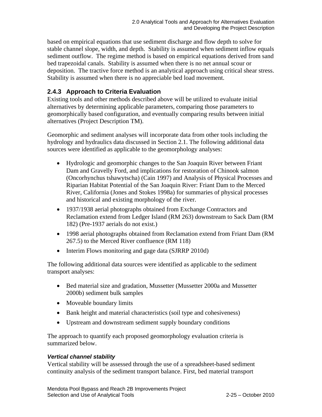based on empirical equations that use sediment discharge and flow depth to solve for stable channel slope, width, and depth. Stability is assumed when sediment inflow equals sediment outflow. The regime method is based on empirical equations derived from sand bed trapezoidal canals. Stability is assumed when there is no net annual scour or deposition. The tractive force method is an analytical approach using critical shear stress. Stability is assumed when there is no appreciable bed load movement.

## **2.4.3 Approach to Criteria Evaluation**

Existing tools and other methods described above will be utilized to evaluate initial alternatives by determining applicable parameters, comparing those parameters to geomorphically based configuration, and eventually comparing results between initial alternatives (Project Description TM).

Geomorphic and sediment analyses will incorporate data from other tools including the hydrology and hydraulics data discussed in Section [2.1.](#page-23-0) The following additional data sources were identified as applicable to the geomorphology analyses:

- Hydrologic and geomorphic changes to the San Joaquin River between Friant Dam and Gravelly Ford, and implications for restoration of Chinook salmon (Oncorhynchus tshawytscha) (Cain 1997) and Analysis of Physical Processes and Riparian Habitat Potential of the San Joaquin River: Friant Dam to the Merced River, California (Jones and Stokes 1998a) for summaries of physical processes and historical and existing morphology of the river.
- 1937/1938 aerial photographs obtained from Exchange Contractors and Reclamation extend from Ledger Island (RM 263) downstream to Sack Dam (RM 182) (Pre-1937 aerials do not exist.)
- 1998 aerial photographs obtained from Reclamation extend from Friant Dam (RM) 267.5) to the Merced River confluence (RM 118)
- Interim Flows monitoring and gage data (SJRRP 2010d)

The following additional data sources were identified as applicable to the sediment transport analyses:

- Bed material size and gradation, Mussetter (Mussetter 2000a and Mussetter 2000b) sediment bulk samples
- Moveable boundary limits
- Bank height and material characteristics (soil type and cohesiveness)
- Upstream and downstream sediment supply boundary conditions

The approach to quantify each proposed geomorphology evaluation criteria is summarized below.

#### *Vertical channel stability*

Vertical stability will be assessed through the use of a spreadsheet-based sediment continuity analysis of the sediment transport balance. First, bed material transport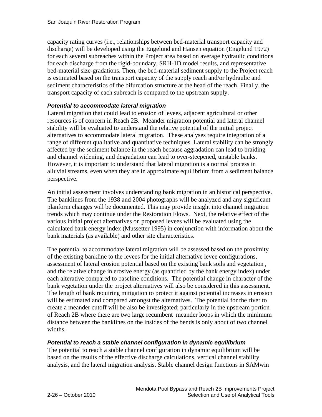capacity rating curves (i.e., relationships between bed-material transport capacity and discharge) will be developed using the Engelund and Hansen equation (Engelund 1972) for each several subreaches within the Project area based on average hydraulic conditions for each discharge from the rigid-boundary, SRH-1D model results, and representative bed-material size-gradations. Then, the bed-material sediment supply to the Project reach is estimated based on the transport capacity of the supply reach and/or hydraulic and sediment characteristics of the bifurcation structure at the head of the reach. Finally, the transport capacity of each subreach is compared to the upstream supply.

#### *Potential to accommodate lateral migration*

Lateral migration that could lead to erosion of levees, adjacent agricultural or other resources is of concern in Reach 2B. Meander migration potential and lateral channel stability will be evaluated to understand the relative potential of the initial project alternatives to accommodate lateral migration. These analyses require integration of a range of different qualitative and quantitative techniques. Lateral stability can be strongly affected by the sediment balance in the reach because aggradation can lead to braiding and channel widening, and degradation can lead to over-steepened, unstable banks. However, it is important to understand that lateral migration is a normal process in alluvial streams, even when they are in approximate equilibrium from a sediment balance perspective.

An initial assessment involves understanding bank migration in an historical perspective. The banklines from the 1938 and 2004 photographs will be analyzed and any significant planform changes will be documented. This may provide insight into channel migration trends which may continue under the Restoration Flows. Next, the relative effect of the various initial project alternatives on proposed levees will be evaluated using the calculated bank energy index (Mussetter 1995) in conjunction with information about the bank materials (as available) and other site characteristics.

The potential to accommodate lateral migration will be assessed based on the proximity of the existing bankline to the levees for the initial alternative levee configurations, assessment of lateral erosion potential based on the existing bank soils and vegetation , and the relative change in erosive energy (as quantified by the bank energy index) under each alterative compared to baseline conditions. The potential change in character of the bank vegetation under the project alternatives will also be considered in this assessment. The length of bank requiring mitigation to protect it against potential increases in erosion will be estimated and compared amongst the alternatives. The potential for the river to create a meander cutoff will be also be investigated; particularly in the upstream portion of Reach 2B where there are two large recumbent meander loops in which the minimum distance between the banklines on the insides of the bends is only about of two channel widths.

#### *Potential to reach a stable channel configuration in dynamic equilibrium*

The potential to reach a stable channel configuration in dynamic equilibrium will be based on the results of the effective discharge calculations, vertical channel stability analysis, and the lateral migration analysis. Stable channel design functions in SAMwin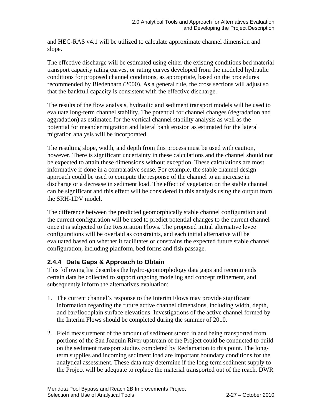and HEC-RAS v4.1 will be utilized to calculate approximate channel dimension and slope.

The effective discharge will be estimated using either the existing conditions bed material transport capacity rating curves, or rating curves developed from the modeled hydraulic conditions for proposed channel conditions, as appropriate, based on the procedures recommended by Biedenharn (2000). As a general rule, the cross sections will adjust so that the bankfull capacity is consistent with the effective discharge.

The results of the flow analysis, hydraulic and sediment transport models will be used to evaluate long-term channel stability. The potential for channel changes (degradation and aggradation) as estimated for the vertical channel stability analysis as well as the potential for meander migration and lateral bank erosion as estimated for the lateral migration analysis will be incorporated.

The resulting slope, width, and depth from this process must be used with caution, however. There is significant uncertainty in these calculations and the channel should not be expected to attain these dimensions without exception. These calculations are most informative if done in a comparative sense. For example, the stable channel design approach could be used to compute the response of the channel to an increase in discharge or a decrease in sediment load. The effect of vegetation on the stable channel can be significant and this effect will be considered in this analysis using the output from the SRH-1DV model.

The difference between the predicted geomorphically stable channel configuration and the current configuration will be used to predict potential changes to the current channel once it is subjected to the Restoration Flows. The proposed initial alternative levee configurations will be overlaid as constraints, and each initial alternative will be evaluated based on whether it facilitates or constrains the expected future stable channel configuration, including planform, bed forms and fish passage.

## **2.4.4 Data Gaps & Approach to Obtain**

This following list describes the hydro-geomorphology data gaps and recommends certain data be collected to support ongoing modeling and concept refinement, and subsequently inform the alternatives evaluation:

- 1. The current channel's response to the Interim Flows may provide significant information regarding the future active channel dimensions, including width, depth, and bar/floodplain surface elevations. Investigations of the active channel formed by the Interim Flows should be completed during the summer of 2010.
- 2. Field measurement of the amount of sediment stored in and being transported from portions of the San Joaquin River upstream of the Project could be conducted to build on the sediment transport studies completed by Reclamation to this point. The longterm supplies and incoming sediment load are important boundary conditions for the analytical assessment. These data may determine if the long-term sediment supply to the Project will be adequate to replace the material transported out of the reach. DWR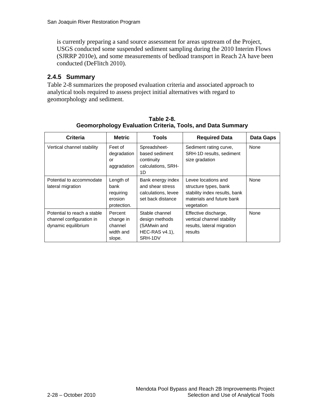is currently preparing a sand source assessment for areas upstream of the Project, USGS conducted some suspended sediment sampling during the 2010 Interim Flows (SJRRP 2010e), and some measurements of bedload transport in Reach 2A have been conducted (DeFlitch 2010).

## **2.4.5 Summary**

[Table 2-8](#page-49-0) summarizes the proposed evaluation criteria and associated approach to analytical tools required to assess project initial alternatives with regard to geomorphology and sediment.

| <b>Criteria</b>                                                                | <b>Metric</b>                                            | Tools                                                                             | <b>Required Data</b>                                                                                                     | <b>Data Gaps</b> |
|--------------------------------------------------------------------------------|----------------------------------------------------------|-----------------------------------------------------------------------------------|--------------------------------------------------------------------------------------------------------------------------|------------------|
| Vertical channel stability                                                     | Feet of<br>degradation<br>or<br>aggradation              | Spreadsheet-<br>based sediment<br>continuity<br>calculations, SRH-<br>1D          | Sediment rating curve,<br>SRH-1D results, sediment<br>size gradation                                                     | None             |
| Potential to accommodate<br>lateral migration                                  | Length of<br>bank<br>requiring<br>erosion<br>protection. | Bank energy index<br>and shear stress<br>calculations, levee<br>set back distance | Levee locations and<br>structure types, bank<br>stability index results, bank<br>materials and future bank<br>vegetation | None             |
| Potential to reach a stable<br>channel configuration in<br>dynamic equilibrium | Percent<br>change in<br>channel<br>width and<br>slope.   | Stable channel<br>design methods<br>(SAMwin and<br>HEC-RAS v4.1),<br>SRH-1DV      | Effective discharge,<br>vertical channel stability<br>results, lateral migration<br>results                              | None             |

<span id="page-49-0"></span>**Table 2-8. Geomorphology Evaluation Criteria, Tools, and Data Summary**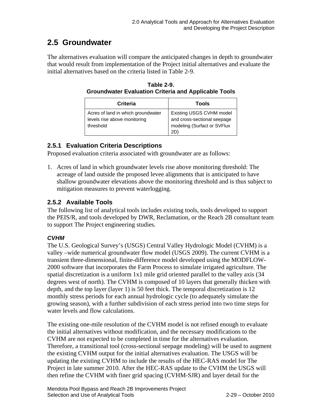## **2.5 Groundwater**

The alternatives evaluation will compare the anticipated changes in depth to groundwater that would result from implementation of the Project initial alternatives and evaluate the initial alternatives based on the criteria listed in [Table 2-9.](#page-50-0)

| <b>Criteria</b>                    | Tools                       |
|------------------------------------|-----------------------------|
| Acres of land in which groundwater | Existing USGS CVHM model    |
| levels rise above monitoring       | and cross-sectional seepage |
| threshold                          | modeling (Surfact or SVFlux |
|                                    | 2D.                         |

<span id="page-50-0"></span>**Table 2-9. Groundwater Evaluation Criteria and Applicable Tools** 

## **2.5.1 Evaluation Criteria Descriptions**

Proposed evaluation criteria associated with groundwater are as follows:

1. Acres of land in which groundwater levels rise above monitoring threshold: The acreage of land outside the proposed levee alignments that is anticipated to have shallow groundwater elevations above the monitoring threshold and is thus subject to mitigation measures to prevent waterlogging.

## **2.5.2 Available Tools**

The following list of analytical tools includes existing tools, tools developed to support the PEIS/R, and tools developed by DWR, Reclamation, or the Reach 2B consultant team to support The Project engineering studies.

## *CVHM*

The U.S. Geological Survey's (USGS) Central Valley Hydrologic Model (CVHM) is a valley –wide numerical groundwater flow model (USGS 2009). The current CVHM is a transient three-dimensional, finite-difference model developed using the MODFLOW-2000 software that incorporates the Farm Process to simulate irrigated agriculture. The spatial discretization is a uniform 1x1 mile grid oriented parallel to the valley axis (34 degrees west of north). The CVHM is composed of 10 layers that generally thicken with depth, and the top layer (layer 1) is 50 feet thick. The temporal discretization is 12 monthly stress periods for each annual hydrologic cycle (to adequately simulate the growing season), with a further subdivision of each stress period into two time steps for water levels and flow calculations.

The existing one-mile resolution of the CVHM model is not refined enough to evaluate the initial alternatives without modification, and the necessary modifications to the CVHM are not expected to be completed in time for the alternatives evaluation. Therefore, a transitional tool (cross-sectional seepage modeling) will be used to augment the existing CVHM output for the initial alternatives evaluation. The USGS will be updating the existing CVHM to include the results of the HEC-RAS model for The Project in late summer 2010. After the HEC-RAS update to the CVHM the USGS will then refine the CVHM with finer grid spacing (CVHM-SJR) and layer detail for the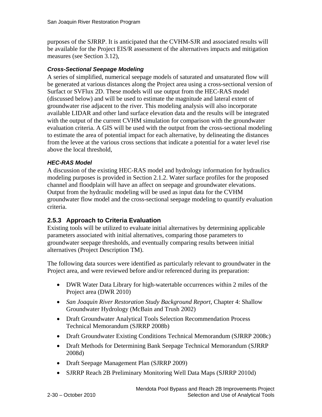purposes of the SJRRP. It is anticipated that the CVHM-SJR and associated results will be available for the Project EIS/R assessment of the alternatives impacts and mitigation measures (see Section [3.12\)](#page-100-0),

#### *Cross-Sectional Seepage Modeling*

A series of simplified, numerical seepage models of saturated and unsaturated flow will be generated at various distances along the Project area using a cross-sectional version of Surfact or SVFlux 2D. These models will use output from the HEC-RAS model (discussed below) and will be used to estimate the magnitude and lateral extent of groundwater rise adjacent to the river. This modeling analysis will also incorporate available LIDAR and other land surface elevation data and the results will be integrated with the output of the current CVHM simulation for comparison with the groundwater evaluation criteria. A GIS will be used with the output from the cross-sectional modeling to estimate the area of potential impact for each alternative, by delineating the distances from the levee at the various cross sections that indicate a potential for a water level rise above the local threshold,

#### *HEC-RAS Model*

A discussion of the existing HEC-RAS model and hydrology information for hydraulics modeling purposes is provided in Section [2.1.2.](#page-24-0) Water surface profiles for the proposed channel and floodplain will have an affect on seepage and groundwater elevations. Output from the hydraulic modeling will be used as input data for the CVHM groundwater flow model and the cross-sectional seepage modeling to quantify evaluation criteria.

## **2.5.3 Approach to Criteria Evaluation**

Existing tools will be utilized to evaluate initial alternatives by determining applicable parameters associated with initial alternatives, comparing those parameters to groundwater seepage thresholds, and eventually comparing results between initial alternatives (Project Description TM).

The following data sources were identified as particularly relevant to groundwater in the Project area, and were reviewed before and/or referenced during its preparation:

- DWR Water Data Library for high-watertable occurrences within 2 miles of the Project area (DWR 2010)
- *San Joaquin River Restoration Study Background Report*, Chapter 4: Shallow Groundwater Hydrology (McBain and Trush 2002)
- Draft Groundwater Analytical Tools Selection Recommendation Process Technical Memorandum (SJRRP 2008b)
- Draft Groundwater Existing Conditions Technical Memorandum (SJRRP 2008c)
- Draft Methods for Determining Bank Seepage Technical Memorandum (SJRRP) 2008d)
- Draft Seepage Management Plan (SJRRP 2009)
- SJRRP Reach 2B Preliminary Monitoring Well Data Maps (SJRRP 2010d)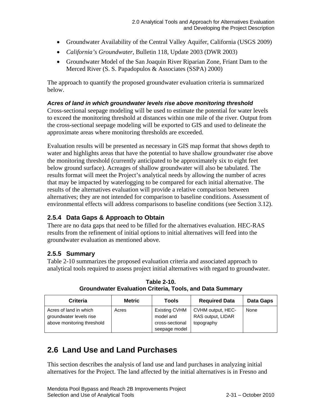- Groundwater Availability of the Central Valley Aquifer, California (USGS 2009)
- *California's Groundwater*, Bulletin 118, Update 2003 (DWR 2003)
- Groundwater Model of the San Joaquin River Riparian Zone, Friant Dam to the Merced River (S. S. Papadopulos & Associates (SSPA) 2000)

The approach to quantify the proposed groundwater evaluation criteria is summarized below.

#### *Acres of land in which groundwater levels rise above monitoring threshold*

Cross-sectional seepage modeling will be used to estimate the potential for water levels to exceed the monitoring threshold at distances within one mile of the river. Output from the cross-sectional seepage modeling will be exported to GIS and used to delineate the approximate areas where monitoring thresholds are exceeded.

Evaluation results will be presented as necessary in GIS map format that shows depth to water and highlights areas that have the potential to have shallow groundwater rise above the monitoring threshold (currently anticipated to be approximately six to eight feet below ground surface). Acreages of shallow groundwater will also be tabulated. The results format will meet the Project's analytical needs by allowing the number of acres that may be impacted by waterlogging to be compared for each initial alternative. The results of the alternatives evaluation will provide a relative comparison between alternatives; they are not intended for comparison to baseline conditions. Assessment of environmental effects will address comparisons to baseline conditions (see Section [3.12\)](#page-100-0).

## **2.5.4 Data Gaps & Approach to Obtain**

There are no data gaps that need to be filled for the alternatives evaluation. HEC-RAS results from the refinement of initial options to initial alternatives will feed into the groundwater evaluation as mentioned above.

## **2.5.5 Summary**

[Table 2-10](#page-52-0) summarizes the proposed evaluation criteria and associated approach to analytical tools required to assess project initial alternatives with regard to groundwater.

| <b>Criteria</b>                                                                 | <b>Metric</b> | Tools                                                          | <b>Required Data</b>                                 | Data Gaps |
|---------------------------------------------------------------------------------|---------------|----------------------------------------------------------------|------------------------------------------------------|-----------|
| Acres of land in which<br>groundwater levels rise<br>above monitoring threshold | Acres         | Existing CVHM<br>model and<br>cross-sectional<br>seepage model | CVHM output, HEC-<br>RAS output, LIDAR<br>topography | None      |

<span id="page-52-0"></span>**Table 2-10. Groundwater Evaluation Criteria, Tools, and Data Summary** 

## **2.6 Land Use and Land Purchases**

This section describes the analysis of land use and land purchases in analyzing initial alternatives for the Project. The land affected by the initial alternatives is in Fresno and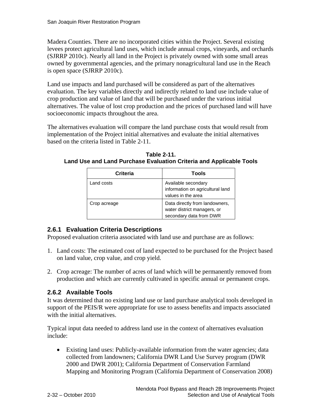Madera Counties. There are no incorporated cities within the Project. Several existing levees protect agricultural land uses, which include annual crops, vineyards, and orchards (SJRRP 2010c). Nearly all land in the Project is privately owned with some small areas owned by governmental agencies, and the primary nonagricultural land use in the Reach is open space (SJRRP 2010c).

Land use impacts and land purchased will be considered as part of the alternatives evaluation. The key variables directly and indirectly related to land use include value of crop production and value of land that will be purchased under the various initial alternatives. The value of lost crop production and the prices of purchased land will have socioeconomic impacts throughout the area.

The alternatives evaluation will compare the land purchase costs that would result from implementation of the Project initial alternatives and evaluate the initial alternatives based on the criteria listed in [Table 2-11.](#page-53-0)

<span id="page-53-0"></span>

| <b>Criteria</b> | Tools                                                                                    |
|-----------------|------------------------------------------------------------------------------------------|
| Land costs      | Available secondary<br>information on agricultural land<br>values in the area            |
| Crop acreage    | Data directly from landowners,<br>water district managers, or<br>secondary data from DWR |

**Table 2-11. Land Use and Land Purchase Evaluation Criteria and Applicable Tools** 

## **2.6.1 Evaluation Criteria Descriptions**

Proposed evaluation criteria associated with land use and purchase are as follows:

- 1. Land costs: The estimated cost of land expected to be purchased for the Project based on land value, crop value, and crop yield.
- 2. Crop acreage: The number of acres of land which will be permanently removed from production and which are currently cultivated in specific annual or permanent crops.

## **2.6.2 Available Tools**

It was determined that no existing land use or land purchase analytical tools developed in support of the PEIS/R were appropriate for use to assess benefits and impacts associated with the initial alternatives.

Typical input data needed to address land use in the context of alternatives evaluation include:

• Existing land uses: Publicly-available information from the water agencies; data collected from landowners; California DWR Land Use Survey program (DWR 2000 and DWR 2001); California Department of Conservation Farmland Mapping and Monitoring Program (California Department of Conservation 2008)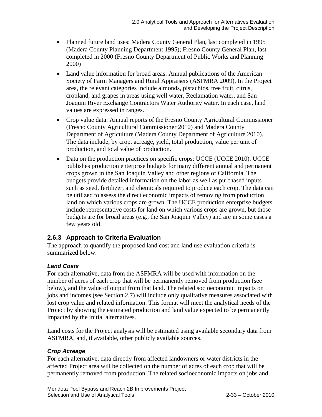- Planned future land uses: Madera County General Plan, last completed in 1995 (Madera County Planning Department 1995); Fresno County General Plan, last completed in 2000 (Fresno County Department of Public Works and Planning 2000)
- Land value information for broad areas: Annual publications of the American Society of Farm Managers and Rural Appraisers (ASFMRA 2009). In the Project area, the relevant categories include almonds, pistachios, tree fruit, citrus, cropland, and grapes in areas using well water, Reclamation water, and San Joaquin River Exchange Contractors Water Authority water. In each case, land values are expressed in ranges.
- Crop value data: Annual reports of the Fresno County Agricultural Commissioner (Fresno County Agricultural Commissioner 2010) and Madera County Department of Agriculture (Madera County Department of Agriculture 2010). The data include, by crop, acreage, yield, total production, value per unit of production, and total value of production.
- Data on the production practices on specific crops: UCCE (UCCE 2010). UCCE publishes production enterprise budgets for many different annual and permanent crops grown in the San Joaquin Valley and other regions of California. The budgets provide detailed information on the labor as well as purchased inputs such as seed, fertilizer, and chemicals required to produce each crop. The data can be utilized to assess the direct economic impacts of removing from production land on which various crops are grown. The UCCE production enterprise budgets include representative costs for land on which various crops are grown, but those budgets are for broad areas (e.g., the San Joaquin Valley) and are in some cases a few years old.

## **2.6.3 Approach to Criteria Evaluation**

The approach to quantify the proposed land cost and land use evaluation criteria is summarized below.

## *Land Costs*

For each alternative, data from the ASFMRA will be used with information on the number of acres of each crop that will be permanently removed from production (see below), and the value of output from that land. The related socioeconomic impacts on jobs and incomes (see Section [2.7\)](#page-56-0) will include only qualitative measures associated with lost crop value and related information. This format will meet the analytical needs of the Project by showing the estimated production and land value expected to be permanently impacted by the initial alternatives.

Land costs for the Project analysis will be estimated using available secondary data from ASFMRA, and, if available, other publicly available sources.

#### *Crop Acreage*

For each alternative, data directly from affected landowners or water districts in the affected Project area will be collected on the number of acres of each crop that will be permanently removed from production. The related socioeconomic impacts on jobs and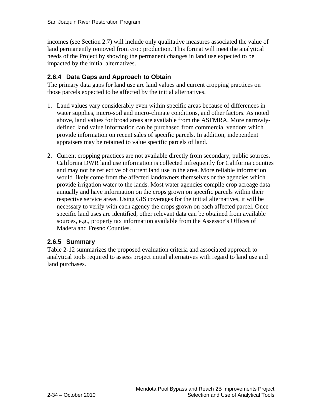incomes (see Section [2.7\)](#page-56-0) will include only qualitative measures associated the value of land permanently removed from crop production. This format will meet the analytical needs of the Project by showing the permanent changes in land use expected to be impacted by the initial alternatives.

#### **2.6.4 Data Gaps and Approach to Obtain**

The primary data gaps for land use are land values and current cropping practices on those parcels expected to be affected by the initial alternatives.

- 1. Land values vary considerably even within specific areas because of differences in water supplies, micro-soil and micro-climate conditions, and other factors. As noted above, land values for broad areas are available from the ASFMRA. More narrowlydefined land value information can be purchased from commercial vendors which provide information on recent sales of specific parcels. In addition, independent appraisers may be retained to value specific parcels of land.
- 2. Current cropping practices are not available directly from secondary, public sources. California DWR land use information is collected infrequently for California counties and may not be reflective of current land use in the area. More reliable information would likely come from the affected landowners themselves or the agencies which provide irrigation water to the lands. Most water agencies compile crop acreage data annually and have information on the crops grown on specific parcels within their respective service areas. Using GIS coverages for the initial alternatives, it will be necessary to verify with each agency the crops grown on each affected parcel. Once specific land uses are identified, other relevant data can be obtained from available sources, e.g., property tax information available from the Assessor's Offices of Madera and Fresno Counties.

#### **2.6.5 Summary**

[Table 2-12](#page-56-1) summarizes the proposed evaluation criteria and associated approach to analytical tools required to assess project initial alternatives with regard to land use and land purchases.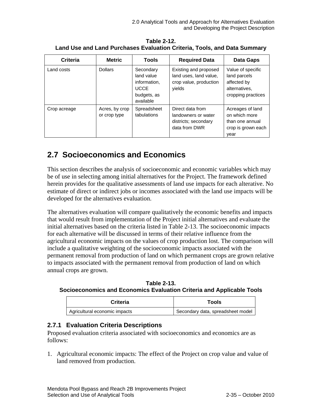| Criteria     | <b>Metric</b>                  | <b>Tools</b>                                                                       | <b>Required Data</b>                                                                | Data Gaps                                                                               |
|--------------|--------------------------------|------------------------------------------------------------------------------------|-------------------------------------------------------------------------------------|-----------------------------------------------------------------------------------------|
| Land costs   | <b>Dollars</b>                 | Secondary<br>land value<br>information.<br><b>UCCE</b><br>budgets, as<br>available | Existing and proposed<br>land uses, land value,<br>crop value, production<br>vields | Value of specific<br>land parcels<br>affected by<br>alternatives.<br>cropping practices |
| Crop acreage | Acres, by crop<br>or crop type | Spreadsheet<br>tabulations                                                         | Direct data from<br>landowners or water<br>districts; secondary<br>data from DWR    | Acreages of land<br>on which more<br>than one annual<br>crop is grown each<br>year      |

<span id="page-56-1"></span>**Table 2-12. Land Use and Land Purchases Evaluation Criteria, Tools, and Data Summary** 

## <span id="page-56-0"></span>**2.7 Socioeconomics and Economics**

This section describes the analysis of socioeconomic and economic variables which may be of use in selecting among initial alternatives for the Project. The framework defined herein provides for the qualitative assessments of land use impacts for each alterative. No estimate of direct or indirect jobs or incomes associated with the land use impacts will be developed for the alternatives evaluation.

The alternatives evaluation will compare qualitatively the economic benefits and impacts that would result from implementation of the Project initial alternatives and evaluate the initial alternatives based on the criteria listed in [Table 2-13.](#page-56-2) The socioeconomic impacts for each alternative will be discussed in terms of their relative influence from the agricultural economic impacts on the values of crop production lost. The comparison will include a qualitative weighting of the socioeconomic impacts associated with the permanent removal from production of land on which permanent crops are grown relative to impacts associated with the permanent removal from production of land on which annual crops are grown.

**Table 2-13. Socioeconomics and Economics Evaluation Criteria and Applicable Tools** 

<span id="page-56-2"></span>

| <b>Criteria</b>               | Tools                             |
|-------------------------------|-----------------------------------|
| Agricultural economic impacts | Secondary data, spreadsheet model |

## **2.7.1 Evaluation Criteria Descriptions**

Proposed evaluation criteria associated with socioeconomics and economics are as follows:

1. Agricultural economic impacts: The effect of the Project on crop value and value of land removed from production.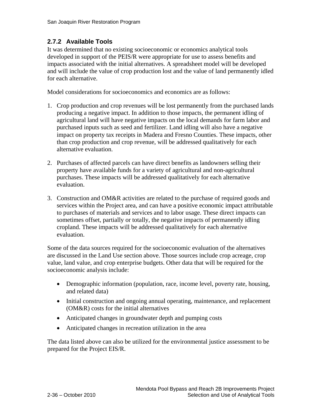## **2.7.2 Available Tools**

It was determined that no existing socioeconomic or economics analytical tools developed in support of the PEIS/R were appropriate for use to assess benefits and impacts associated with the initial alternatives. A spreadsheet model will be developed and will include the value of crop production lost and the value of land permanently idled for each alternative.

Model considerations for socioeconomics and economics are as follows:

- 1. Crop production and crop revenues will be lost permanently from the purchased lands producing a negative impact. In addition to those impacts, the permanent idling of agricultural land will have negative impacts on the local demands for farm labor and purchased inputs such as seed and fertilizer. Land idling will also have a negative impact on property tax receipts in Madera and Fresno Counties. These impacts, other than crop production and crop revenue, will be addressed qualitatively for each alternative evaluation.
- 2. Purchases of affected parcels can have direct benefits as landowners selling their property have available funds for a variety of agricultural and non-agricultural purchases. These impacts will be addressed qualitatively for each alternative evaluation.
- 3. Construction and OM&R activities are related to the purchase of required goods and services within the Project area, and can have a positive economic impact attributable to purchases of materials and services and to labor usage. These direct impacts can sometimes offset, partially or totally, the negative impacts of permanently idling cropland. These impacts will be addressed qualitatively for each alternative evaluation.

Some of the data sources required for the socioeconomic evaluation of the alternatives are discussed in the Land Use section above. Those sources include crop acreage, crop value, land value, and crop enterprise budgets. Other data that will be required for the socioeconomic analysis include:

- Demographic information (population, race, income level, poverty rate, housing, and related data)
- Initial construction and ongoing annual operating, maintenance, and replacement (OM&R) costs for the initial alternatives
- Anticipated changes in groundwater depth and pumping costs
- Anticipated changes in recreation utilization in the area

The data listed above can also be utilized for the environmental justice assessment to be prepared for the Project EIS/R.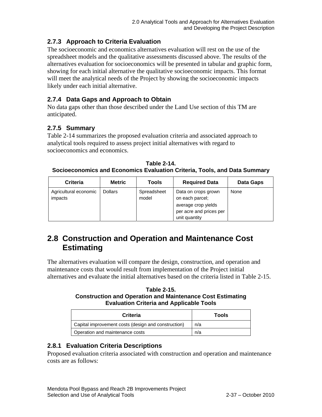## **2.7.3 Approach to Criteria Evaluation**

The socioeconomic and economics alternatives evaluation will rest on the use of the spreadsheet models and the qualitative assessments discussed above. The results of the alternatives evaluation for socioeconomics will be presented in tabular and graphic form, showing for each initial alternative the qualitative socioeconomic impacts. This format will meet the analytical needs of the Project by showing the socioeconomic impacts likely under each initial alternative.

## **2.7.4 Data Gaps and Approach to Obtain**

No data gaps other than those described under the Land Use section of this TM are anticipated.

## **2.7.5 Summary**

[Table 2-14](#page-58-0) summarizes the proposed evaluation criteria and associated approach to analytical tools required to assess project initial alternatives with regard to socioeconomics and economics.

<span id="page-58-0"></span>**Table 2-14. Socioeconomics and Economics Evaluation Criteria, Tools, and Data Summary** 

| <b>Criteria</b>                  | <b>Metric</b>  | <b>Tools</b>         | <b>Required Data</b>                                                                                      | Data Gaps |
|----------------------------------|----------------|----------------------|-----------------------------------------------------------------------------------------------------------|-----------|
| Agricultural economic<br>impacts | <b>Dollars</b> | Spreadsheet<br>model | Data on crops grown<br>on each parcel;<br>average crop yields<br>per acre and prices per<br>unit quantity | None      |

## **2.8 Construction and Operation and Maintenance Cost Estimating**

The alternatives evaluation will compare the design, construction, and operation and maintenance costs that would result from implementation of the Project initial alternatives and evaluate the initial alternatives based on the criteria listed in [Table 2-15.](#page-58-1)

#### <span id="page-58-1"></span>**Table 2-15. Construction and Operation and Maintenance Cost Estimating Evaluation Criteria and Applicable Tools**

| Criteria                                            | Tools |
|-----------------------------------------------------|-------|
| Capital improvement costs (design and construction) | n/a   |
| Operation and maintenance costs                     | n/a   |

## **2.8.1 Evaluation Criteria Descriptions**

Proposed evaluation criteria associated with construction and operation and maintenance costs are as follows: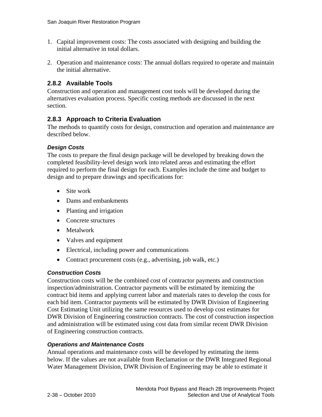- 1. Capital improvement costs: The costs associated with designing and building the initial alternative in total dollars.
- 2. Operation and maintenance costs: The annual dollars required to operate and maintain the initial alternative.

## **2.8.2 Available Tools**

Construction and operation and management cost tools will be developed during the alternatives evaluation process. Specific costing methods are discussed in the next section.

## **2.8.3 Approach to Criteria Evaluation**

The methods to quantify costs for design, construction and operation and maintenance are described below.

#### *Design Costs*

The costs to prepare the final design package will be developed by breaking down the completed feasibility-level design work into related areas and estimating the effort required to perform the final design for each. Examples include the time and budget to design and to prepare drawings and specifications for:

- Site work
- Dams and embankments
- Planting and irrigation
- Concrete structures
- Metalwork
- Valves and equipment
- Electrical, including power and communications
- Contract procurement costs (e.g., advertising, job walk, etc.)

#### *Construction Costs*

Construction costs will be the combined cost of contractor payments and construction inspection/administration. Contractor payments will be estimated by itemizing the contract bid items and applying current labor and materials rates to develop the costs for each bid item. Contractor payments will be estimated by DWR Division of Engineering Cost Estimating Unit utilizing the same resources used to develop cost estimates for DWR Division of Engineering construction contracts. The cost of construction inspection and administration will be estimated using cost data from similar recent DWR Division of Engineering construction contracts.

#### *Operations and Maintenance Costs*

Annual operations and maintenance costs will be developed by estimating the items below. If the values are not available from Reclamation or the DWR Integrated Regional Water Management Division, DWR Division of Engineering may be able to estimate it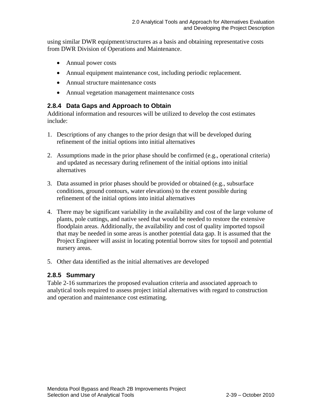using similar DWR equipment/structures as a basis and obtaining representative costs from DWR Division of Operations and Maintenance.

- Annual power costs
- Annual equipment maintenance cost, including periodic replacement.
- Annual structure maintenance costs
- Annual vegetation management maintenance costs

## **2.8.4 Data Gaps and Approach to Obtain**

Additional information and resources will be utilized to develop the cost estimates include:

- 1. Descriptions of any changes to the prior design that will be developed during refinement of the initial options into initial alternatives
- 2. Assumptions made in the prior phase should be confirmed (e.g., operational criteria) and updated as necessary during refinement of the initial options into initial alternatives
- 3. Data assumed in prior phases should be provided or obtained (e.g., subsurface conditions, ground contours, water elevations) to the extent possible during refinement of the initial options into initial alternatives
- 4. There may be significant variability in the availability and cost of the large volume of plants, pole cuttings, and native seed that would be needed to restore the extensive floodplain areas. Additionally, the availability and cost of quality imported topsoil that may be needed in some areas is another potential data gap. It is assumed that the Project Engineer will assist in locating potential borrow sites for topsoil and potential nursery areas.
- 5. Other data identified as the initial alternatives are developed

## **2.8.5 Summary**

[Table 2-16](#page-61-0) summarizes the proposed evaluation criteria and associated approach to analytical tools required to assess project initial alternatives with regard to construction and operation and maintenance cost estimating.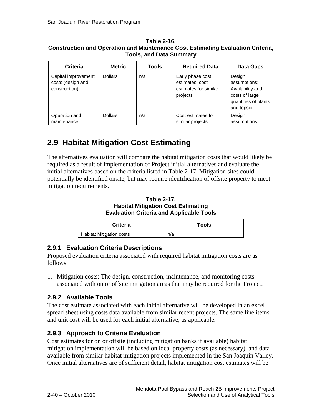#### <span id="page-61-0"></span>**Table 2-16. Construction and Operation and Maintenance Cost Estimating Evaluation Criteria, Tools, and Data Summary**

| Criteria                                                  | <b>Metric</b>  | <b>Tools</b> | <b>Required Data</b>                                                     | Data Gaps                                                                                           |
|-----------------------------------------------------------|----------------|--------------|--------------------------------------------------------------------------|-----------------------------------------------------------------------------------------------------|
| Capital improvement<br>costs (design and<br>construction) | <b>Dollars</b> | n/a          | Early phase cost<br>estimates, cost<br>estimates for similar<br>projects | Design<br>assumptions;<br>Availability and<br>costs of large<br>quantities of plants<br>and topsoil |
| Operation and<br>maintenance                              | <b>Dollars</b> | n/a          | Cost estimates for<br>similar projects                                   | Design<br>assumptions                                                                               |

## **2.9 Habitat Mitigation Cost Estimating**

The alternatives evaluation will compare the habitat mitigation costs that would likely be required as a result of implementation of Project initial alternatives and evaluate the initial alternatives based on the criteria listed in [Table 2-17.](#page-61-1) Mitigation sites could potentially be identified onsite, but may require identification of offsite property to meet mitigation requirements.

#### <span id="page-61-1"></span>**Table 2-17. Habitat Mitigation Cost Estimating Evaluation Criteria and Applicable Tools**

| <b>Criteria</b>                 | Tools |
|---------------------------------|-------|
| <b>Habitat Mitigation costs</b> | n/a   |

## **2.9.1 Evaluation Criteria Descriptions**

Proposed evaluation criteria associated with required habitat mitigation costs are as follows:

1. Mitigation costs: The design, construction, maintenance, and monitoring costs associated with on or offsite mitigation areas that may be required for the Project.

## **2.9.2 Available Tools**

The cost estimate associated with each initial alternative will be developed in an excel spread sheet using costs data available from similar recent projects. The same line items and unit cost will be used for each initial alternative, as applicable.

## **2.9.3 Approach to Criteria Evaluation**

Cost estimates for on or offsite (including mitigation banks if available) habitat mitigation implementation will be based on local property costs (as necessary), and data available from similar habitat mitigation projects implemented in the San Joaquin Valley. Once initial alternatives are of sufficient detail, habitat mitigation cost estimates will be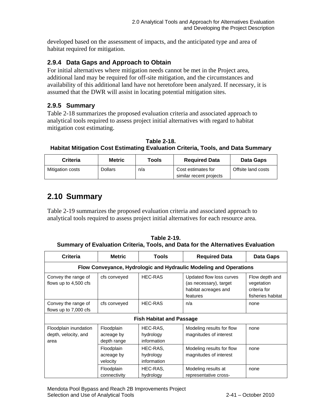developed based on the assessment of impacts, and the anticipated type and area of habitat required for mitigation.

## **2.9.4 Data Gaps and Approach to Obtain**

For initial alternatives where mitigation needs cannot be met in the Project area, additional land may be required for off-site mitigation, and the circumstances and availability of this additional land have not heretofore been analyzed. If necessary, it is assumed that the DWR will assist in locating potential mitigation sites.

## **2.9.5 Summary**

[Table 2-18](#page-62-0) summarizes the proposed evaluation criteria and associated approach to analytical tools required to assess project initial alternatives with regard to habitat mitigation cost estimating.

<span id="page-62-0"></span>**Table 2-18. Habitat Mitigation Cost Estimating Evaluation Criteria, Tools, and Data Summary** 

| <b>Criteria</b>  | <b>Metric</b>  | Tools | <b>Required Data</b>                          | Data Gaps          |
|------------------|----------------|-------|-----------------------------------------------|--------------------|
| Mitigation costs | <b>Dollars</b> | n/a   | Cost estimates for<br>similar recent projects | Offsite land costs |

## **2.10 Summary**

[Table 2-19](#page-62-1) summarizes the proposed evaluation criteria and associated approach to analytical tools required to assess project initial alternatives for each resource area.

<span id="page-62-1"></span>**Table 2-19. Summary of Evaluation Criteria, Tools, and Data for the Alternatives Evaluation** 

| <b>Criteria</b>                                       | <b>Metric</b>                                                     | Tools                                | <b>Required Data</b>                                                                   | Data Gaps                                                         |  |  |
|-------------------------------------------------------|-------------------------------------------------------------------|--------------------------------------|----------------------------------------------------------------------------------------|-------------------------------------------------------------------|--|--|
|                                                       | Flow Conveyance, Hydrologic and Hydraulic Modeling and Operations |                                      |                                                                                        |                                                                   |  |  |
| Convey the range of<br>flows up to 4,500 cfs          | cfs conveyed                                                      | <b>HEC-RAS</b>                       | Updated flow loss curves<br>(as necessary), target<br>habitat acreages and<br>features | Flow depth and<br>vegetation<br>criteria for<br>fisheries habitat |  |  |
| Convey the range of<br>flows up to 7,000 cfs          | cfs conveyed                                                      | <b>HEC-RAS</b>                       | n/a                                                                                    | none                                                              |  |  |
|                                                       |                                                                   | <b>Fish Habitat and Passage</b>      |                                                                                        |                                                                   |  |  |
| Floodplain inundation<br>depth, velocity, and<br>area | Floodplain<br>acreage by<br>depth range                           | HEC-RAS.<br>hydrology<br>information | Modeling results for flow<br>magnitudes of interest                                    | none                                                              |  |  |
|                                                       | Floodplain<br>acreage by<br>velocity                              | HEC-RAS.<br>hydrology<br>information | Modeling results for flow<br>magnitudes of interest                                    | none                                                              |  |  |
|                                                       | Floodplain<br>connectivity                                        | HEC-RAS.<br>hydrology                | Modeling results at<br>representative cross-                                           | none                                                              |  |  |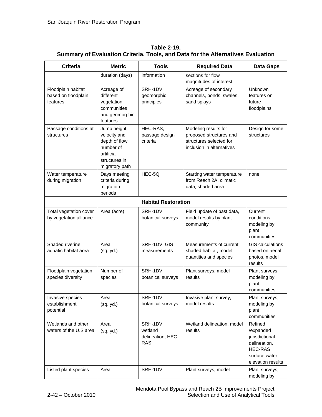| <b>Criteria</b>                                       | <b>Metric</b>                                                                                                | <b>Tools</b>                                           | <b>Required Data</b>                                                                                    | <b>Data Gaps</b>                                                                                               |
|-------------------------------------------------------|--------------------------------------------------------------------------------------------------------------|--------------------------------------------------------|---------------------------------------------------------------------------------------------------------|----------------------------------------------------------------------------------------------------------------|
|                                                       | duration (days)                                                                                              | information                                            | sections for flow<br>magnitudes of interest                                                             |                                                                                                                |
| Floodplain habitat<br>based on floodplain<br>features | Acreage of<br>different<br>vegetation<br>communities<br>and geomorphic<br>features                           | SRH-1DV,<br>geomorphic<br>principles                   | Acreage of secondary<br>channels, ponds, swales,<br>sand splays                                         | Unknown<br>features on<br>future<br>floodplains                                                                |
| Passage conditions at<br>structures                   | Jump height,<br>velocity and<br>depth of flow,<br>number of<br>artificial<br>structures in<br>migratory path | HEC-RAS,<br>passage design<br>criteria                 | Modeling results for<br>proposed structures and<br>structures selected for<br>inclusion in alternatives | Design for some<br>structures                                                                                  |
| Water temperature<br>during migration                 | Days meeting<br>criteria during<br>migration<br>periods                                                      | HEC-5Q                                                 | Starting water temperature<br>from Reach 2A, climatic<br>data, shaded area                              | none                                                                                                           |
|                                                       |                                                                                                              | <b>Habitat Restoration</b>                             |                                                                                                         |                                                                                                                |
| Total vegetation cover<br>by vegetation alliance      | Area (acre)                                                                                                  | SRH-1DV,<br>botanical surveys                          | Field update of past data,<br>model results by plant<br>community                                       | Current<br>conditions,<br>modeling by<br>plant<br>communities                                                  |
| Shaded riverine<br>aquatic habitat area               | Area<br>(sq. yd.)                                                                                            | SRH-1DV, GIS<br>measurements                           | Measurements of current<br>shaded habitat, model<br>quantities and species                              | GIS calculations<br>based on aerial<br>photos, model<br>results                                                |
| Floodplain vegetation<br>species diversity            | Number of<br>species                                                                                         | SRH-1DV,<br>botanical surveys                          | Plant surveys, model<br>results                                                                         | Plant surveys,<br>modeling by<br>plant<br>communities                                                          |
| Invasive species<br>establishment<br>potential        | Area<br>(sq. yd.)                                                                                            | SRH-1DV,<br>botanical surveys                          | Invasive plant survey,<br>model results                                                                 | Plant surveys,<br>modeling by<br>plant<br>communities                                                          |
| Wetlands and other<br>waters of the U.S area          | Area<br>(sq. yd.)                                                                                            | SRH-1DV,<br>wetland<br>delineation, HEC-<br><b>RAS</b> | Wetland delineation, model<br>results                                                                   | Refined<br>/expanded<br>jurisdictional<br>delineation,<br><b>HEC-RAS</b><br>surface water<br>elevation results |
| Listed plant species                                  | Area                                                                                                         | SRH-1DV,                                               | Plant surveys, model                                                                                    | Plant surveys,<br>modeling by                                                                                  |

**Table 2-19. Summary of Evaluation Criteria, Tools, and Data for the Alternatives Evaluation**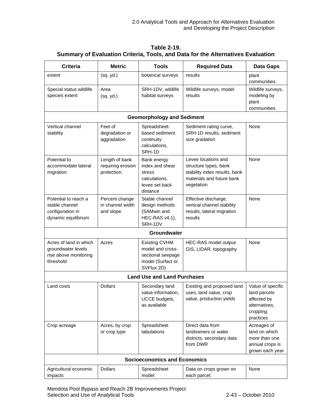| <b>Criteria</b>                                                                    | <b>Metric</b>                                      | <b>Tools</b>                                                                              | <b>Required Data</b>                                                                                                     | <b>Data Gaps</b>                                                                           |  |
|------------------------------------------------------------------------------------|----------------------------------------------------|-------------------------------------------------------------------------------------------|--------------------------------------------------------------------------------------------------------------------------|--------------------------------------------------------------------------------------------|--|
| extent                                                                             | (sq. yd.)                                          | botanical surveys                                                                         | results                                                                                                                  | plant<br>communities.                                                                      |  |
| Special status wildlife<br>species extent                                          | Area<br>(sq. yd.)                                  | SRH-1DV, wildlife<br>habitat surveys                                                      | Wildlife surveys, model<br>results                                                                                       | Wildlife surveys,<br>modeling by<br>plant<br>communities                                   |  |
|                                                                                    |                                                    | <b>Geomorphology and Sediment</b>                                                         |                                                                                                                          |                                                                                            |  |
| Vertical channel<br>stability                                                      | Feet of<br>degradation or<br>aggradation           | Spreadsheet-<br>based sediment<br>continuity<br>calculations,<br>SRH-1D                   | Sediment rating curve,<br>SRH-1D results, sediment<br>size gradation                                                     | None                                                                                       |  |
| Potential to<br>accommodate lateral<br>migration                                   | Length of bank<br>requiring erosion<br>protection. | Bank energy<br>index and shear<br>stress<br>calculations.<br>levee set back<br>distance   | Levee locations and<br>structure types, bank<br>stability index results, bank<br>materials and future bank<br>vegetation | None                                                                                       |  |
| Potential to reach a<br>stable channel<br>configuration in<br>dynamic equilibrium  | Percent change<br>in channel width<br>and slope.   | Stable channel<br>design methods<br>(SAMwin and<br>HEC-RAS v4.1),<br>SRH-1DV              | Effective discharge,<br>vertical channel stability<br>results, lateral migration<br>results                              | None                                                                                       |  |
|                                                                                    |                                                    | Groundwater                                                                               |                                                                                                                          |                                                                                            |  |
| Acres of land in which<br>groundwater levels<br>rise above monitoring<br>threshold | Acres                                              | Existing CVHM<br>model and cross-<br>sectional seepage<br>model (Surfact or<br>SVFlux 2D) | HEC-RAS model output<br>GIS, LIDAR, topography                                                                           | None                                                                                       |  |
|                                                                                    |                                                    | <b>Land Use and Land Purchases</b>                                                        |                                                                                                                          |                                                                                            |  |
| Land costs                                                                         | <b>Dollars</b>                                     | Secondary land<br>value information,<br>UCCE budgets,<br>as available                     | Existing and proposed land<br>uses, land value, crop<br>value, production yields                                         | Value of specific<br>land parcels<br>affected by<br>alternatives,<br>cropping<br>practices |  |
| Crop acreage                                                                       | Acres, by crop<br>or crop type                     | Spreadsheet<br>tabulations                                                                | Direct data from<br>landowners or water<br>districts; secondary data<br>from DWR                                         | Acreages of<br>land on which<br>more than one<br>annual crops is<br>grown each year        |  |
|                                                                                    | <b>Socioeconomics and Economics</b>                |                                                                                           |                                                                                                                          |                                                                                            |  |
| Agricultural economic<br>impacts                                                   | <b>Dollars</b>                                     | Spreadsheet<br>model                                                                      | Data on crops grown on<br>each parcel;                                                                                   | None                                                                                       |  |

**Table 2-19. Summary of Evaluation Criteria, Tools, and Data for the Alternatives Evaluation**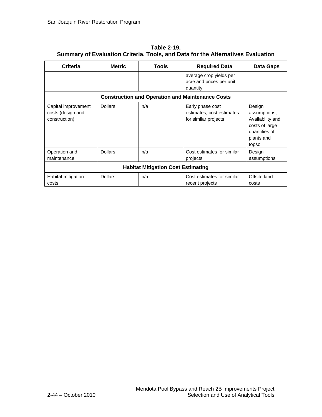| Criteria                                                  | <b>Metric</b>  | <b>Tools</b> | <b>Required Data</b>                                                  | Data Gaps                                                                                              |
|-----------------------------------------------------------|----------------|--------------|-----------------------------------------------------------------------|--------------------------------------------------------------------------------------------------------|
|                                                           |                |              | average crop yields per<br>acre and prices per unit<br>quantity       |                                                                                                        |
|                                                           |                |              | <b>Construction and Operation and Maintenance Costs</b>               |                                                                                                        |
| Capital improvement<br>costs (design and<br>construction) | <b>Dollars</b> | n/a          | Early phase cost<br>estimates, cost estimates<br>for similar projects | Design<br>assumptions;<br>Availability and<br>costs of large<br>quantities of<br>plants and<br>topsoil |
| Operation and<br>maintenance                              | <b>Dollars</b> | n/a          | Cost estimates for similar<br>projects                                | Design<br>assumptions                                                                                  |
| <b>Habitat Mitigation Cost Estimating</b>                 |                |              |                                                                       |                                                                                                        |
| Habitat mitigation<br>costs                               | <b>Dollars</b> | n/a          | Cost estimates for similar<br>recent projects                         | Offsite land<br>costs                                                                                  |

**Table 2-19. Summary of Evaluation Criteria, Tools, and Data for the Alternatives Evaluation**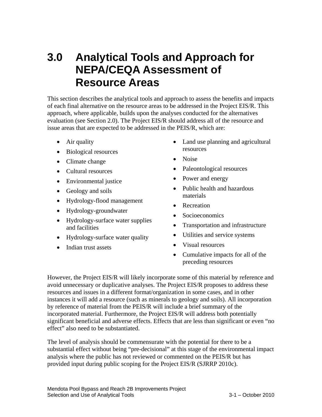# <span id="page-66-0"></span>**3.0 Analytical Tools and Approach for NEPA/CEQA Assessment of Resource Areas**

This section describes the analytical tools and approach to assess the benefits and impacts of each final alternative on the resource areas to be addressed in the Project EIS/R. This approach, where applicable, builds upon the analyses conducted for the alternatives evaluation (see Section [2.0\)](#page-22-0). The Project EIS/R should address all of the resource and issue areas that are expected to be addressed in the PEIS/R, which are:

- Air quality
- Biological resources
- Climate change
- Cultural resources
- Environmental justice
- Geology and soils
- Hydrology-flood management
- Hydrology-groundwater
- Hydrology-surface water supplies and facilities
- Hydrology-surface water quality
- Indian trust assets
- Land use planning and agricultural resources
- Noise
- Paleontological resources
- Power and energy
- Public health and hazardous materials
- Recreation
- Socioeconomics
- Transportation and infrastructure
- Utilities and service systems
- Visual resources
- Cumulative impacts for all of the preceding resources

However, the Project EIS/R will likely incorporate some of this material by reference and avoid unnecessary or duplicative analyses. The Project EIS/R proposes to address these resources and issues in a different format/organization in some cases, and in other instances it will add a resource (such as minerals to geology and soils). All incorporation by reference of material from the PEIS/R will include a brief summary of the incorporated material. Furthermore, the Project EIS/R will address both potentially significant beneficial and adverse effects. Effects that are less than significant or even "no effect" also need to be substantiated.

The level of analysis should be commensurate with the potential for there to be a substantial effect without being "pre-decisional" at this stage of the environmental impact analysis where the public has not reviewed or commented on the PEIS/R but has provided input during public scoping for the Project EIS/R (SJRRP 2010c).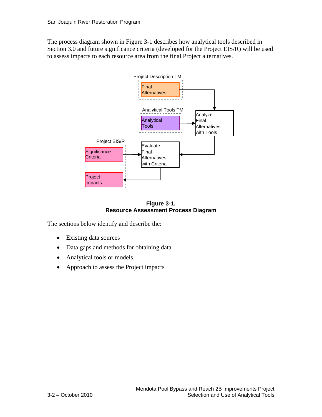The process diagram shown in [Figure 3-1](#page-67-0) describes how analytical tools described in Section [3.0](#page-66-0) and future significance criteria (developed for the Project EIS/R) will be used to assess impacts to each resource area from the final Project alternatives.



<span id="page-67-0"></span>**Figure 3-1. Resource Assessment Process Diagram** 

The sections below identify and describe the:

- Existing data sources
- Data gaps and methods for obtaining data
- Analytical tools or models
- Approach to assess the Project impacts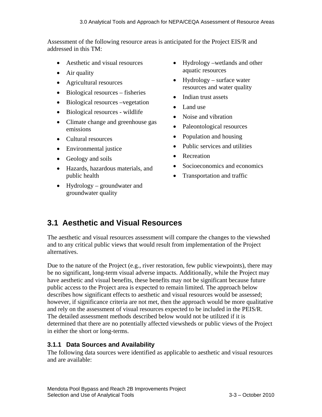Assessment of the following resource areas is anticipated for the Project EIS/R and addressed in this TM:

- Aesthetic and visual resources
- Air quality
- Agricultural resources
- Biological resources fisheries
- Biological resources –vegetation
- Biological resources wildlife
- Climate change and greenhouse gas emissions
- Cultural resources
- Environmental justice
- Geology and soils
- Hazards, hazardous materials, and public health
- Hydrology groundwater and groundwater quality
- Hydrology –wetlands and other aquatic resources
- Hydrology surface water resources and water quality
- Indian trust assets
- Land use
- Noise and vibration
- Paleontological resources
- Population and housing
- Public services and utilities
- Recreation
- Socioeconomics and economics
- Transportation and traffic

## **3.1 Aesthetic and Visual Resources**

The aesthetic and visual resources assessment will compare the changes to the viewshed and to any critical public views that would result from implementation of the Project alternatives.

Due to the nature of the Project (e.g., river restoration, few public viewpoints), there may be no significant, long-term visual adverse impacts. Additionally, while the Project may have aesthetic and visual benefits, these benefits may not be significant because future public access to the Project area is expected to remain limited. The approach below describes how significant effects to aesthetic and visual resources would be assessed; however, if significance criteria are not met, then the approach would be more qualitative and rely on the assessment of visual resources expected to be included in the PEIS/R. The detailed assessment methods described below would not be utilized if it is determined that there are no potentially affected viewsheds or public views of the Project in either the short or long-terms.

## **3.1.1 Data Sources and Availability**

The following data sources were identified as applicable to aesthetic and visual resources and are available: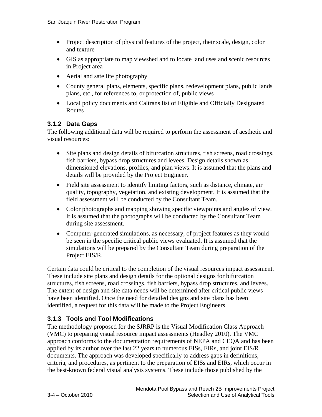- Project description of physical features of the project, their scale, design, color and texture
- GIS as appropriate to map viewshed and to locate land uses and scenic resources in Project area
- Aerial and satellite photography
- County general plans, elements, specific plans, redevelopment plans, public lands plans, etc., for references to, or protection of, public views
- Local policy documents and Caltrans list of Eligible and Officially Designated **Routes**

## **3.1.2 Data Gaps**

The following additional data will be required to perform the assessment of aesthetic and visual resources:

- Site plans and design details of bifurcation structures, fish screens, road crossings, fish barriers, bypass drop structures and levees. Design details shown as dimensioned elevations, profiles, and plan views. It is assumed that the plans and details will be provided by the Project Engineer.
- Field site assessment to identify limiting factors, such as distance, climate, air quality, topography, vegetation, and existing development. It is assumed that the field assessment will be conducted by the Consultant Team.
- Color photographs and mapping showing specific viewpoints and angles of view. It is assumed that the photographs will be conducted by the Consultant Team during site assessment.
- Computer-generated simulations, as necessary, of project features as they would be seen in the specific critical public views evaluated. It is assumed that the simulations will be prepared by the Consultant Team during preparation of the Project EIS/R.

Certain data could be critical to the completion of the visual resources impact assessment. These include site plans and design details for the optional designs for bifurcation structures, fish screens, road crossings, fish barriers, bypass drop structures, and levees. The extent of design and site data needs will be determined after critical public views have been identified. Once the need for detailed designs and site plans has been identified, a request for this data will be made to the Project Engineers.

## **3.1.3 Tools and Tool Modifications**

The methodology proposed for the SJRRP is the Visual Modification Class Approach (VMC) to preparing visual resource impact assessments (Headley 2010). The VMC approach conforms to the documentation requirements of NEPA and CEQA and has been applied by its author over the last 22 years to numerous EISs, EIRs, and joint EIS/R documents. The approach was developed specifically to address gaps in definitions, criteria, and procedures, as pertinent to the preparation of EISs and EIRs, which occur in the best-known federal visual analysis systems. These include those published by the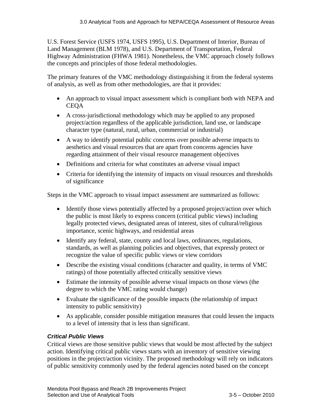U.S. Forest Service (USFS 1974, USFS 1995), U.S. Department of Interior, Bureau of Land Management (BLM 1978), and U.S. Department of Transportation, Federal Highway Administration (FHWA 1981). Nonetheless, the VMC approach closely follows the concepts and principles of those federal methodologies.

The primary features of the VMC methodology distinguishing it from the federal systems of analysis, as well as from other methodologies, are that it provides:

- An approach to visual impact assessment which is compliant both with NEPA and CEQA
- A cross-jurisdictional methodology which may be applied to any proposed project/action regardless of the applicable jurisdiction, land use, or landscape character type (natural, rural, urban, commercial or industrial)
- A way to identify potential public concerns over possible adverse impacts to aesthetics and visual resources that are apart from concerns agencies have regarding attainment of their visual resource management objectives
- Definitions and criteria for what constitutes an adverse visual impact
- Criteria for identifying the intensity of impacts on visual resources and thresholds of significance

Steps in the VMC approach to visual impact assessment are summarized as follows:

- Identify those views potentially affected by a proposed project/action over which the public is most likely to express concern (critical public views) including legally protected views, designated areas of interest, sites of cultural/religious importance, scenic highways, and residential areas
- Identify any federal, state, county and local laws, ordinances, regulations, standards, as well as planning policies and objectives, that expressly protect or recognize the value of specific public views or view corridors
- Describe the existing visual conditions (character and quality, in terms of VMC ratings) of those potentially affected critically sensitive views
- Estimate the intensity of possible adverse visual impacts on those views (the degree to which the VMC rating would change)
- Evaluate the significance of the possible impacts (the relationship of impact intensity to public sensitivity)
- As applicable, consider possible mitigation measures that could lessen the impacts to a level of intensity that is less than significant.

#### *Critical Public Views*

Critical views are those sensitive public views that would be most affected by the subject action. Identifying critical public views starts with an inventory of sensitive viewing positions in the project/action vicinity. The proposed methodology will rely on indicators of public sensitivity commonly used by the federal agencies noted based on the concept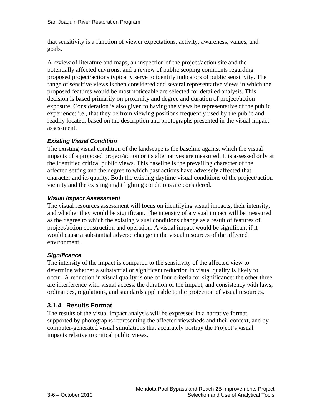that sensitivity is a function of viewer expectations, activity, awareness, values, and goals.

A review of literature and maps, an inspection of the project/action site and the potentially affected environs, and a review of public scoping comments regarding proposed project/actions typically serve to identify indicators of public sensitivity. The range of sensitive views is then considered and several representative views in which the proposed features would be most noticeable are selected for detailed analysis. This decision is based primarily on proximity and degree and duration of project/action exposure. Consideration is also given to having the views be representative of the public experience; i.e., that they be from viewing positions frequently used by the public and readily located, based on the description and photographs presented in the visual impact assessment.

#### *Existing Visual Condition*

The existing visual condition of the landscape is the baseline against which the visual impacts of a proposed project/action or its alternatives are measured. It is assessed only at the identified critical public views. This baseline is the prevailing character of the affected setting and the degree to which past actions have adversely affected that character and its quality. Both the existing daytime visual conditions of the project/action vicinity and the existing night lighting conditions are considered.

#### *Visual Impact Assessment*

The visual resources assessment will focus on identifying visual impacts, their intensity, and whether they would be significant. The intensity of a visual impact will be measured as the degree to which the existing visual conditions change as a result of features of project/action construction and operation. A visual impact would be significant if it would cause a substantial adverse change in the visual resources of the affected environment.

#### *Significance*

The intensity of the impact is compared to the sensitivity of the affected view to determine whether a substantial or significant reduction in visual quality is likely to occur. A reduction in visual quality is one of four criteria for significance: the other three are interference with visual access, the duration of the impact, and consistency with laws, ordinances, regulations, and standards applicable to the protection of visual resources.

## **3.1.4 Results Format**

The results of the visual impact analysis will be expressed in a narrative format, supported by photographs representing the affected viewsheds and their context, and by computer-generated visual simulations that accurately portray the Project's visual impacts relative to critical public views.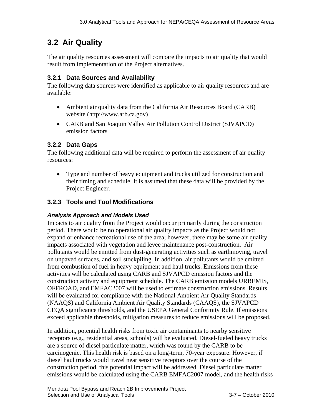# **3.2 Air Quality**

The air quality resources assessment will compare the impacts to air quality that would result from implementation of the Project alternatives.

## **3.2.1 Data Sources and Availability**

The following data sources were identified as applicable to air quality resources and are available:

- Ambient air quality data from the California Air Resources Board (CARB) website (http://www.arb.ca.gov)
- CARB and San Joaquin Valley Air Pollution Control District (SJVAPCD) emission factors

## **3.2.2 Data Gaps**

The following additional data will be required to perform the assessment of air quality resources:

• Type and number of heavy equipment and trucks utilized for construction and their timing and schedule. It is assumed that these data will be provided by the Project Engineer.

## **3.2.3 Tools and Tool Modifications**

## *Analysis Approach and Models Used*

Impacts to air quality from the Project would occur primarily during the construction period. There would be no operational air quality impacts as the Project would not expand or enhance recreational use of the area; however, there may be some air quality impacts associated with vegetation and levee maintenance post-construction. Air pollutants would be emitted from dust-generating activities such as earthmoving, travel on unpaved surfaces, and soil stockpiling. In addition, air pollutants would be emitted from combustion of fuel in heavy equipment and haul trucks. Emissions from these activities will be calculated using CARB and SJVAPCD emission factors and the construction activity and equipment schedule. The CARB emission models URBEMIS, OFFROAD, and EMFAC2007 will be used to estimate construction emissions. Results will be evaluated for compliance with the National Ambient Air Quality Standards (NAAQS) and California Ambient Air Quality Standards (CAAQS), the SJVAPCD CEQA significance thresholds, and the USEPA General Conformity Rule. If emissions exceed applicable thresholds, mitigation measures to reduce emissions will be proposed.

In addition, potential health risks from toxic air contaminants to nearby sensitive receptors (e.g., residential areas, schools) will be evaluated. Diesel-fueled heavy trucks are a source of diesel particulate matter, which was found by the CARB to be carcinogenic. This health risk is based on a long-term, 70-year exposure. However, if diesel haul trucks would travel near sensitive receptors over the course of the construction period, this potential impact will be addressed. Diesel particulate matter emissions would be calculated using the CARB EMFAC2007 model, and the health risks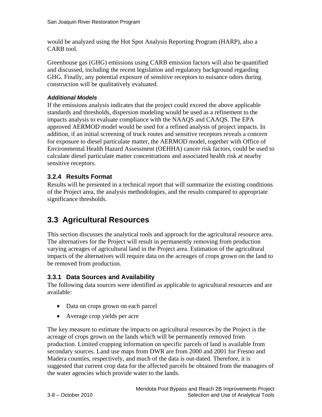would be analyzed using the Hot Spot Analysis Reporting Program (HARP), also a CARB tool.

Greenhouse gas (GHG) emissions using CARB emission factors will also be quantified and discussed, including the recent legislation and regulatory background regarding GHG. Finally, any potential exposure of sensitive receptors to nuisance odors during construction will be qualitatively evaluated.

### *Additional Models*

If the emissions analysis indicates that the project could exceed the above applicable standards and thresholds, dispersion modeling would be used as a refinement to the impacts analysis to evaluate compliance with the NAAQS and CAAQS. The EPA approved AERMOD model would be used for a refined analysis of project impacts. In addition, if an initial screening of truck routes and sensitive receptors reveals a concern for exposure to diesel particulate matter, the AERMOD model, together with Office of Environmental Health Hazard Assessment (OEHHA) cancer risk factors, could be used to calculate diesel particulate matter concentrations and associated health risk at nearby sensitive receptors.

### **3.2.4 Results Format**

Results will be presented in a technical report that will summarize the existing conditions of the Project area, the analysis methodologies, and the results compared to appropriate significance thresholds.

## **3.3 Agricultural Resources**

This section discusses the analytical tools and approach for the agricultural resource area. The alternatives for the Project will result in permanently removing from production varying acreages of agricultural land in the Project area. Estimation of the agricultural impacts of the alternatives will require data on the acreages of crops grown on the land to be removed from production.

## **3.3.1 Data Sources and Availability**

The following data sources were identified as applicable to agricultural resources and are available:

- Data on crops grown on each parcel
- Average crop yields per acre

The key measure to estimate the impacts on agricultural resources by the Project is the acreage of crops grown on the lands which will be permanently removed from production. Limited cropping information on specific parcels of land is available from secondary sources. Land use maps from DWR are from 2000 and 2001 for Fresno and Madera counties, respectively, and much of the data is out-dated. Therefore, it is suggested that current crop data for the affected parcels be obtained from the managers of the water agencies which provide water to the lands.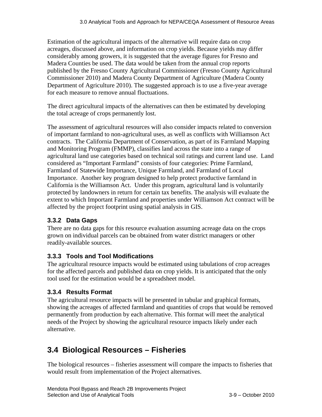Estimation of the agricultural impacts of the alternative will require data on crop acreages, discussed above, and information on crop yields. Because yields may differ considerably among growers, it is suggested that the average figures for Fresno and Madera Counties be used. The data would be taken from the annual crop reports published by the Fresno County Agricultural Commissioner (Fresno County Agricultural Commissioner 2010) and Madera County Department of Agriculture (Madera County Department of Agriculture 2010). The suggested approach is to use a five-year average for each measure to remove annual fluctuations.

The direct agricultural impacts of the alternatives can then be estimated by developing the total acreage of crops permanently lost.

The assessment of agricultural resources will also consider impacts related to conversion of important farmland to non-agricultural uses, as well as conflicts with Williamson Act contracts. The California Department of Conservation, as part of its Farmland Mapping and Monitoring Program (FMMP), classifies land across the state into a range of agricultural land use categories based on technical soil ratings and current land use. Land considered as "Important Farmland" consists of four categories: Prime Farmland, Farmland of Statewide Importance, Unique Farmland, and Farmland of Local Importance. Another key program designed to help protect productive farmland in California is the Williamson Act. Under this program, agricultural land is voluntarily protected by landowners in return for certain tax benefits. The analysis will evaluate the extent to which Important Farmland and properties under Williamson Act contract will be affected by the project footprint using spatial analysis in GIS.

## **3.3.2 Data Gaps**

There are no data gaps for this resource evaluation assuming acreage data on the crops grown on individual parcels can be obtained from water district managers or other readily-available sources.

## **3.3.3 Tools and Tool Modifications**

The agricultural resource impacts would be estimated using tabulations of crop acreages for the affected parcels and published data on crop yields. It is anticipated that the only tool used for the estimation would be a spreadsheet model.

## **3.3.4 Results Format**

The agricultural resource impacts will be presented in tabular and graphical formats, showing the acreages of affected farmland and quantities of crops that would be removed permanently from production by each alternative. This format will meet the analytical needs of the Project by showing the agricultural resource impacts likely under each alternative.

# **3.4 Biological Resources – Fisheries**

The biological resources – fisheries assessment will compare the impacts to fisheries that would result from implementation of the Project alternatives.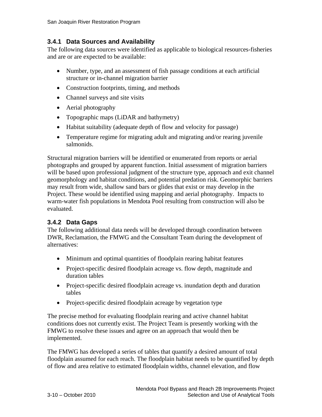## **3.4.1 Data Sources and Availability**

The following data sources were identified as applicable to biological resources-fisheries and are or are expected to be available:

- Number, type, and an assessment of fish passage conditions at each artificial structure or in-channel migration barrier
- Construction footprints, timing, and methods
- Channel surveys and site visits
- Aerial photography
- Topographic maps (LiDAR and bathymetry)
- Habitat suitability (adequate depth of flow and velocity for passage)
- Temperature regime for migrating adult and migrating and/or rearing juvenile salmonids.

Structural migration barriers will be identified or enumerated from reports or aerial photographs and grouped by apparent function. Initial assessment of migration barriers will be based upon professional judgment of the structure type, approach and exit channel geomorphology and habitat conditions, and potential predation risk. Geomorphic barriers may result from wide, shallow sand bars or glides that exist or may develop in the Project. These would be identified using mapping and aerial photography. Impacts to warm-water fish populations in Mendota Pool resulting from construction will also be evaluated.

## **3.4.2 Data Gaps**

The following additional data needs will be developed through coordination between DWR, Reclamation, the FMWG and the Consultant Team during the development of alternatives:

- Minimum and optimal quantities of floodplain rearing habitat features
- Project-specific desired floodplain acreage vs. flow depth, magnitude and duration tables
- Project-specific desired floodplain acreage vs. inundation depth and duration tables
- Project-specific desired floodplain acreage by vegetation type

The precise method for evaluating floodplain rearing and active channel habitat conditions does not currently exist. The Project Team is presently working with the FMWG to resolve these issues and agree on an approach that would then be implemented.

The FMWG has developed a series of tables that quantify a desired amount of total floodplain assumed for each reach. The floodplain habitat needs to be quantified by depth of flow and area relative to estimated floodplain widths, channel elevation, and flow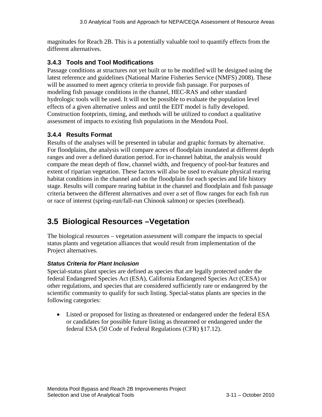magnitudes for Reach 2B. This is a potentially valuable tool to quantify effects from the different alternatives.

## **3.4.3 Tools and Tool Modifications**

Passage conditions at structures not yet built or to be modified will be designed using the latest reference and guidelines (National Marine Fisheries Service (NMFS) 2008). These will be assumed to meet agency criteria to provide fish passage. For purposes of modeling fish passage conditions in the channel, HEC-RAS and other standard hydrologic tools will be used. It will not be possible to evaluate the population level effects of a given alternative unless and until the EDT model is fully developed. Construction footprints, timing, and methods will be utilized to conduct a qualitative assessment of impacts to existing fish populations in the Mendota Pool.

### **3.4.4 Results Format**

Results of the analyses will be presented in tabular and graphic formats by alternative. For floodplains, the analysis will compare acres of floodplain inundated at different depth ranges and over a defined duration period. For in-channel habitat, the analysis would compare the mean depth of flow, channel width, and frequency of pool-bar features and extent of riparian vegetation. These factors will also be used to evaluate physical rearing habitat conditions in the channel and on the floodplain for each species and life history stage. Results will compare rearing habitat in the channel and floodplain and fish passage criteria between the different alternatives and over a set of flow ranges for each fish run or race of interest (spring-run/fall-run Chinook salmon) or species (steelhead).

## **3.5 Biological Resources –Vegetation**

The biological resources – vegetation assessment will compare the impacts to special status plants and vegetation alliances that would result from implementation of the Project alternatives.

### *Status Criteria for Plant Inclusion*

Special-status plant species are defined as species that are legally protected under the federal Endangered Species Act (ESA), California Endangered Species Act (CESA) or other regulations, and species that are considered sufficiently rare or endangered by the scientific community to qualify for such listing. Special-status plants are species in the following categories:

• Listed or proposed for listing as threatened or endangered under the federal ESA or candidates for possible future listing as threatened or endangered under the federal ESA (50 Code of Federal Regulations (CFR) §17.12).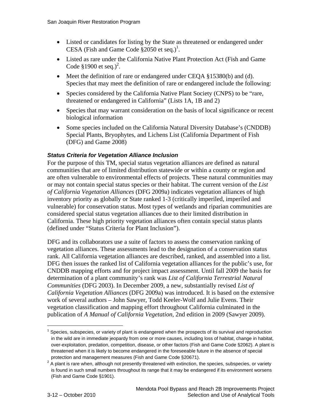- Listed or candidates for listing by the State as threatened or endangered under CESA (Fish and Game Code  $\S 2050$  et seq.)<sup>1</sup>.
- Listed as rare under the California Native Plant Protection Act (Fish and Game Code  $$1900$  et seq.)<sup>2</sup>.
- Meet the definition of rare or endangered under CEOA §15380(b) and (d). Species that may meet the definition of rare or endangered include the following:
- Species considered by the California Native Plant Society (CNPS) to be "rare, threatened or endangered in California" (Lists 1A, 1B and 2)
- Species that may warrant consideration on the basis of local significance or recent biological information
- Some species included on the California Natural Diversity Database's (CNDDB) Special Plants, Bryophytes, and Lichens List (California Department of Fish (DFG) and Game 2008)

## *Status Criteria for Vegetation Alliance Inclusion*

For the purpose of this TM, special status vegetation alliances are defined as natural communities that are of limited distribution statewide or within a county or region and are often vulnerable to environmental effects of projects. These natural communities may or may not contain special status species or their habitat. The current version of the *List of California Vegetation Alliances* (DFG 2009a) indicates vegetation alliances of high inventory priority as globally or State ranked 1-3 (critically imperiled, imperiled and vulnerable) for conservation status. Most types of wetlands and riparian communities are considered special status vegetation alliances due to their limited distribution in California. These high priority vegetation alliances often contain special status plants (defined under "Status Criteria for Plant Inclusion").

DFG and its collaborators use a suite of factors to assess the conservation ranking of vegetation alliances. These assessments lead to the designation of a conservation status rank. All California vegetation alliances are described, ranked, and assembled into a list. DFG then issues the ranked list of California vegetation alliances for the public's use, for CNDDB mapping efforts and for project impact assessment. Until fall 2009 the basis for determination of a plant community's rank was *List of California Terrestrial Natural Communities* (DFG 2003). In December 2009, a new, substantially revised *List of California Vegetation Alliances* (DFG 2009a) was introduced. It is based on the extensive work of several authors – John Sawyer, Todd Keeler-Wolf and Julie Evens. Their vegetation classification and mapping effort throughout California culminated in the publication of *A Manual of California Vegetation*, 2nd edition in 2009 (Sawyer 2009).

1

<span id="page-77-0"></span> $1$  Species, subspecies, or variety of plant is endangered when the prospects of its survival and reproduction in the wild are in immediate jeopardy from one or more causes, including loss of habitat, change in habitat, over-exploitation, predation, competition, disease, or other factors (Fish and Game Code §2062). A plant is threatened when it is likely to become endangered in the foreseeable future in the absence of special protection and management measures (Fish and Game Code §20671).

<span id="page-77-1"></span> $2$  A plant is rare when, although not presently threatened with extinction, the species, subspecies, or variety is found in such small numbers throughout its range that it may be endangered if its environment worsens (Fish and Game Code §1901).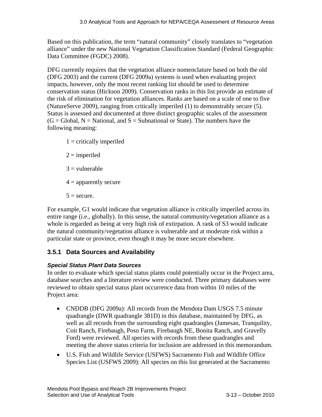Based on this publication, the term "natural community" closely translates to "vegetation alliance" under the new National Vegetation Classification Standard (Federal Geographic Data Committee (FGDC) 2008).

DFG currently requires that the vegetation alliance nomenclature based on both the old (DFG 2003) and the current (DFG 2009a) systems is used when evaluating project impacts, however, only the most recent ranking list should be used to determine conservation status (Hickson 2009). Conservation ranks in this list provide an estimate of the risk of elimination for vegetation alliances. Ranks are based on a scale of one to five (NatureServe 2009), ranging from critically imperiled (1) to demonstrably secure (5). Status is assessed and documented at three distinct geographic scales of the assessment  $(G = Global, N = National, and S = Subnational or State)$ . The numbers have the following meaning:

- $1 =$  critically imperiled
- $2 =$  imperiled
- $3 = \text{vulnerable}$
- $4$  = apparently secure
- $5 =$  secure.

For example, G1 would indicate that vegetation alliance is critically imperiled across its entire range (i.e., globally). In this sense, the natural community/vegetation alliance as a whole is regarded as being at very high risk of extirpation. A rank of S3 would indicate the natural community/vegetation alliance is vulnerable and at moderate risk within a particular state or province, even though it may be more secure elsewhere.

## **3.5.1 Data Sources and Availability**

### *Special Status Plant Data Sources*

In order to evaluate which special status plants could potentially occur in the Project area, database searches and a literature review were conducted. Three primary databases were reviewed to obtain special status plant occurrence data from within 10 miles of the Project area:

- CNDDB (DFG 2009a): All records from the Mendota Dam USGS 7.5 minute quadrangle (DWR quadrangle 381D) in this database, maintained by DFG, as well as all records from the surrounding eight quadrangles (Jamesan, Tranquility, Coit Ranch, Firebaugh, Poso Farm, Firebaugh NE, Bonita Ranch, and Gravelly Ford) were reviewed. All species with records from these quadrangles and meeting the above status criteria for inclusion are addressed in this memorandum.
- U.S. Fish and Wildlife Service (USFWS) Sacramento Fish and Wildlife Office Species List (USFWS 2009): All species on this list generated at the Sacramento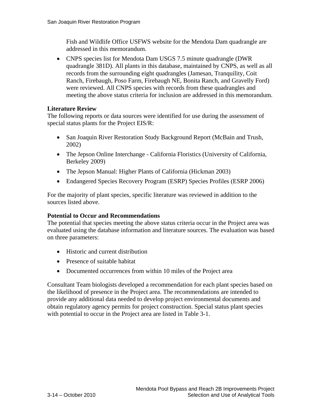Fish and Wildlife Office USFWS website for the Mendota Dam quadrangle are addressed in this memorandum.

• CNPS species list for Mendota Dam USGS 7.5 minute quadrangle (DWR) quadrangle 381D). All plants in this database, maintained by CNPS, as well as all records from the surrounding eight quadrangles (Jamesan, Tranquility, Coit Ranch, Firebaugh, Poso Farm, Firebaugh NE, Bonita Ranch, and Gravelly Ford) were reviewed. All CNPS species with records from these quadrangles and meeting the above status criteria for inclusion are addressed in this memorandum.

### **Literature Review**

The following reports or data sources were identified for use during the assessment of special status plants for the Project EIS/R:

- San Joaquin River Restoration Study Background Report (McBain and Trush, 2002)
- The Jepson Online Interchange California Floristics (University of California, Berkeley 2009)
- The Jepson Manual: Higher Plants of California (Hickman 2003)
- Endangered Species Recovery Program (ESRP) Species Profiles (ESRP 2006)

For the majority of plant species, specific literature was reviewed in addition to the sources listed above.

#### **Potential to Occur and Recommendations**

The potential that species meeting the above status criteria occur in the Project area was evaluated using the database information and literature sources. The evaluation was based on three parameters:

- Historic and current distribution
- Presence of suitable habitat
- Documented occurrences from within 10 miles of the Project area

Consultant Team biologists developed a recommendation for each plant species based on the likelihood of presence in the Project area. The recommendations are intended to provide any additional data needed to develop project environmental documents and obtain regulatory agency permits for project construction. Special status plant species with potential to occur in the Project area are listed in [Table 3-1.](#page-80-0)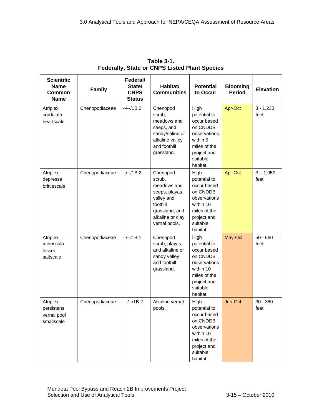| <b>Scientific</b><br><b>Name</b><br><b>Common</b><br><b>Name</b> | Family         | Federal/<br>State/<br><b>CNPS</b><br><b>Status</b> | Habitat/<br><b>Communities</b>                                                                                                       | <b>Potential</b><br>to Occur                                                                                                        | <b>Blooming</b><br><b>Period</b> | <b>Elevation</b>    |
|------------------------------------------------------------------|----------------|----------------------------------------------------|--------------------------------------------------------------------------------------------------------------------------------------|-------------------------------------------------------------------------------------------------------------------------------------|----------------------------------|---------------------|
| Atriplex<br>cordulata<br>heartscale                              | Chenopodiaceae | $-/-/1B.2$                                         | Chenopod<br>scrub,<br>meadows and<br>seeps, and<br>sandy/saline or<br>alkaline valley<br>and foothill<br>grassland.                  | High<br>potential to<br>occur based<br>on CNDDB<br>observations<br>within 5<br>miles of the<br>project and<br>suitable<br>habitat.  | Apr-Oct                          | $3 - 1,230$<br>feet |
| Atriplex<br>depressa<br>brittlescale                             | Chenopodiaceae | $-/-/1B.2$                                         | Chenopod<br>scrub,<br>meadows and<br>seeps, playas,<br>valley and<br>foothill<br>grassland, and<br>alkaline or clay<br>vernal pools. | High<br>potential to<br>occur based<br>on CNDDB<br>observations<br>within 10<br>miles of the<br>project and<br>suitable<br>habitat. | Apr-Oct                          | $3 - 1,050$<br>feet |
| Atriplex<br>minuscula<br>lesser<br>saltscale                     | Chenopodiaceae | $-/-/1B.1$                                         | Chenopod<br>scrub, playas,<br>and alkaline or<br>sandy valley<br>and foothill<br>grassland.                                          | High<br>potential to<br>occur based<br>on CNDDB<br>observations<br>within 10<br>miles of the<br>project and<br>suitable<br>habitat. | May-Oct                          | $50 - 660$<br>feet  |
| Atriplex<br>persistens<br>vernal pool<br>smallscale              | Chenopodiaceae | $--/--/1B.2$                                       | Alkaline vernal<br>pools.                                                                                                            | High<br>potential to<br>occur based<br>on CNDDB<br>observations<br>within 10<br>miles of the<br>project and<br>suitable<br>habitat. | Jun-Oct                          | $30 - 380$<br>feet  |

<span id="page-80-0"></span>**Table 3-1. Federally, State or CNPS Listed Plant Species**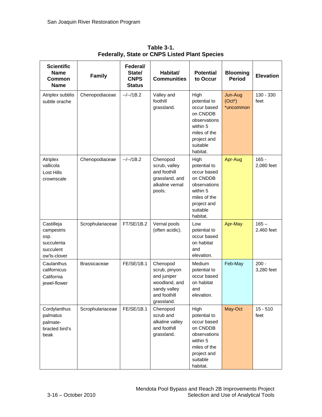| <b>Scientific</b><br><b>Name</b><br><b>Common</b><br><b>Name</b>            | Family              | Federal/<br>State/<br><b>CNPS</b><br><b>Status</b> | Habitat/<br><b>Communities</b>                                                                          | <b>Potential</b><br>to Occur                                                                                                       | <b>Blooming</b><br><b>Period</b> | <b>Elevation</b>      |
|-----------------------------------------------------------------------------|---------------------|----------------------------------------------------|---------------------------------------------------------------------------------------------------------|------------------------------------------------------------------------------------------------------------------------------------|----------------------------------|-----------------------|
| Atriplex subtilis<br>subtle orache                                          | Chenopodiaceae      | $-/-/1B.2$                                         | Valley and<br>foothill<br>grassland.                                                                    | High<br>potential to<br>occur based<br>on CNDDB<br>observations<br>within 5<br>miles of the<br>project and<br>suitable<br>habitat. | Jun-Aug<br>$(Oct*)$<br>*uncommon | 130 - 330<br>feet     |
| Atriplex<br>vallicola<br>Lost Hills<br>crownscale                           | Chenopodiaceae      | $-/-/1B.2$                                         | Chenopod<br>scrub, valley<br>and foothill<br>grassland, and<br>alkaline vernal<br>pools.                | High<br>potential to<br>occur based<br>on CNDDB<br>observations<br>within 5<br>miles of the<br>project and<br>suitable<br>habitat. | Apr-Aug                          | $165 -$<br>2,080 feet |
| Castilleja<br>campestris<br>ssp.<br>succulenta<br>succulent<br>ow'ls-clover | Scrophulariaceae    | FT/SE/1B.2                                         | Vernal pools<br>(often acidic).                                                                         | Low<br>potential to<br>occur based<br>on habitat<br>and<br>elevation.                                                              | Apr-May                          | $165 -$<br>2,460 feet |
| Caulanthus<br>californicus<br>California<br>jewel-flower                    | <b>Brassicaceae</b> | FE/SE/1B.1                                         | Chenopod<br>scrub, pinyon<br>and juniper<br>woodland, and<br>sandy valley<br>and foothill<br>grassland. | Medium<br>potential to<br>occur based<br>on habitat<br>and<br>elevation.                                                           | Feb-May                          | $200 -$<br>3,280 feet |
| Cordylanthus<br>palmatus<br>palmate-<br>bracted bird's<br>beak              | Scrophulariaceae    | FE/SE/1B.1                                         | Chenopod<br>scrub and<br>alkaline valley<br>and foothill<br>grassland.                                  | High<br>potential to<br>occur based<br>on CNDDB<br>observations<br>within 5<br>miles of the<br>project and<br>suitable<br>habitat. | May-Oct                          | $15 - 510$<br>feet    |

**Table 3-1. Federally, State or CNPS Listed Plant Species**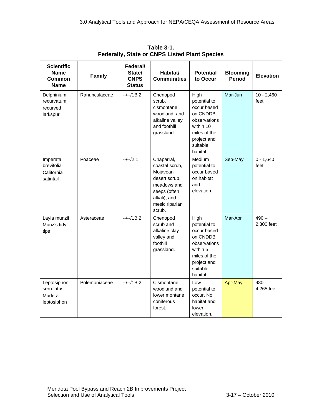| <b>Scientific</b><br><b>Name</b><br><b>Common</b><br><b>Name</b> | Family        | Federal/<br>State/<br><b>CNPS</b><br><b>Status</b> | Habitat/<br><b>Communities</b>                                                                                                       | <b>Potential</b><br>to Occur                                                                                                        | <b>Blooming</b><br><b>Period</b> | <b>Elevation</b>      |
|------------------------------------------------------------------|---------------|----------------------------------------------------|--------------------------------------------------------------------------------------------------------------------------------------|-------------------------------------------------------------------------------------------------------------------------------------|----------------------------------|-----------------------|
| Delphinium<br>recurvatum<br>recurved<br>larkspur                 | Ranunculaceae | $-/-/1B.2$                                         | Chenopod<br>scrub,<br>cismontane<br>woodland, and<br>alkaline valley<br>and foothill<br>grassland.                                   | High<br>potential to<br>occur based<br>on CNDDB<br>observations<br>within 10<br>miles of the<br>project and<br>suitable<br>habitat. | Mar-Jun                          | $10 - 2,460$<br>feet  |
| Imperata<br>brevifolia<br>California<br>satintail                | Poaceae       | $-/-/2.1$                                          | Chaparral,<br>coastal scrub,<br>Mojavean<br>desert scrub,<br>meadows and<br>seeps (often<br>alkali), and<br>mesic riparian<br>scrub. | Medium<br>potential to<br>occur based<br>on habitat<br>and<br>elevation.                                                            | Sep-May                          | $0 - 1,640$<br>feet   |
| Layia munzii<br>Munz's tidy<br>tips                              | Asteraceae    | $-/-/1B.2$                                         | Chenopod<br>scrub and<br>alkaline clay<br>valley and<br>foothill<br>grassland.                                                       | High<br>potential to<br>occur based<br>on CNDDB<br>observations<br>within 5<br>miles of the<br>project and<br>suitable<br>habitat.  | Mar-Apr                          | $490 -$<br>2,300 feet |
| Leptosiphon<br>serrulatus<br>Madera<br>leptosiphon               | Polemoniaceae | $-/-/1B.2$                                         | Cismontane<br>woodland and<br>lower montane<br>coniferous<br>forest.                                                                 | Low<br>potential to<br>occur. No<br>habitat and<br>lower<br>elevation.                                                              | Apr-May                          | $980 -$<br>4,265 feet |

**Table 3-1. Federally, State or CNPS Listed Plant Species**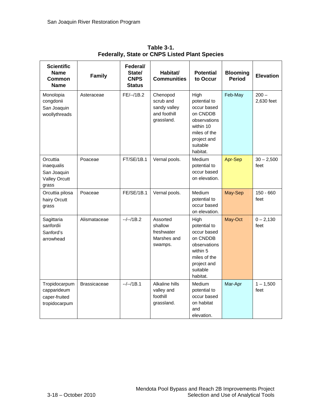| <b>Scientific</b><br><b>Name</b><br>Common<br><b>Name</b>              | Family              | Federal/<br>State/<br><b>CNPS</b><br><b>Status</b> | Habitat/<br><b>Communities</b>                                      | <b>Potential</b><br>to Occur                                                                                                        | <b>Blooming</b><br><b>Period</b> | <b>Elevation</b>      |
|------------------------------------------------------------------------|---------------------|----------------------------------------------------|---------------------------------------------------------------------|-------------------------------------------------------------------------------------------------------------------------------------|----------------------------------|-----------------------|
| Monolopia<br>congdonii<br>San Joaquin<br>woollythreads                 | Asteraceae          | FE/--/1B.2                                         | Chenopod<br>scrub and<br>sandy valley<br>and foothill<br>grassland. | High<br>potential to<br>occur based<br>on CNDDB<br>observations<br>within 10<br>miles of the<br>project and<br>suitable<br>habitat. | Feb-May                          | $200 -$<br>2,630 feet |
| Orcuttia<br>inaequalis<br>San Joaquin<br><b>Valley Orcutt</b><br>grass | Poaceae             | <b>FT/SE/1B.1</b>                                  | Vernal pools.                                                       | Medium<br>potential to<br>occur based<br>on elevation.                                                                              | Apr-Sep                          | $30 - 2,500$<br>feet  |
| Orcuttia pilosa<br>hairy Orcutt<br>grass                               | Poaceae             | FE/SE/1B.1                                         | Vernal pools.                                                       | Medium<br>potential to<br>occur based<br>on elevation.                                                                              | May-Sep                          | 150 - 660<br>feet     |
| Sagittaria<br>sanfordii<br>Sanford's<br>arrowhead                      | Alismataceae        | $-/-/1B.2$                                         | Assorted<br>shallow<br>freshwater<br>Marshes and<br>swamps.         | High<br>potential to<br>occur based<br>on CNDDB<br>observations<br>within 5<br>miles of the<br>project and<br>suitable<br>habitat.  | May-Oct                          | $0 - 2,130$<br>feet   |
| Tropidocarpum<br>capparideum<br>caper-fruited<br>tropidocarpum         | <b>Brassicaceae</b> | $-/-/1B.1$                                         | Alkaline hills<br>valley and<br>foothill<br>grassland.              | <b>Medium</b><br>potential to<br>occur based<br>on habitat<br>and<br>elevation.                                                     | Mar-Apr                          | $1 - 1,500$<br>feet   |

**Table 3-1. Federally, State or CNPS Listed Plant Species**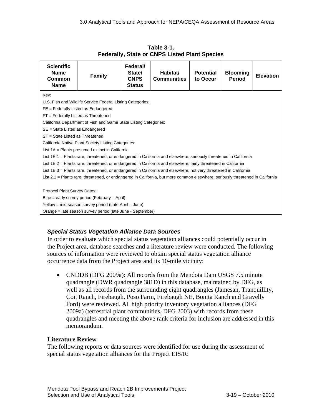| <b>Scientific</b><br><b>Name</b><br>Common<br><b>Name</b>                                                                      | <b>Family</b>                                              | Federal/<br>State/<br><b>CNPS</b><br><b>Status</b> | Habitat/<br><b>Communities</b> | <b>Potential</b><br>to Occur | <b>Blooming</b><br><b>Period</b> | <b>Elevation</b> |  |
|--------------------------------------------------------------------------------------------------------------------------------|------------------------------------------------------------|----------------------------------------------------|--------------------------------|------------------------------|----------------------------------|------------------|--|
| Key:                                                                                                                           |                                                            |                                                    |                                |                              |                                  |                  |  |
| U.S. Fish and Wildlife Service Federal Listing Categories:                                                                     |                                                            |                                                    |                                |                              |                                  |                  |  |
| $FE = Federally$ Listed as Endangered                                                                                          |                                                            |                                                    |                                |                              |                                  |                  |  |
| FT = Federally Listed as Threatened                                                                                            |                                                            |                                                    |                                |                              |                                  |                  |  |
| California Department of Fish and Game State Listing Categories:                                                               |                                                            |                                                    |                                |                              |                                  |                  |  |
| SE = State Listed as Endangered                                                                                                |                                                            |                                                    |                                |                              |                                  |                  |  |
| ST = State Listed as Threatened                                                                                                |                                                            |                                                    |                                |                              |                                  |                  |  |
| California Native Plant Society Listing Categories:                                                                            |                                                            |                                                    |                                |                              |                                  |                  |  |
| List 1A = Plants presumed extinct in California                                                                                |                                                            |                                                    |                                |                              |                                  |                  |  |
| List 1B.1 = Plants rare, threatened, or endangered in California and elsewhere; seriously threatened in California             |                                                            |                                                    |                                |                              |                                  |                  |  |
| List 1B.2 = Plants rare, threatened, or endangered in California and elsewhere, fairly threatened in California                |                                                            |                                                    |                                |                              |                                  |                  |  |
| List 1B.3 = Plants rare, threatened, or endangered in California and elsewhere, not very threatened in California              |                                                            |                                                    |                                |                              |                                  |                  |  |
| List 2.1 = Plants rare, threatened, or endangered in California, but more common elsewhere; seriously threatened in California |                                                            |                                                    |                                |                              |                                  |                  |  |
| Protocol Plant Survey Dates:                                                                                                   |                                                            |                                                    |                                |                              |                                  |                  |  |
| Blue = early survey period (February $-$ April)                                                                                |                                                            |                                                    |                                |                              |                                  |                  |  |
| Yellow = mid season survey period (Late April - June)                                                                          |                                                            |                                                    |                                |                              |                                  |                  |  |
|                                                                                                                                | Orange = late season survey period (late June - September) |                                                    |                                |                              |                                  |                  |  |

**Table 3-1. Federally, State or CNPS Listed Plant Species** 

### *Special Status Vegetation Alliance Data Sources*

In order to evaluate which special status vegetation alliances could potentially occur in the Project area, database searches and a literature review were conducted. The following sources of information were reviewed to obtain special status vegetation alliance occurrence data from the Project area and its 10-mile vicinity:

• CNDDB (DFG 2009a): All records from the Mendota Dam USGS 7.5 minute quadrangle (DWR quadrangle 381D) in this database, maintained by DFG, as well as all records from the surrounding eight quadrangles (Jamesan, Tranquillity, Coit Ranch, Firebaugh, Poso Farm, Firebaugh NE, Bonita Ranch and Gravelly Ford) were reviewed. All high priority inventory vegetation alliances (DFG 2009a) (terrestrial plant communities, DFG 2003) with records from these quadrangles and meeting the above rank criteria for inclusion are addressed in this memorandum.

### **Literature Review**

The following reports or data sources were identified for use during the assessment of special status vegetation alliances for the Project EIS/R: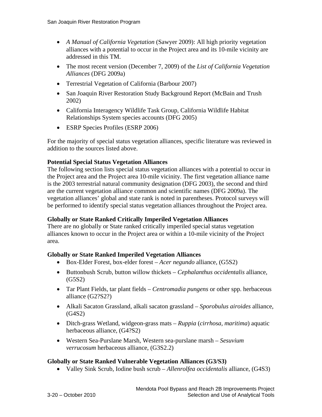- *A Manual of California Vegetation* (Sawyer 2009): All high priority vegetation alliances with a potential to occur in the Project area and its 10-mile vicinity are addressed in this TM.
- The most recent version (December 7, 2009) of the *List of California Vegetation Alliances* (DFG 2009a)
- Terrestrial Vegetation of California (Barbour 2007)
- San Joaquin River Restoration Study Background Report (McBain and Trush 2002)
- California Interagency Wildlife Task Group, California Wildlife Habitat Relationships System species accounts (DFG 2005)
- ESRP Species Profiles (ESRP 2006)

For the majority of special status vegetation alliances, specific literature was reviewed in addition to the sources listed above.

### **Potential Special Status Vegetation Alliances**

The following section lists special status vegetation alliances with a potential to occur in the Project area and the Project area 10-mile vicinity. The first vegetation alliance name is the 2003 terrestrial natural community designation (DFG 2003), the second and third are the current vegetation alliance common and scientific names (DFG 2009a). The vegetation alliances' global and state rank is noted in parentheses. Protocol surveys will be performed to identify special status vegetation alliances throughout the Project area.

### **Globally or State Ranked Critically Imperiled Vegetation Alliances**

There are no globally or State ranked critically imperiled special status vegetation alliances known to occur in the Project area or within a 10-mile vicinity of the Project area.

### **Globally or State Ranked Imperiled Vegetation Alliances**

- Box-Elder Forest, box-elder forest *Acer negundo* alliance, (G5S2)
- Buttonbush Scrub, button willow thickets *Cephalanthus occidentalis* alliance, (G5S2)
- Tar Plant Fields, tar plant fields *Centromadia pungens* or other spp. herbaceous alliance (G2?S2?)
- Alkali Sacaton Grassland, alkali sacaton grassland *Sporobulus airoides* alliance, (G4S2)
- Ditch-grass Wetland, widgeon-grass mats *Ruppia* (*cirrhosa, maritima*) aquatic herbaceous alliance, (G4?S2)
- Western Sea-Purslane Marsh, Western sea-purslane marsh *Sesuvium verrucosum* herbaceous alliance, (G3S2.2)

### **Globally or State Ranked Vulnerable Vegetation Alliances (G3/S3)**

• Valley Sink Scrub, Iodine bush scrub – *Allenrolfea occidentalis* alliance, (G4S3)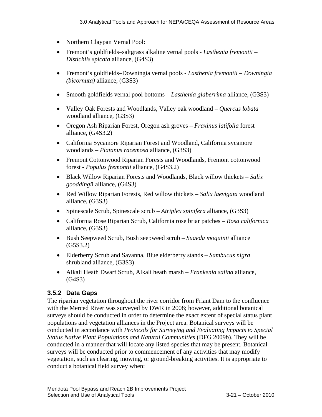- Northern Claypan Vernal Pool:
- Fremont's goldfields–saltgrass alkaline vernal pools *Lasthenia fremontii Distichlis spicata* alliance, (G4S3)
- Fremont's goldfields–Downingia vernal pools *Lasthenia fremontii Downingia (bicornuta)* alliance, (G3S3)
- Smooth goldfields vernal pool bottoms *Lasthenia glaberrima* alliance, (G3S3)
- Valley Oak Forests and Woodlands, Valley oak woodland *Quercus lobata* woodland alliance, (G3S3)
- Oregon Ash Riparian Forest, Oregon ash groves *Fraxinus latifolia* forest alliance, (G4S3.2)
- California Sycamore Riparian Forest and Woodland, California sycamore woodlands – *Platanus racemosa* alliance, (G3S3)
- Fremont Cottonwood Riparian Forests and Woodlands, Fremont cottonwood forest - *Populus fremontii* alliance, (G4S3.2)
- Black Willow Riparian Forests and Woodlands, Black willow thickets *Salix gooddingi*i alliance, (G4S3)
- Red Willow Riparian Forests, Red willow thickets *Salix laevigata* woodland alliance, (G3S3)
- Spinescale Scrub, Spinescale scrub *Atriplex spinifera* alliance, (G3S3)
- California Rose Riparian Scrub, California rose briar patches *Rosa californica* alliance, (G3S3)
- Bush Seepweed Scrub, Bush seepweed scrub *Suaeda moquinii* alliance (G5S3.2)
- Elderberry Scrub and Savanna, Blue elderberry stands *Sambucus nigra* shrubland alliance, (G3S3)
- Alkali Heath Dwarf Scrub, Alkali heath marsh *Frankenia salina* alliance, (G4S3)

## **3.5.2 Data Gaps**

The riparian vegetation throughout the river corridor from Friant Dam to the confluence with the Merced River was surveyed by DWR in 2008; however, additional botanical surveys should be conducted in order to determine the exact extent of special status plant populations and vegetation alliances in the Project area. Botanical surveys will be conducted in accordance with *Protocols for Surveying and Evaluating Impacts to Special Status Native Plant Populations and Natural Communities* (DFG 2009b). They will be conducted in a manner that will locate any listed species that may be present. Botanical surveys will be conducted prior to commencement of any activities that may modify vegetation, such as clearing, mowing, or ground-breaking activities. It is appropriate to conduct a botanical field survey when: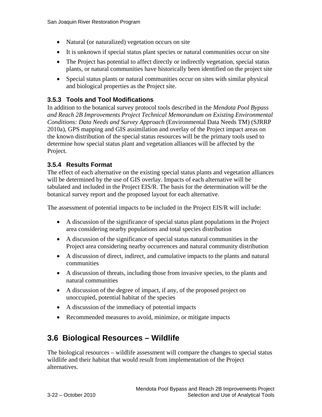- Natural (or naturalized) vegetation occurs on site
- It is unknown if special status plant species or natural communities occur on site
- The Project has potential to affect directly or indirectly vegetation, special status plants, or natural communities have historically been identified on the project site
- Special status plants or natural communities occur on sites with similar physical and biological properties as the Project site.

### **3.5.3 Tools and Tool Modifications**

In addition to the botanical survey protocol tools described in the *Mendota Pool Bypass and Reach 2B Improvements Project Technical Memorandum on Existing Environmental Conditions: Data Needs and Survey Approach* (Environmental Data Needs TM) (SJRRP 2010a), GPS mapping and GIS assimilation and overlay of the Project impact areas on the known distribution of the special status resources will be the primary tools used to determine how special status plant and vegetation alliances will be affected by the Project.

### **3.5.4 Results Format**

The effect of each alternative on the existing special status plants and vegetation alliances will be determined by the use of GIS overlay. Impacts of each alternative will be tabulated and included in the Project EIS/R. The basis for the determination will be the botanical survey report and the proposed layout for each alternative.

The assessment of potential impacts to be included in the Project EIS/R will include:

- A discussion of the significance of special status plant populations in the Project area considering nearby populations and total species distribution
- A discussion of the significance of special status natural communities in the Project area considering nearby occurrences and natural community distribution
- A discussion of direct, indirect, and cumulative impacts to the plants and natural communities
- A discussion of threats, including those from invasive species, to the plants and natural communities
- A discussion of the degree of impact, if any, of the proposed project on unoccupied, potential habitat of the species
- A discussion of the immediacy of potential impacts
- Recommended measures to avoid, minimize, or mitigate impacts

## **3.6 Biological Resources – Wildlife**

The biological resources – wildlife assessment will compare the changes to special status wildlife and their habitat that would result from implementation of the Project alternatives.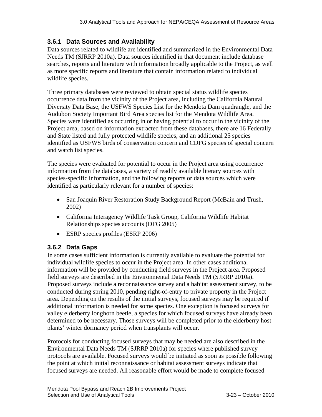## **3.6.1 Data Sources and Availability**

Data sources related to wildlife are identified and summarized in the Environmental Data Needs TM (SJRRP 2010a). Data sources identified in that document include database searches, reports and literature with information broadly applicable to the Project, as well as more specific reports and literature that contain information related to individual wildlife species.

Three primary databases were reviewed to obtain special status wildlife species occurrence data from the vicinity of the Project area, including the California Natural Diversity Data Base, the USFWS Species List for the Mendota Dam quadrangle, and the Audubon Society Important Bird Area species list for the Mendota Wildlife Area. Species were identified as occurring in or having potential to occur in the vicinity of the Project area, based on information extracted from these databases, there are 16 Federally and State listed and fully protected wildlife species, and an additional 25 species identified as USFWS birds of conservation concern and CDFG species of special concern and watch list species.

The species were evaluated for potential to occur in the Project area using occurrence information from the databases, a variety of readily available literary sources with species-specific information, and the following reports or data sources which were identified as particularly relevant for a number of species:

- San Joaquin River Restoration Study Background Report (McBain and Trush, 2002)
- California Interagency Wildlife Task Group, California Wildlife Habitat Relationships species accounts (DFG 2005)
- ESRP species profiles (ESRP 2006)

## **3.6.2 Data Gaps**

In some cases sufficient information is currently available to evaluate the potential for individual wildlife species to occur in the Project area. In other cases additional information will be provided by conducting field surveys in the Project area. Proposed field surveys are described in the Environmental Data Needs TM (SJRRP 2010a). Proposed surveys include a reconnaissance survey and a habitat assessment survey, to be conducted during spring 2010, pending right-of-entry to private property in the Project area. Depending on the results of the initial surveys, focused surveys may be required if additional information is needed for some species. One exception is focused surveys for valley elderberry longhorn beetle, a species for which focused surveys have already been determined to be necessary. Those surveys will be completed prior to the elderberry host plants' winter dormancy period when transplants will occur.

Protocols for conducting focused surveys that may be needed are also described in the Environmental Data Needs TM (SJRRP 2010a) for species where published survey protocols are available. Focused surveys would be initiated as soon as possible following the point at which initial reconnaissance or habitat assessment surveys indicate that focused surveys are needed. All reasonable effort would be made to complete focused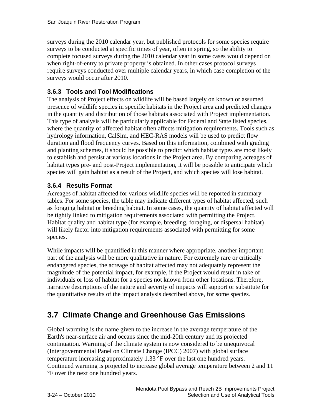surveys during the 2010 calendar year, but published protocols for some species require surveys to be conducted at specific times of year, often in spring, so the ability to complete focused surveys during the 2010 calendar year in some cases would depend on when right-of-entry to private property is obtained. In other cases protocol surveys require surveys conducted over multiple calendar years, in which case completion of the surveys would occur after 2010.

## **3.6.3 Tools and Tool Modifications**

The analysis of Project effects on wildlife will be based largely on known or assumed presence of wildlife species in specific habitats in the Project area and predicted changes in the quantity and distribution of those habitats associated with Project implementation. This type of analysis will be particularly applicable for Federal and State listed species, where the quantity of affected habitat often affects mitigation requirements. Tools such as hydrology information, CalSim, and HEC-RAS models will be used to predict flow duration and flood frequency curves. Based on this information, combined with grading and planting schemes, it should be possible to predict which habitat types are most likely to establish and persist at various locations in the Project area. By comparing acreages of habitat types pre- and post-Project implementation, it will be possible to anticipate which species will gain habitat as a result of the Project, and which species will lose habitat.

## **3.6.4 Results Format**

Acreages of habitat affected for various wildlife species will be reported in summary tables. For some species, the table may indicate different types of habitat affected, such as foraging habitat or breeding habitat. In some cases, the quantity of habitat affected will be tightly linked to mitigation requirements associated with permitting the Project. Habitat quality and habitat type (for example, breeding, foraging, or dispersal habitat) will likely factor into mitigation requirements associated with permitting for some species.

While impacts will be quantified in this manner where appropriate, another important part of the analysis will be more qualitative in nature. For extremely rare or critically endangered species, the acreage of habitat affected may not adequately represent the magnitude of the potential impact, for example, if the Project would result in take of individuals or loss of habitat for a species not known from other locations. Therefore, narrative descriptions of the nature and severity of impacts will support or substitute for the quantitative results of the impact analysis described above, for some species.

# **3.7 Climate Change and Greenhouse Gas Emissions**

Global warming is the name given to the increase in the average temperature of the Earth's near-surface air and oceans since the mid-20th century and its projected continuation. Warming of the climate system is now considered to be unequivocal (Intergovernmental Panel on Climate Change (IPCC) 2007) with global surface temperature increasing approximately 1.33 °F over the last one hundred years. Continued warming is projected to increase global average temperature between 2 and 11 °F over the next one hundred years.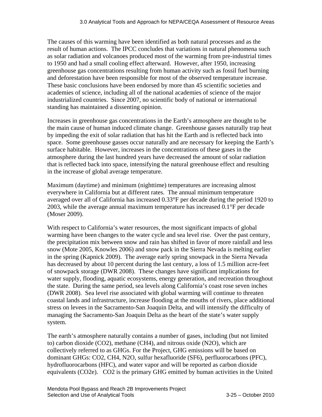The causes of this warming have been identified as both natural processes and as the result of human actions. The IPCC concludes that variations in natural phenomena such as solar radiation and volcanoes produced most of the warming from pre-industrial times to 1950 and had a small cooling effect afterward. However, after 1950, increasing greenhouse gas concentrations resulting from human activity such as fossil fuel burning and deforestation have been responsible for most of the observed temperature increase. These basic conclusions have been endorsed by more than 45 scientific societies and academies of science, including all of the national academies of science of the major industrialized countries. Since 2007, no scientific body of national or international standing has maintained a dissenting opinion.

Increases in greenhouse gas concentrations in the Earth's atmosphere are thought to be the main cause of human induced climate change. Greenhouse gasses naturally trap heat by impeding the exit of solar radiation that has hit the Earth and is reflected back into space. Some greenhouse gasses occur naturally and are necessary for keeping the Earth's surface habitable. However, increases in the concentrations of these gases in the atmosphere during the last hundred years have decreased the amount of solar radiation that is reflected back into space, intensifying the natural greenhouse effect and resulting in the increase of global average temperature.

Maximum (daytime) and minimum (nighttime) temperatures are increasing almost everywhere in California but at different rates. The annual minimum temperature averaged over all of California has increased 0.33°F per decade during the period 1920 to 2003, while the average annual maximum temperature has increased 0.1°F per decade (Moser 2009).

With respect to California's water resources, the most significant impacts of global warming have been changes to the water cycle and sea level rise. Over the past century, the precipitation mix between snow and rain has shifted in favor of more rainfall and less snow (Mote 2005, Knowles 2006) and snow pack in the Sierra Nevada is melting earlier in the spring (Kapnick 2009). The average early spring snowpack in the Sierra Nevada has decreased by about 10 percent during the last century, a loss of 1.5 million acre-feet of snowpack storage (DWR 2008). These changes have significant implications for water supply, flooding, aquatic ecosystems, energy generation, and recreation throughout the state. During the same period, sea levels along California's coast rose seven inches (DWR 2008). Sea level rise associated with global warming will continue to threaten coastal lands and infrastructure, increase flooding at the mouths of rivers, place additional stress on levees in the Sacramento-San Joaquin Delta, and will intensify the difficulty of managing the Sacramento-San Joaquin Delta as the heart of the state's water supply system.

The earth's atmosphere naturally contains a number of gases, including (but not limited to) carbon dioxide (CO2), methane (CH4), and nitrous oxide (N2O), which are collectively referred to as GHGs. For the Project, GHG emissions will be based on dominant GHGs: CO2, CH4, N2O, sulfur hexafluoride (SF6), perfluorocarbons (PFC), hydrofluorocarbons (HFC), and water vapor and will be reported as carbon dioxide equivalents (CO2e). CO2 is the primary GHG emitted by human activities in the United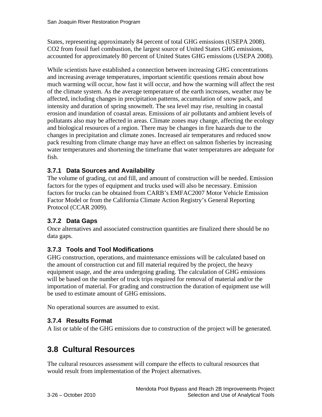States, representing approximately 84 percent of total GHG emissions (USEPA 2008). CO2 from fossil fuel combustion, the largest source of United States GHG emissions, accounted for approximately 80 percent of United States GHG emissions (USEPA 2008).

While scientists have established a connection between increasing GHG concentrations and increasing average temperatures, important scientific questions remain about how much warming will occur, how fast it will occur, and how the warming will affect the rest of the climate system. As the average temperature of the earth increases, weather may be affected, including changes in precipitation patterns, accumulation of snow pack, and intensity and duration of spring snowmelt. The sea level may rise, resulting in coastal erosion and inundation of coastal areas. Emissions of air pollutants and ambient levels of pollutants also may be affected in areas. Climate zones may change, affecting the ecology and biological resources of a region. There may be changes in fire hazards due to the changes in precipitation and climate zones. Increased air temperatures and reduced snow pack resulting from climate change may have an effect on salmon fisheries by increasing water temperatures and shortening the timeframe that water temperatures are adequate for fish.

## **3.7.1 Data Sources and Availability**

The volume of grading, cut and fill, and amount of construction will be needed. Emission factors for the types of equipment and trucks used will also be necessary. Emission factors for trucks can be obtained from CARB's EMFAC2007 Motor Vehicle Emission Factor Model or from the California Climate Action Registry's General Reporting Protocol (CCAR 2009).

## **3.7.2 Data Gaps**

Once alternatives and associated construction quantities are finalized there should be no data gaps.

## **3.7.3 Tools and Tool Modifications**

GHG construction, operations, and maintenance emissions will be calculated based on the amount of construction cut and fill material required by the project, the heavy equipment usage, and the area undergoing grading. The calculation of GHG emissions will be based on the number of truck trips required for removal of material and/or the importation of material. For grading and construction the duration of equipment use will be used to estimate amount of GHG emissions.

No operational sources are assumed to exist.

## **3.7.4 Results Format**

A list or table of the GHG emissions due to construction of the project will be generated.

## **3.8 Cultural Resources**

The cultural resources assessment will compare the effects to cultural resources that would result from implementation of the Project alternatives.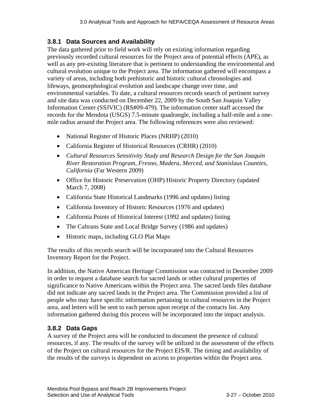## **3.8.1 Data Sources and Availability**

The data gathered prior to field work will rely on existing information regarding previously recorded cultural resources for the Project area of potential effects (APE), as well as any pre-existing literature that is pertinent to understanding the environmental and cultural evolution unique to the Project area. The information gathered will encompass a variety of areas, including both prehistoric and historic cultural chronologies and lifeways, geomorphological evolution and landscape change over time, and environmental variables. To date, a cultural resources records search of pertinent survey and site data was conducted on December 22, 2009 by the South San Joaquin Valley Information Center (SSJVIC) (RS#09-479). The information center staff accessed the records for the Mendota (USGS) 7.5-minute quadrangle, including a half-mile and a onemile radius around the Project area. The following references were also reviewed:

- National Register of Historic Places (NRHP) (2010)
- California Register of Historical Resources (CRHR) (2010)
- *Cultural Resources Sensitivity Study and Research Design for the San Joaquin River Restoration Program, Fresno, Madera, Merced, and Stanislaus Counties, California* (Far Western 2009)
- Office for Historic Preservation (OHP) Historic Property Directory (updated March 7, 2008)
- California State Historical Landmarks (1996 and updates) listing
- California Inventory of Historic Resources (1976 and updates)
- California Points of Historical Interest (1992 and updates) listing
- The Caltrans State and Local Bridge Survey (1986 and updates)
- Historic maps, including GLO Plat Maps

The results of this records search will be incorporated into the Cultural Resources Inventory Report for the Project.

In addition, the Native American Heritage Commission was contacted in December 2009 in order to request a database search for sacred lands or other cultural properties of significance to Native Americans within the Project area. The sacred lands files database did not indicate any sacred lands in the Project area. The Commission provided a list of people who may have specific information pertaining to cultural resources in the Project area, and letters will be sent to each person upon receipt of the contacts list. Any information gathered during this process will be incorporated into the impact analysis.

## **3.8.2 Data Gaps**

A survey of the Project area will be conducted to document the presence of cultural resources, if any. The results of the survey will be utilized in the assessment of the effects of the Project on cultural resources for the Project EIS/R. The timing and availability of the results of the surveys is dependent on access to properties within the Project area.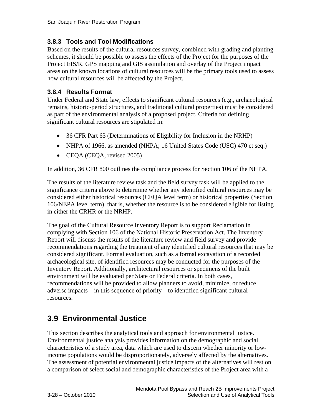## **3.8.3 Tools and Tool Modifications**

Based on the results of the cultural resources survey, combined with grading and planting schemes, it should be possible to assess the effects of the Project for the purposes of the Project EIS/R. GPS mapping and GIS assimilation and overlay of the Project impact areas on the known locations of cultural resources will be the primary tools used to assess how cultural resources will be affected by the Project.

### **3.8.4 Results Format**

Under Federal and State law, effects to significant cultural resources (e.g., archaeological remains, historic-period structures, and traditional cultural properties) must be considered as part of the environmental analysis of a proposed project. Criteria for defining significant cultural resources are stipulated in:

- 36 CFR Part 63 (Determinations of Eligibility for Inclusion in the NRHP)
- NHPA of 1966, as amended (NHPA; 16 United States Code (USC) 470 et seq.)
- CEQA (CEQA, revised 2005)

In addition, 36 CFR 800 outlines the compliance process for Section 106 of the NHPA.

The results of the literature review task and the field survey task will be applied to the significance criteria above to determine whether any identified cultural resources may be considered either historical resources (CEQA level term) or historical properties (Section 106/NEPA level term), that is, whether the resource is to be considered eligible for listing in either the CRHR or the NRHP.

The goal of the Cultural Resource Inventory Report is to support Reclamation in complying with Section 106 of the National Historic Preservation Act. The Inventory Report will discuss the results of the literature review and field survey and provide recommendations regarding the treatment of any identified cultural resources that may be considered significant. Formal evaluation, such as a formal excavation of a recorded archaeological site, of identified resources may be conducted for the purposes of the Inventory Report. Additionally, architectural resources or specimens of the built environment will be evaluated per State or Federal criteria. In both cases, recommendations will be provided to allow planners to avoid, minimize, or reduce adverse impacts—in this sequence of priority—to identified significant cultural resources.

# **3.9 Environmental Justice**

This section describes the analytical tools and approach for environmental justice. Environmental justice analysis provides information on the demographic and social characteristics of a study area, data which are used to discern whether minority or lowincome populations would be disproportionately, adversely affected by the alternatives. The assessment of potential environmental justice impacts of the alternatives will rest on a comparison of select social and demographic characteristics of the Project area with a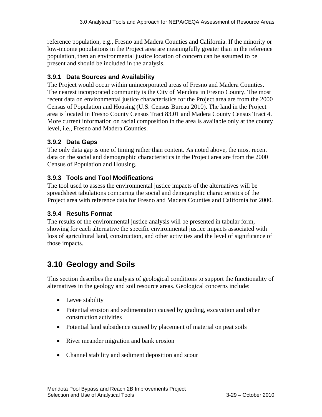reference population, e.g., Fresno and Madera Counties and California. If the minority or low-income populations in the Project area are meaningfully greater than in the reference population, then an environmental justice location of concern can be assumed to be present and should be included in the analysis.

## **3.9.1 Data Sources and Availability**

The Project would occur within unincorporated areas of Fresno and Madera Counties. The nearest incorporated community is the City of Mendota in Fresno County. The most recent data on environmental justice characteristics for the Project area are from the 2000 Census of Population and Housing (U.S. Census Bureau 2010). The land in the Project area is located in Fresno County Census Tract 83.01 and Madera County Census Tract 4. More current information on racial composition in the area is available only at the county level, i.e., Fresno and Madera Counties.

## **3.9.2 Data Gaps**

The only data gap is one of timing rather than content. As noted above, the most recent data on the social and demographic characteristics in the Project area are from the 2000 Census of Population and Housing.

## **3.9.3 Tools and Tool Modifications**

The tool used to assess the environmental justice impacts of the alternatives will be spreadsheet tabulations comparing the social and demographic characteristics of the Project area with reference data for Fresno and Madera Counties and California for 2000.

## **3.9.4 Results Format**

The results of the environmental justice analysis will be presented in tabular form, showing for each alternative the specific environmental justice impacts associated with loss of agricultural land, construction, and other activities and the level of significance of those impacts.

# **3.10 Geology and Soils**

This section describes the analysis of geological conditions to support the functionality of alternatives in the geology and soil resource areas. Geological concerns include:

- Levee stability
- Potential erosion and sedimentation caused by grading, excavation and other construction activities
- Potential land subsidence caused by placement of material on peat soils
- River meander migration and bank erosion
- Channel stability and sediment deposition and scour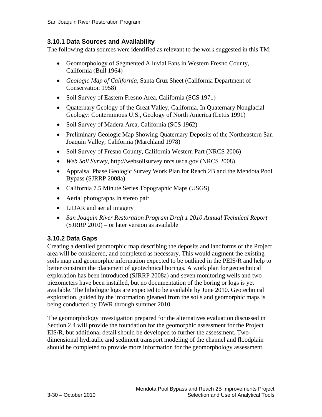### **3.10.1 Data Sources and Availability**

The following data sources were identified as relevant to the work suggested in this TM:

- Geomorphology of Segmented Alluvial Fans in Western Fresno County, California (Bull 1964)
- *Geologic Map of California*, Santa Cruz Sheet (California Department of Conservation 1958)
- Soil Survey of Eastern Fresno Area, California (SCS 1971)
- Quaternary Geology of the Great Valley, California. In Quaternary Nonglacial Geology: Conterminous U.S., Geology of North America (Lettis 1991)
- Soil Survey of Madera Area, California (SCS 1962)
- Preliminary Geologic Map Showing Quaternary Deposits of the Northeastern San Joaquin Valley, California (Marchland 1978)
- Soil Survey of Fresno County, California Western Part (NRCS 2006)
- *Web Soil Survey,* http://websoilsurvey.nrcs.usda.gov (NRCS 2008)
- Appraisal Phase Geologic Survey Work Plan for Reach 2B and the Mendota Pool Bypass (SJRRP 2008a)
- California 7.5 Minute Series Topographic Maps (USGS)
- Aerial photographs in stereo pair
- LiDAR and aerial imagery
- *San Joaquin River Restoration Program Draft 1 2010 Annual Technical Report* (SJRRP 2010) – or later version as available

### **3.10.2 Data Gaps**

Creating a detailed geomorphic map describing the deposits and landforms of the Project area will be considered, and completed as necessary. This would augment the existing soils map and geomorphic information expected to be outlined in the PEIS/R and help to better constrain the placement of geotechnical borings. A work plan for geotechnical exploration has been introduced (SJRRP 2008a) and seven monitoring wells and two piezometers have been installed, but no documentation of the boring or logs is yet available. The lithologic logs are expected to be available by June 2010. Geotechnical exploration, guided by the information gleaned from the soils and geomorphic maps is being conducted by DWR through summer 2010.

The geomorphology investigation prepared for the alternatives evaluation discussed in Section [2.4](#page-44-0) will provide the foundation for the geomorphic assessment for the Project EIS/R, but additional detail should be developed to further the assessment. Twodimensional hydraulic and sediment transport modeling of the channel and floodplain should be completed to provide more information for the geomorphology assessment.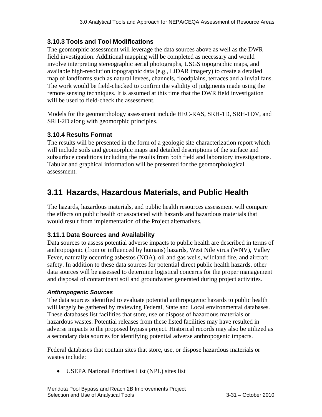## **3.10.3 Tools and Tool Modifications**

The geomorphic assessment will leverage the data sources above as well as the DWR field investigation. Additional mapping will be completed as necessary and would involve interpreting stereographic aerial photographs, USGS topographic maps, and available high-resolution topographic data (e.g., LiDAR imagery) to create a detailed map of landforms such as natural levees, channels, floodplains, terraces and alluvial fans. The work would be field-checked to confirm the validity of judgments made using the remote sensing techniques. It is assumed at this time that the DWR field investigation will be used to field-check the assessment.

Models for the geomorphology assessment include HEC-RAS, SRH-1D, SRH-1DV, and SRH-2D along with geomorphic principles.

### **3.10.4 Results Format**

The results will be presented in the form of a geologic site characterization report which will include soils and geomorphic maps and detailed descriptions of the surface and subsurface conditions including the results from both field and laboratory investigations. Tabular and graphical information will be presented for the geomorphological assessment.

## **3.11 Hazards, Hazardous Materials, and Public Health**

The hazards, hazardous materials, and public health resources assessment will compare the effects on public health or associated with hazards and hazardous materials that would result from implementation of the Project alternatives.

## **3.11.1 Data Sources and Availability**

Data sources to assess potential adverse impacts to public health are described in terms of anthropogenic (from or influenced by humans) hazards, West Nile virus (WNV), Valley Fever, naturally occurring asbestos (NOA), oil and gas wells, wildland fire, and aircraft safety. In addition to these data sources for potential direct public health hazards, other data sources will be assessed to determine logistical concerns for the proper management and disposal of contaminant soil and groundwater generated during project activities.

### *Anthropogenic Sources*

The data sources identified to evaluate potential anthropogenic hazards to public health will largely be gathered by reviewing Federal, State and Local environmental databases. These databases list facilities that store, use or dispose of hazardous materials or hazardous wastes. Potential releases from these listed facilities may have resulted in adverse impacts to the proposed bypass project. Historical records may also be utilized as a secondary data sources for identifying potential adverse anthropogenic impacts.

Federal databases that contain sites that store, use, or dispose hazardous materials or wastes include:

• USEPA National Priorities List (NPL) sites list

Mendota Pool Bypass and Reach 2B Improvements Project Selection and Use of Analytical Tools 3-31 – October 2010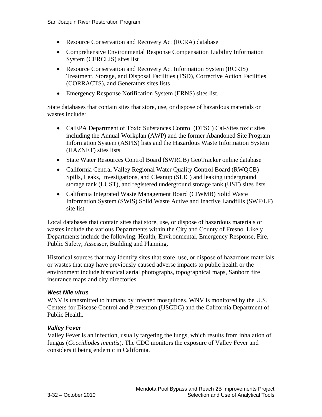- Resource Conservation and Recovery Act (RCRA) database
- Comprehensive Environmental Response Compensation Liability Information System (CERCLIS) sites list
- Resource Conservation and Recovery Act Information System (RCRIS) Treatment, Storage, and Disposal Facilities (TSD), Corrective Action Facilities (CORRACTS), and Generators sites lists
- Emergency Response Notification System (ERNS) sites list.

State databases that contain sites that store, use, or dispose of hazardous materials or wastes include:

- CalEPA Department of Toxic Substances Control (DTSC) Cal-Sites toxic sites including the Annual Workplan (AWP) and the former Abandoned Site Program Information System (ASPIS) lists and the Hazardous Waste Information System (HAZNET) sites lists
- State Water Resources Control Board (SWRCB) GeoTracker online database
- California Central Valley Regional Water Quality Control Board (RWQCB) Spills, Leaks, Investigations, and Cleanup (SLIC) and leaking underground storage tank (LUST), and registered underground storage tank (UST) sites lists
- California Integrated Waste Management Board (CIWMB) Solid Waste Information System (SWIS) Solid Waste Active and Inactive Landfills (SWF/LF) site list

Local databases that contain sites that store, use, or dispose of hazardous materials or wastes include the various Departments within the City and County of Fresno. Likely Departments include the following: Health, Environmental, Emergency Response, Fire, Public Safety, Assessor, Building and Planning.

Historical sources that may identify sites that store, use, or dispose of hazardous materials or wastes that may have previously caused adverse impacts to public health or the environment include historical aerial photographs, topographical maps, Sanborn fire insurance maps and city directories.

#### *West Nile virus*

WNV is transmitted to humans by infected mosquitoes. WNV is monitored by the U.S. Centers for Disease Control and Prevention (USCDC) and the California Department of Public Health.

#### *Valley Fever*

Valley Fever is an infection, usually targeting the lungs, which results from inhalation of fungus (*Coccidiodes immitis*). The CDC monitors the exposure of Valley Fever and considers it being endemic in California.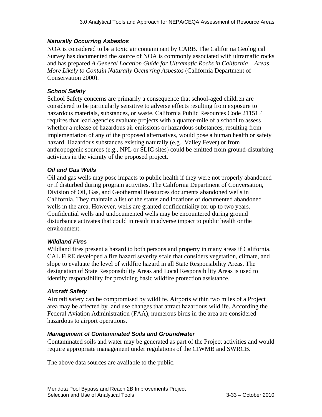### *Naturally Occurring Asbestos*

NOA is considered to be a toxic air contaminant by CARB. The California Geological Survey has documented the source of NOA is commonly associated with ultramafic rocks and has prepared *A General Location Guide for Ultramafic Rocks in California – Areas More Likely to Contain Naturally Occurring Asbestos* (California Department of Conservation 2000).

#### *School Safety*

School Safety concerns are primarily a consequence that school-aged children are considered to be particularly sensitive to adverse effects resulting from exposure to hazardous materials, substances, or waste. California Public Resources Code 21151.4 requires that lead agencies evaluate projects with a quarter-mile of a school to assess whether a release of hazardous air emissions or hazardous substances, resulting from implementation of any of the proposed alternatives, would pose a human health or safety hazard. Hazardous substances existing naturally (e.g., Valley Fever) or from anthropogenic sources (e.g., NPL or SLIC sites) could be emitted from ground-disturbing activities in the vicinity of the proposed project.

#### *Oil and Gas Wells*

Oil and gas wells may pose impacts to public health if they were not properly abandoned or if disturbed during program activities. The California Department of Conversation, Division of Oil, Gas, and Geothermal Resources documents abandoned wells in California. They maintain a list of the status and locations of documented abandoned wells in the area. However, wells are granted confidentiality for up to two years. Confidential wells and undocumented wells may be encountered during ground disturbance activates that could in result in adverse impact to public health or the environment.

### *Wildland Fires*

Wildland fires present a hazard to both persons and property in many areas if California. CAL FIRE developed a fire hazard severity scale that considers vegetation, climate, and slope to evaluate the level of wildfire hazard in all State Responsibility Areas. The designation of State Responsibility Areas and Local Responsibility Areas is used to identify responsibility for providing basic wildfire protection assistance.

#### *Aircraft Safety*

Aircraft safety can be compromised by wildlife. Airports within two miles of a Project area may be affected by land use changes that attract hazardous wildlife. According the Federal Aviation Administration (FAA), numerous birds in the area are considered hazardous to airport operations.

#### *Management of Contaminated Soils and Groundwater*

Contaminated soils and water may be generated as part of the Project activities and would require appropriate management under regulations of the CIWMB and SWRCB.

The above data sources are available to the public.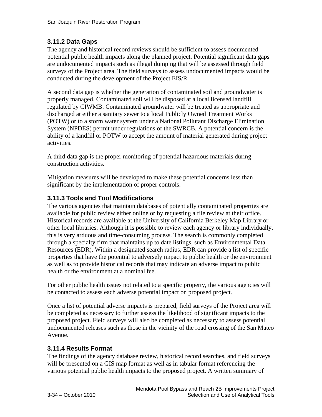## **3.11.2 Data Gaps**

The agency and historical record reviews should be sufficient to assess documented potential public health impacts along the planned project. Potential significant data gaps are undocumented impacts such as illegal dumping that will be assessed through field surveys of the Project area. The field surveys to assess undocumented impacts would be conducted during the development of the Project EIS/R.

A second data gap is whether the generation of contaminated soil and groundwater is properly managed. Contaminated soil will be disposed at a local licensed landfill regulated by CIWMB. Contaminated groundwater will be treated as appropriate and discharged at either a sanitary sewer to a local Publicly Owned Treatment Works (POTW) or to a storm water system under a National Pollutant Discharge Elimination System (NPDES) permit under regulations of the SWRCB. A potential concern is the ability of a landfill or POTW to accept the amount of material generated during project activities.

A third data gap is the proper monitoring of potential hazardous materials during construction activities.

Mitigation measures will be developed to make these potential concerns less than significant by the implementation of proper controls.

## **3.11.3 Tools and Tool Modifications**

The various agencies that maintain databases of potentially contaminated properties are available for public review either online or by requesting a file review at their office. Historical records are available at the University of California Berkeley Map Library or other local libraries. Although it is possible to review each agency or library individually, this is very arduous and time-consuming process. The search is commonly completed through a specialty firm that maintains up to date listings, such as Environmental Data Resources (EDR). Within a designated search radius, EDR can provide a list of specific properties that have the potential to adversely impact to public health or the environment as well as to provide historical records that may indicate an adverse impact to public health or the environment at a nominal fee.

For other public health issues not related to a specific property, the various agencies will be contacted to assess each adverse potential impact on proposed project.

Once a list of potential adverse impacts is prepared, field surveys of the Project area will be completed as necessary to further assess the likelihood of significant impacts to the proposed project. Field surveys will also be completed as necessary to assess potential undocumented releases such as those in the vicinity of the road crossing of the San Mateo Avenue.

### **3.11.4 Results Format**

The findings of the agency database review, historical record searches, and field surveys will be presented on a GIS map format as well as in tabular format referencing the various potential public health impacts to the proposed project. A written summary of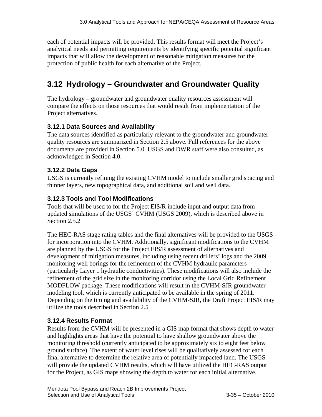each of potential impacts will be provided. This results format will meet the Project's analytical needs and permitting requirements by identifying specific potential significant impacts that will allow the development of reasonable mitigation measures for the protection of public health for each alternative of the Project.

# **3.12 Hydrology – Groundwater and Groundwater Quality**

The hydrology – groundwater and groundwater quality resources assessment will compare the effects on those resources that would result from implementation of the Project alternatives.

## **3.12.1 Data Sources and Availability**

The data sources identified as particularly relevant to the groundwater and groundwater quality resources are summarized in Section [2.5](#page-50-0) above. Full references for the above documents are provided in Section [5.0.](#page-128-0) USGS and DWR staff were also consulted, as acknowledged in Section [4.0.](#page-126-0)

## **3.12.2 Data Gaps**

USGS is currently refining the existing CVHM model to include smaller grid spacing and thinner layers, new topographical data, and additional soil and well data.

## **3.12.3 Tools and Tool Modifications**

Tools that will be used to for the Project EIS/R include input and output data from updated simulations of the USGS' CVHM (USGS 2009), which is described above in Section [2.5.2](#page-50-1) 

The HEC-RAS stage rating tables and the final alternatives will be provided to the USGS for incorporation into the CVHM. Additionally, significant modifications to the CVHM are planned by the USGS for the Project EIS/R assessment of alternatives and development of mitigation measures, including using recent drillers' logs and the 2009 monitoring well borings for the refinement of the CVHM hydraulic parameters (particularly Layer 1 hydraulic conductivities). These modifications will also include the refinement of the grid size in the monitoring corridor using the Local Grid Refinement MODFLOW package. These modifications will result in the CVHM-SJR groundwater modeling tool, which is currently anticipated to be available in the spring of 2011. Depending on the timing and availability of the CVHM-SJR, the Draft Project EIS/R may utilize the tools described in Section [2.5](#page-50-0) 

## **3.12.4 Results Format**

Results from the CVHM will be presented in a GIS map format that shows depth to water and highlights areas that have the potential to have shallow groundwater above the monitoring threshold (currently anticipated to be approximately six to eight feet below ground surface). The extent of water level rises will be qualitatively assessed for each final alternative to determine the relative area of potentially impacted land. The USGS will provide the updated CVHM results, which will have utilized the HEC-RAS output for the Project, as GIS maps showing the depth to water for each initial alternative,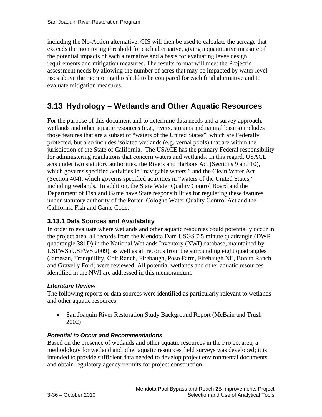including the No-Action alternative. GIS will then be used to calculate the acreage that exceeds the monitoring threshold for each alternative, giving a quantitative measure of the potential impacts of each alternative and a basis for evaluating levee design requirements and mitigation measures. The results format will meet the Project's assessment needs by allowing the number of acres that may be impacted by water level rises above the monitoring threshold to be compared for each final alternative and to evaluate mitigation measures.

# **3.13 Hydrology – Wetlands and Other Aquatic Resources**

For the purpose of this document and to determine data needs and a survey approach, wetlands and other aquatic resources (e.g., rivers, streams and natural basins) includes those features that are a subset of "waters of the United States", which are Federally protected, but also includes isolated wetlands (e.g. vernal pools) that are within the jurisdiction of the State of California. The USACE has the primary Federal responsibility for administering regulations that concern waters and wetlands. In this regard, USACE acts under two statutory authorities, the Rivers and Harbors Act (Sections 9 and 10), which governs specified activities in "navigable waters," and the Clean Water Act (Section 404), which governs specified activities in "waters of the United States," including wetlands. In addition, the State Water Quality Control Board and the Department of Fish and Game have State responsibilities for regulating these features under statutory authority of the Porter–Cologne Water Quality Control Act and the California Fish and Game Code.

## **3.13.1 Data Sources and Availability**

In order to evaluate where wetlands and other aquatic resources could potentially occur in the project area, all records from the Mendota Dam USGS 7.5 minute quadrangle (DWR quadrangle 381D) in the National Wetlands Inventory (NWI) database, maintained by USFWS (USFWS 2009), as well as all records from the surrounding eight quadrangles (Jamesan, Tranquillity, Coit Ranch, Firebaugh, Poso Farm, Firebaugh NE, Bonita Ranch and Gravelly Ford) were reviewed. All potential wetlands and other aquatic resources identified in the NWI are addressed in this memorandum.

### *Literature Review*

The following reports or data sources were identified as particularly relevant to wetlands and other aquatic resources:

• San Joaquin River Restoration Study Background Report (McBain and Trush 2002)

### *Potential to Occur and Recommendations*

Based on the presence of wetlands and other aquatic resources in the Project area, a methodology for wetland and other aquatic resources field surveys was developed; it is intended to provide sufficient data needed to develop project environmental documents and obtain regulatory agency permits for project construction.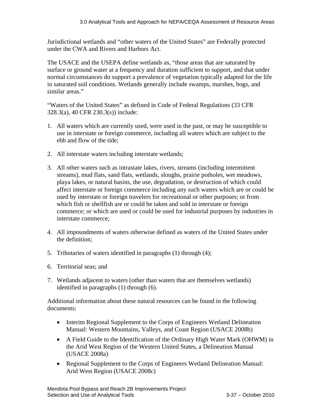Jurisdictional wetlands and "other waters of the United States" are Federally protected under the CWA and Rivers and Harbors Act.

The USACE and the USEPA define wetlands as, "those areas that are saturated by surface or ground water at a frequency and duration sufficient to support, and that under normal circumstances do support a prevalence of vegetation typically adapted for the life in saturated soil conditions. Wetlands generally include swamps, marshes, bogs, and similar areas."

"Waters of the United States" as defined in Code of Federal Regulations (33 CFR 328.3(a), 40 CFR 230.3(s)) include:

- 1. All waters which are currently used, were used in the past, or may be susceptible to use in interstate or foreign commerce, including all waters which are subject to the ebb and flow of the tide;
- 2. All interstate waters including interstate wetlands;
- 3. All other waters such as intrastate lakes, rivers, streams (including intermittent streams), mud flats, sand flats, wetlands, sloughs, prairie potholes, wet meadows, playa lakes, or natural basins, the use, degradation, or destruction of which could affect interstate or foreign commerce including any such waters which are or could be used by interstate or foreign travelers for recreational or other purposes; or from which fish or shellfish are or could be taken and sold in interstate or foreign commerce; or which are used or could be used for industrial purposes by industries in interstate commerce;
- 4. All impoundments of waters otherwise defined as waters of the United States under the definition;
- 5. Tributaries of waters identified in paragraphs (1) through (4);
- 6. Territorial seas; and
- 7. Wetlands adjacent to waters (other than waters that are themselves wetlands) identified in paragraphs (1) through (6).

Additional information about these natural resources can be found in the following documents:

- Interim Regional Supplement to the Corps of Engineers Wetland Delineation Manual: Western Mountains, Valleys, and Coast Region (USACE 2008b)
- A Field Guide to the Identification of the Ordinary High Water Mark (OHWM) in the Arid West Region of the Western United States, a Delineation Manual (USACE 2008a)
- Regional Supplement to the Corps of Engineers Wetland Delineation Manual: Arid West Region (USACE 2008c)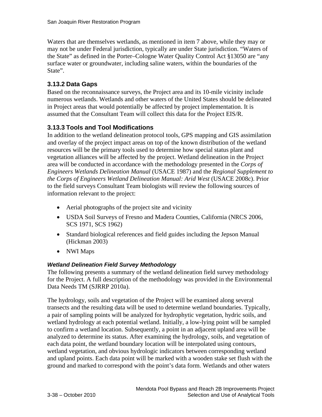Waters that are themselves wetlands, as mentioned in item 7 above, while they may or may not be under Federal jurisdiction, typically are under State jurisdiction. "Waters of the State" as defined in the Porter–Cologne Water Quality Control Act §13050 are "any surface water or groundwater, including saline waters, within the boundaries of the State".

## **3.13.2 Data Gaps**

Based on the reconnaissance surveys, the Project area and its 10-mile vicinity include numerous wetlands. Wetlands and other waters of the United States should be delineated in Project areas that would potentially be affected by project implementation. It is assumed that the Consultant Team will collect this data for the Project EIS/R.

## **3.13.3 Tools and Tool Modifications**

In addition to the wetland delineation protocol tools, GPS mapping and GIS assimilation and overlay of the project impact areas on top of the known distribution of the wetland resources will be the primary tools used to determine how special status plant and vegetation alliances will be affected by the project. Wetland delineation in the Project area will be conducted in accordance with the methodology presented in the *Corps of Engineers Wetlands Delineation Manual* (USACE 1987) and the *Regional Supplement to the Corps of Engineers Wetland Delineation Manual: Arid West* (USACE 2008c). Prior to the field surveys Consultant Team biologists will review the following sources of information relevant to the project:

- Aerial photographs of the project site and vicinity
- USDA Soil Surveys of Fresno and Madera Counties, California (NRCS 2006, SCS 1971, SCS 1962)
- Standard biological references and field guides including the Jepson Manual (Hickman 2003)
- NWI Maps

### *Wetland Delineation Field Survey Methodology*

The following presents a summary of the wetland delineation field survey methodology for the Project. A full description of the methodology was provided in the Environmental Data Needs TM (SJRRP 2010a).

The hydrology, soils and vegetation of the Project will be examined along several transects and the resulting data will be used to determine wetland boundaries. Typically, a pair of sampling points will be analyzed for hydrophytic vegetation, hydric soils, and wetland hydrology at each potential wetland. Initially, a low-lying point will be sampled to confirm a wetland location. Subsequently, a point in an adjacent upland area will be analyzed to determine its status. After examining the hydrology, soils, and vegetation of each data point, the wetland boundary location will be interpolated using contours, wetland vegetation, and obvious hydrologic indicators between corresponding wetland and upland points. Each data point will be marked with a wooden stake set flush with the ground and marked to correspond with the point's data form. Wetlands and other waters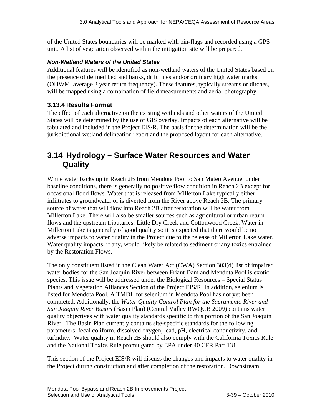of the United States boundaries will be marked with pin-flags and recorded using a GPS unit. A list of vegetation observed within the mitigation site will be prepared.

### *Non-Wetland Waters of the United States*

Additional features will be identified as non-wetland waters of the United States based on the presence of defined bed and banks, drift lines and/or ordinary high water marks (OHWM, average 2 year return frequency). These features, typically streams or ditches, will be mapped using a combination of field measurements and aerial photography.

## **3.13.4 Results Format**

The effect of each alternative on the existing wetlands and other waters of the United States will be determined by the use of GIS overlay. Impacts of each alternative will be tabulated and included in the Project EIS/R. The basis for the determination will be the jurisdictional wetland delineation report and the proposed layout for each alternative.

## **3.14 Hydrology – Surface Water Resources and Water Quality**

While water backs up in Reach 2B from Mendota Pool to San Mateo Avenue, under baseline conditions, there is generally no positive flow condition in Reach 2B except for occasional flood flows. Water that is released from Millerton Lake typically either infiltrates to groundwater or is diverted from the River above Reach 2B. The primary source of water that will flow into Reach 2B after restoration will be water from Millerton Lake. There will also be smaller sources such as agricultural or urban return flows and the upstream tributaries: Little Dry Creek and Cottonwood Creek. Water in Millerton Lake is generally of good quality so it is expected that there would be no adverse impacts to water quality in the Project due to the release of Millerton Lake water. Water quality impacts, if any, would likely be related to sediment or any toxics entrained by the Restoration Flows.

The only constituent listed in the Clean Water Act (CWA) Section 303(d) list of impaired water bodies for the San Joaquin River between Friant Dam and Mendota Pool is exotic species. This issue will be addressed under the Biological Resources – Special Status Plants and Vegetation Alliances Section of the Project EIS/R. In addition, selenium is listed for Mendota Pool. A TMDL for selenium in Mendota Pool has not yet been completed. Additionally, the *Water Quality Control Plan for the Sacramento River and San Joaquin River Basins* (Basin Plan) (Central Valley RWQCB 2009) contains water quality objectives with water quality standards specific to this portion of the San Joaquin River. The Basin Plan currently contains site-specific standards for the following parameters: fecal coliform, dissolved oxygen, lead, pH, electrical conductivity, and turbidity. Water quality in Reach 2B should also comply with the California Toxics Rule and the National Toxics Rule promulgated by EPA under 40 CFR Part 131.

This section of the Project EIS/R will discuss the changes and impacts to water quality in the Project during construction and after completion of the restoration. Downstream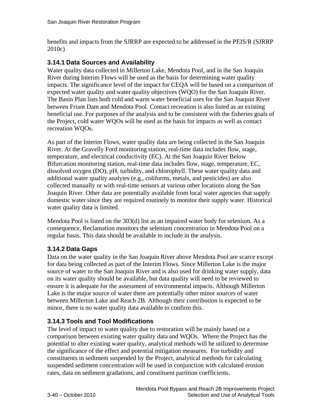benefits and impacts from the SJRRP are expected to be addressed in the PEIS/R (SJRRP 2010c)

## **3.14.1 Data Sources and Availability**

Water quality data collected in Millerton Lake, Mendota Pool, and in the San Joaquin River during Interim Flows will be used as the basis for determining water quality impacts. The significance level of the impact for CEQA will be based on a comparison of expected water quality and water quality objectives (WQO) for the San Joaquin River. The Basin Plan lists both cold and warm water beneficial uses for the San Joaquin River between Friant Dam and Mendota Pool. Contact recreation is also listed as an existing beneficial use. For purposes of the analysis and to be consistent with the fisheries goals of the Project, cold water WQOs will be used as the basis for impacts as well as contact recreation WQOs.

As part of the Interim Flows, water quality data are being collected in the San Joaquin River. At the Gravelly Ford monitoring station, real-time data includes flow, stage, temperature, and electrical conductivity (EC). At the San Joaquin River Below Bifurcation monitoring station, real-time data includes flow, stage, temperature, EC, dissolved oxygen (DO), pH, turbidity, and chlorophyll. These water quality data and additional water quality analytes (e.g., coliforms, metals, and pesticides) are also collected manually or with real-time sensors at various other locations along the San Joaquin River. Other data are potentially available from local water agencies that supply domestic water since they are required routinely to monitor their supply water. Historical water quality data is limited.

Mendota Pool is listed on the 303(d) list as an impaired water body for selenium. As a consequence, Reclamation monitors the selenium concentration in Mendota Pool on a regular basis. This data should be available to include in the analysis.

## **3.14.2 Data Gaps**

Data on the water quality in the San Joaquin River above Mendota Pool are scarce except for data being collected as part of the Interim Flows. Since Millerton Lake is the major source of water to the San Joaquin River and is also used for drinking water supply, data on its water quality should be available, but data quality will need to be reviewed to ensure it is adequate for the assessment of environmental impacts. Although Millerton Lake is the major source of water there are potentially other minor sources of water between Millerton Lake and Reach 2B. Although their contribution is expected to be minor, there is no water quality data available to confirm this.

## **3.14.3 Tools and Tool Modifications**

The level of impact to water quality due to restoration will be mainly based on a comparison between existing water quality data and WQOs. Where the Project has the potential to alter existing water quality, analytical methods will be utilized to determine the significance of the effect and potential mitigation measures. For turbidity and constituents in sediment suspended by the Project, analytical methods for calculating suspended sediment concentration will be used in conjunction with calculated erosion rates, data on sediment gradations, and constituent partition coefficients.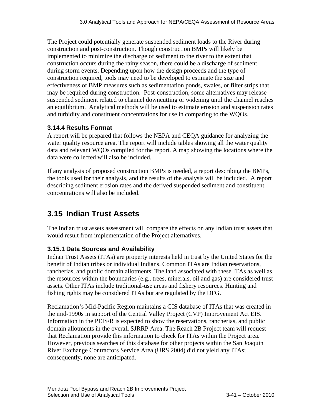The Project could potentially generate suspended sediment loads to the River during construction and post-construction. Though construction BMPs will likely be implemented to minimize the discharge of sediment to the river to the extent that construction occurs during the rainy season, there could be a discharge of sediment during storm events. Depending upon how the design proceeds and the type of construction required, tools may need to be developed to estimate the size and effectiveness of BMP measures such as sedimentation ponds, swales, or filter strips that may be required during construction. Post-construction, some alternatives may release suspended sediment related to channel downcutting or widening until the channel reaches an equilibrium. Analytical methods will be used to estimate erosion and suspension rates and turbidity and constituent concentrations for use in comparing to the WQOs.

## **3.14.4 Results Format**

A report will be prepared that follows the NEPA and CEQA guidance for analyzing the water quality resource area. The report will include tables showing all the water quality data and relevant WQOs compiled for the report. A map showing the locations where the data were collected will also be included.

If any analysis of proposed construction BMPs is needed, a report describing the BMPs, the tools used for their analysis, and the results of the analysis will be included. A report describing sediment erosion rates and the derived suspended sediment and constituent concentrations will also be included.

# **3.15 Indian Trust Assets**

The Indian trust assets assessment will compare the effects on any Indian trust assets that would result from implementation of the Project alternatives.

## **3.15.1 Data Sources and Availability**

Indian Trust Assets (ITAs) are property interests held in trust by the United States for the benefit of Indian tribes or individual Indians. Common ITAs are Indian reservations, rancherias, and public domain allotments. The land associated with these ITAs as well as the resources within the boundaries (e.g., trees, minerals, oil and gas) are considered trust assets. Other ITAs include traditional-use areas and fishery resources. Hunting and fishing rights may be considered ITAs but are regulated by the DFG.

Reclamation's Mid-Pacific Region maintains a GIS database of ITAs that was created in the mid-1990s in support of the Central Valley Project (CVP) Improvement Act EIS. Information in the PEIS/R is expected to show the reservations, rancherias, and public domain allotments in the overall SJRRP Area. The Reach 2B Project team will request that Reclamation provide this information to check for ITAs within the Project area. However, previous searches of this database for other projects within the San Joaquin River Exchange Contractors Service Area (URS 2004) did not yield any ITAs; consequently, none are anticipated.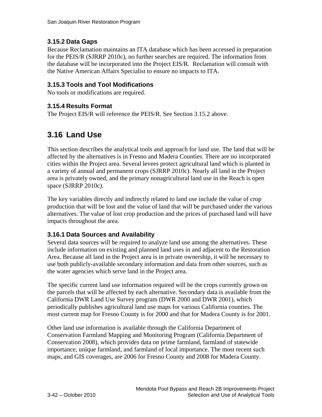## **3.15.2 Data Gaps**

<span id="page-107-0"></span>Because Reclamation maintains an ITA database which has been accessed in preparation for the PEIS/R (SJRRP 2010c), no further searches are required. The information from the database will be incorporated into the Project EIS/R. Reclamation will consult with the Native American Affairs Specialist to ensure no impacts to ITA.

## **3.15.3 Tools and Tool Modifications**

No tools or modifications are required.

## **3.15.4 Results Format**

The Project EIS/R will reference the PEIS/R. See Section [3.15.2](#page-107-0) above.

## **3.16 Land Use**

This section describes the analytical tools and approach for land use. The land that will be affected by the alternatives is in Fresno and Madera Counties. There are no incorporated cities within the Project area. Several levees protect agricultural land which is planted in a variety of annual and permanent crops (SJRRP 2010c). Nearly all land in the Project area is privately owned, and the primary nonagricultural land use in the Reach is open space (SJRRP 2010c).

The key variables directly and indirectly related to land use include the value of crop production that will be lost and the value of land that will be purchased under the various alternatives. The value of lost crop production and the prices of purchased land will have impacts throughout the area.

## **3.16.1 Data Sources and Availability**

Several data sources will be required to analyze land use among the alternatives. These include information on existing and planned land uses in and adjacent to the Restoration Area. Because all land in the Project area is in private ownership, it will be necessary to use both publicly-available secondary information and data from other sources, such as the water agencies which serve land in the Project area.

The specific current land use information required will be the crops currently grown on the parcels that will be affected by each alternative. Secondary data is available from the California DWR Land Use Survey program (DWR 2000 and DWR 2001), which periodically publishes agricultural land use maps for various California counties. The most current map for Fresno County is for 2000 and that for Madera County is for 2001.

Other land use information is available through the California Department of Conservation Farmland Mapping and Monitoring Program (California Department of Conservation 2008), which provides data on prime farmland, farmland of statewide importance, unique farmland, and farmland of local importance. The most recent such maps, and GIS coverages, are 2006 for Fresno County and 2008 for Madera County.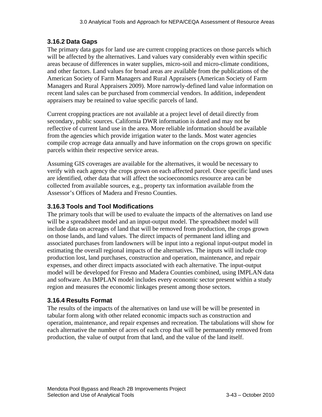### **3.16.2 Data Gaps**

The primary data gaps for land use are current cropping practices on those parcels which will be affected by the alternatives. Land values vary considerably even within specific areas because of differences in water supplies, micro-soil and micro-climate conditions, and other factors. Land values for broad areas are available from the publications of the American Society of Farm Managers and Rural Appraisers (American Society of Farm Managers and Rural Appraisers 2009). More narrowly-defined land value information on recent land sales can be purchased from commercial vendors. In addition, independent appraisers may be retained to value specific parcels of land.

Current cropping practices are not available at a project level of detail directly from secondary, public sources. California DWR information is dated and may not be reflective of current land use in the area. More reliable information should be available from the agencies which provide irrigation water to the lands. Most water agencies compile crop acreage data annually and have information on the crops grown on specific parcels within their respective service areas.

Assuming GIS coverages are available for the alternatives, it would be necessary to verify with each agency the crops grown on each affected parcel. Once specific land uses are identified, other data that will affect the socioeconomics resource area can be collected from available sources, e.g., property tax information available from the Assessor's Offices of Madera and Fresno Counties.

### **3.16.3 Tools and Tool Modifications**

The primary tools that will be used to evaluate the impacts of the alternatives on land use will be a spreadsheet model and an input-output model. The spreadsheet model will include data on acreages of land that will be removed from production, the crops grown on those lands, and land values. The direct impacts of permanent land idling and associated purchases from landowners will be input into a regional input-output model in estimating the overall regional impacts of the alternatives. The inputs will include crop production lost, land purchases, construction and operation, maintenance, and repair expenses, and other direct impacts associated with each alternative. The input-output model will be developed for Fresno and Madera Counties combined, using IMPLAN data and software. An IMPLAN model includes every economic sector present within a study region and measures the economic linkages present among those sectors.

### **3.16.4 Results Format**

The results of the impacts of the alternatives on land use will be will be presented in tabular form along with other related economic impacts such as construction and operation, maintenance, and repair expenses and recreation. The tabulations will show for each alternative the number of acres of each crop that will be permanently removed from production, the value of output from that land, and the value of the land itself.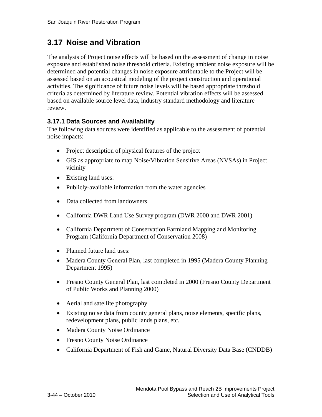# **3.17 Noise and Vibration**

The analysis of Project noise effects will be based on the assessment of change in noise exposure and established noise threshold criteria. Existing ambient noise exposure will be determined and potential changes in noise exposure attributable to the Project will be assessed based on an acoustical modeling of the project construction and operational activities. The significance of future noise levels will be based appropriate threshold criteria as determined by literature review. Potential vibration effects will be assessed based on available source level data, industry standard methodology and literature review.

### **3.17.1 Data Sources and Availability**

The following data sources were identified as applicable to the assessment of potential noise impacts:

- Project description of physical features of the project
- GIS as appropriate to map Noise/Vibration Sensitive Areas (NVSAs) in Project vicinity
- Existing land uses:
- Publicly-available information from the water agencies
- Data collected from landowners
- California DWR Land Use Survey program (DWR 2000 and DWR 2001)
- California Department of Conservation Farmland Mapping and Monitoring Program (California Department of Conservation 2008)
- Planned future land uses:
- Madera County General Plan, last completed in 1995 (Madera County Planning Department 1995)
- Fresno County General Plan, last completed in 2000 (Fresno County Department of Public Works and Planning 2000)
- Aerial and satellite photography
- Existing noise data from county general plans, noise elements, specific plans, redevelopment plans, public lands plans, etc.
- Madera County Noise Ordinance
- Fresno County Noise Ordinance
- California Department of Fish and Game, Natural Diversity Data Base (CNDDB)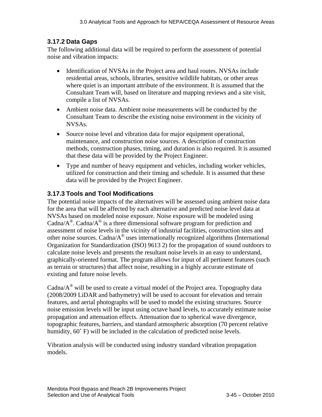### **3.17.2 Data Gaps**

The following additional data will be required to perform the assessment of potential noise and vibration impacts:

- Identification of NVSAs in the Project area and haul routes. NVSAs include residential areas, schools, libraries, sensitive wildlife habitats, or other areas where quiet is an important attribute of the environment. It is assumed that the Consultant Team will, based on literature and mapping reviews and a site visit, compile a list of NVSAs.
- Ambient noise data. Ambient noise measurements will be conducted by the Consultant Team to describe the existing noise environment in the vicinity of NVSAs.
- Source noise level and vibration data for major equipment operational, maintenance, and construction noise sources. A description of construction methods, construction phases, timing, and duration is also required. It is assumed that these data will be provided by the Project Engineer.
- Type and number of heavy equipment and vehicles, including worker vehicles, utilized for construction and their timing and schedule. It is assumed that these data will be provided by the Project Engineer.

### **3.17.3 Tools and Tool Modifications**

The potential noise impacts of the alternatives will be assessed using ambient noise data for the area that will be affected by each alternative and predicted noise level data at NVSAs based on modeled noise exposure. Noise exposure will be modeled using Cadna/ $A^{\circledast}$ . Cadna/ $A^{\circledast}$  is a three dimensional software program for prediction and assessment of noise levels in the vicinity of industrial facilities, construction sites and other noise sources. Cadna/A® uses internationally recognized algorithms (International Organization for Standardization (ISO) 9613 2) for the propagation of sound outdoors to calculate noise levels and presents the resultant noise levels in an easy to understand, graphically-oriented format. The program allows for input of all pertinent features (such as terrain or structures) that affect noise, resulting in a highly accurate estimate of existing and future noise levels.

 $Cadana/A<sup>®</sup>$  will be used to create a virtual model of the Project area. Topography data (2008/2009 LiDAR and bathymetry) will be used to account for elevation and terrain features, and aerial photographs will be used to model the existing structures. Source noise emission levels will be input using octave band levels, to accurately estimate noise propagation and attenuation effects. Attenuation due to spherical wave divergence, topographic features, barriers, and standard atmospheric absorption (70 percent relative humidity,  $60^{\circ}$  F) will be included in the calculation of predicted noise levels.

Vibration analysis will be conducted using industry standard vibration propagation models.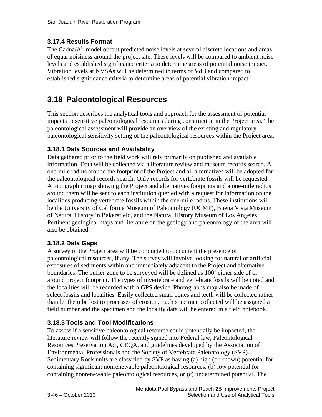### **3.17.4 Results Format**

The Cadna/ $A^{\circledast}$  model output predicted noise levels at several discrete locations and areas of equal noisiness around the project site. These levels will be compared to ambient noise levels and established significance criteria to determine areas of potential noise impact. Vibration levels at NVSAs will be determined in terms of VdB and compared to established significance criteria to determine areas of potential vibration impact.

# **3.18 Paleontological Resources**

This section describes the analytical tools and approach for the assessment of potential impacts to sensitive paleontological resources during construction in the Project area. The paleontological assessment will provide an overview of the existing and regulatory paleontological sensitivity setting of the paleontological resources within the Project area.

### **3.18.1 Data Sources and Availability**

Data gathered prior to the field work will rely primarily on published and available information. Data will be collected via a literature review and museum records search. A one-mile radius around the footprint of the Project and all alternatives will be adopted for the paleontological records search. Only records for vertebrate fossils will be requested. A topographic map showing the Project and alternatives footprints and a one-mile radius around them will be sent to each institution queried with a request for information on the localities producing vertebrate fossils within the one-mile radius. These institutions will be the University of California Museum of Paleontology (UCMP), Buena Vista Museum of Natural History in Bakersfield, and the Natural History Museum of Los Angeles. Pertinent geological maps and literature on the geology and paleontology of the area will also be obtained.

### **3.18.2 Data Gaps**

A survey of the Project area will be conducted to document the presence of paleontological resources, if any. The survey will involve looking for natural or artificial exposures of sediments within and immediately adjacent to the Project and alternative boundaries. The buffer zone to be surveyed will be defined as 100' either side of or around project footprint. The types of invertebrate and vertebrate fossils will be noted and the localities will be recorded with a GPS device. Photographs may also be made of select fossils and localities. Easily collected small bones and teeth will be collected rather than let them be lost to processes of erosion. Each specimen collected will be assigned a field number and the specimen and the locality data will be entered in a field notebook.

# **3.18.3 Tools and Tool Modifications**

To assess if a sensitive paleontological resource could potentially be impacted, the literature review will follow the recently signed into Federal law, Paleontological Resources Preservation Act, CEQA, and guidelines developed by the Association of Environmental Professionals and the Society of Vertebrate Paleontology (SVP). Sedimentary Rock units are classified by SVP as having (a) high (or known) potential for containing significant nonrenewable paleontological resources, (b) low potential for containing nonrenewable paleontological resources, or (c) undetermined potential. The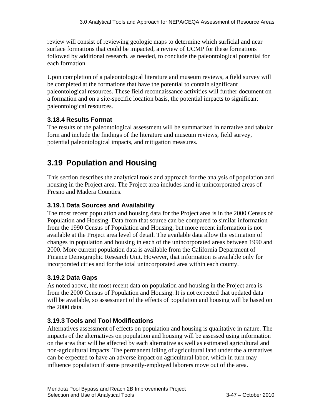review will consist of reviewing geologic maps to determine which surficial and near surface formations that could be impacted, a review of UCMP for these formations followed by additional research, as needed, to conclude the paleontological potential for each formation.

Upon completion of a paleontological literature and museum reviews, a field survey will be completed at the formations that have the potential to contain significant paleontological resources. These field reconnaissance activities will further document on a formation and on a site-specific location basis, the potential impacts to significant paleontological resources.

### **3.18.4 Results Format**

The results of the paleontological assessment will be summarized in narrative and tabular form and include the findings of the literature and museum reviews, field survey, potential paleontological impacts, and mitigation measures.

# **3.19 Population and Housing**

This section describes the analytical tools and approach for the analysis of population and housing in the Project area. The Project area includes land in unincorporated areas of Fresno and Madera Counties.

# **3.19.1 Data Sources and Availability**

The most recent population and housing data for the Project area is in the 2000 Census of Population and Housing. Data from that source can be compared to similar information from the 1990 Census of Population and Housing, but more recent information is not available at the Project area level of detail. The available data allow the estimation of changes in population and housing in each of the unincorporated areas between 1990 and 2000. More current population data is available from the California Department of Finance Demographic Research Unit. However, that information is available only for incorporated cities and for the total unincorporated area within each county.

# **3.19.2 Data Gaps**

As noted above, the most recent data on population and housing in the Project area is from the 2000 Census of Population and Housing. It is not expected that updated data will be available, so assessment of the effects of population and housing will be based on the 2000 data.

# **3.19.3 Tools and Tool Modifications**

Alternatives assessment of effects on population and housing is qualitative in nature. The impacts of the alternatives on population and housing will be assessed using information on the area that will be affected by each alternative as well as estimated agricultural and non-agricultural impacts. The permanent idling of agricultural land under the alternatives can be expected to have an adverse impact on agricultural labor, which in turn may influence population if some presently-employed laborers move out of the area.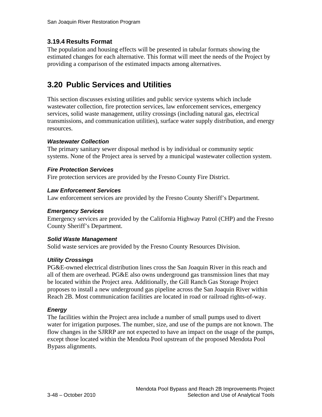### **3.19.4 Results Format**

The population and housing effects will be presented in tabular formats showing the estimated changes for each alternative. This format will meet the needs of the Project by providing a comparison of the estimated impacts among alternatives.

# <span id="page-113-0"></span>**3.20 Public Services and Utilities**

This section discusses existing utilities and public service systems which include wastewater collection, fire protection services, law enforcement services, emergency services, solid waste management, utility crossings (including natural gas, electrical transmissions, and communication utilities), surface water supply distribution, and energy resources.

### *Wastewater Collection*

The primary sanitary sewer disposal method is by individual or community septic systems. None of the Project area is served by a municipal wastewater collection system.

### *Fire Protection Services*

Fire protection services are provided by the Fresno County Fire District.

### *Law Enforcement Services*

Law enforcement services are provided by the Fresno County Sheriff's Department.

#### *Emergency Services*

Emergency services are provided by the California Highway Patrol (CHP) and the Fresno County Sheriff's Department.

#### *Solid Waste Management*

Solid waste services are provided by the Fresno County Resources Division.

### *Utility Crossings*

PG&E-owned electrical distribution lines cross the San Joaquin River in this reach and all of them are overhead. PG&E also owns underground gas transmission lines that may be located within the Project area. Additionally, the Gill Ranch Gas Storage Project proposes to install a new underground gas pipeline across the San Joaquin River within Reach 2B. Most communication facilities are located in road or railroad rights-of-way.

#### *Energy*

The facilities within the Project area include a number of small pumps used to divert water for irrigation purposes. The number, size, and use of the pumps are not known. The flow changes in the SJRRP are not expected to have an impact on the usage of the pumps, except those located within the Mendota Pool upstream of the proposed Mendota Pool Bypass alignments.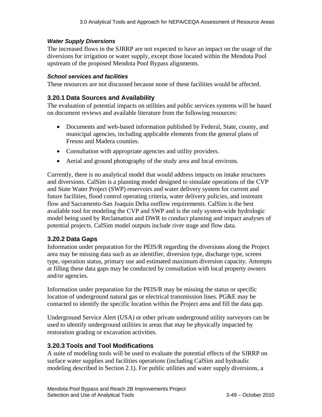#### *Water Supply Diversions*

The increased flows in the SJRRP are not expected to have an impact on the usage of the diversions for irrigation or water supply, except those located within the Mendota Pool upstream of the proposed Mendota Pool Bypass alignments.

#### *School services and facilities*

These resources are not discussed because none of these facilities would be affected.

### **3.20.1 Data Sources and Availability**

The evaluation of potential impacts on utilities and public services systems will be based on document reviews and available literature from the following resources:

- Documents and web-based information published by Federal, State, county, and municipal agencies, including applicable elements from the general plans of Fresno and Madera counties.
- Consultation with appropriate agencies and utility providers.
- Aerial and ground photography of the study area and local environs.

Currently, there is no analytical model that would address impacts on intake structures and diversions. CalSim is a planning model designed to simulate operations of the CVP and State Water Project (SWP) reservoirs and water delivery system for current and future facilities, flood control operating criteria, water delivery policies, and instream flow and Sacramento-San Joaquin Delta outflow requirements. CalSim is the best available tool for modeling the CVP and SWP and is the only system-wide hydrologic model being used by Reclamation and DWR to conduct planning and impact analyses of potential projects. CalSim model outputs include river stage and flow data.

### **3.20.2 Data Gaps**

Information under preparation for the PEIS/R regarding the diversions along the Project area may be missing data such as an identifier, diversion type, discharge type, screen type, operation status, primary use and estimated maximum diversion capacity. Attempts at filling these data gaps may be conducted by consultation with local property owners and/or agencies.

Information under preparation for the PEIS/R may be missing the status or specific location of underground natural gas or electrical transmission lines. PG&E may be contacted to identify the specific location within the Project area and fill the data gap.

Underground Service Alert (USA) or other private underground utility surveyors can be used to identify underground utilities in areas that may be physically impacted by restoration grading or excavation activities.

### **3.20.3 Tools and Tool Modifications**

A suite of modeling tools will be used to evaluate the potential effects of the SJRRP on surface water supplies and facilities operations (including CalSim and hydraulic modeling described in Section [2.1\)](#page-23-0). For public utilities and water supply diversions, a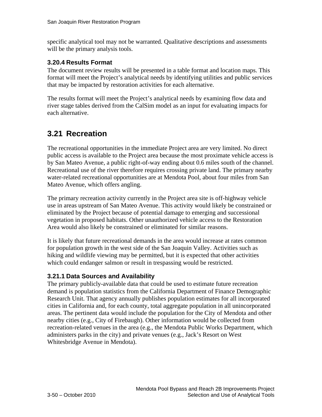specific analytical tool may not be warranted. Qualitative descriptions and assessments will be the primary analysis tools.

### **3.20.4 Results Format**

The document review results will be presented in a table format and location maps. This format will meet the Project's analytical needs by identifying utilities and public services that may be impacted by restoration activities for each alternative.

The results format will meet the Project's analytical needs by examining flow data and river stage tables derived from the CalSim model as an input for evaluating impacts for each alternative.

# **3.21 Recreation**

The recreational opportunities in the immediate Project area are very limited. No direct public access is available to the Project area because the most proximate vehicle access is by San Mateo Avenue, a public right-of-way ending about 0.6 miles south of the channel. Recreational use of the river therefore requires crossing private land. The primary nearby water-related recreational opportunities are at Mendota Pool, about four miles from San Mateo Avenue, which offers angling.

The primary recreation activity currently in the Project area site is off-highway vehicle use in areas upstream of San Mateo Avenue. This activity would likely be constrained or eliminated by the Project because of potential damage to emerging and successional vegetation in proposed habitats. Other unauthorized vehicle access to the Restoration Area would also likely be constrained or eliminated for similar reasons.

It is likely that future recreational demands in the area would increase at rates common for population growth in the west side of the San Joaquin Valley. Activities such as hiking and wildlife viewing may be permitted, but it is expected that other activities which could endanger salmon or result in trespassing would be restricted.

### **3.21.1 Data Sources and Availability**

The primary publicly-available data that could be used to estimate future recreation demand is population statistics from the California Department of Finance Demographic Research Unit. That agency annually publishes population estimates for all incorporated cities in California and, for each county, total aggregate population in all unincorporated areas. The pertinent data would include the population for the City of Mendota and other nearby cities (e.g., City of Firebaugh). Other information would be collected from recreation-related venues in the area (e.g., the Mendota Public Works Department, which administers parks in the city) and private venues (e.g., Jack's Resort on West Whitesbridge Avenue in Mendota).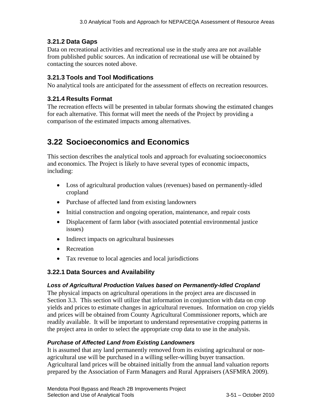### **3.21.2 Data Gaps**

Data on recreational activities and recreational use in the study area are not available from published public sources. An indication of recreational use will be obtained by contacting the sources noted above.

### **3.21.3 Tools and Tool Modifications**

No analytical tools are anticipated for the assessment of effects on recreation resources.

### **3.21.4 Results Format**

The recreation effects will be presented in tabular formats showing the estimated changes for each alternative. This format will meet the needs of the Project by providing a comparison of the estimated impacts among alternatives.

# **3.22 Socioeconomics and Economics**

This section describes the analytical tools and approach for evaluating socioeconomics and economics. The Project is likely to have several types of economic impacts, including:

- Loss of agricultural production values (revenues) based on permanently-idled cropland
- Purchase of affected land from existing landowners
- Initial construction and ongoing operation, maintenance, and repair costs
- Displacement of farm labor (with associated potential environmental justice issues)
- Indirect impacts on agricultural businesses
- Recreation
- Tax revenue to local agencies and local jurisdictions

### **3.22.1 Data Sources and Availability**

### *Loss of Agricultural Production Values based on Permanently-Idled Cropland*

The physical impacts on agricultural operations in the project area are discussed in Section [3.3.](#page-73-0) This section will utilize that information in conjunction with data on crop yields and prices to estimate changes in agricultural revenues. Information on crop yields and prices will be obtained from County Agricultural Commissioner reports, which are readily available. It will be important to understand representative cropping patterns in the project area in order to select the appropriate crop data to use in the analysis.

### *Purchase of Affected Land from Existing Landowners*

It is assumed that any land permanently removed from its existing agricultural or nonagricultural use will be purchased in a willing seller-willing buyer transaction. Agricultural land prices will be obtained initially from the annual land valuation reports prepared by the Association of Farm Managers and Rural Appraisers (ASFMRA 2009).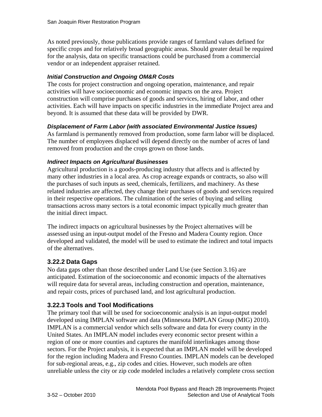As noted previously, those publications provide ranges of farmland values defined for specific crops and for relatively broad geographic areas. Should greater detail be required for the analysis, data on specific transactions could be purchased from a commercial vendor or an independent appraiser retained.

### *Initial Construction and Ongoing OM&R Costs*

The costs for project construction and ongoing operation, maintenance, and repair activities will have socioeconomic and economic impacts on the area. Project construction will comprise purchases of goods and services, hiring of labor, and other activities. Each will have impacts on specific industries in the immediate Project area and beyond. It is assumed that these data will be provided by DWR.

### *Displacement of Farm Labor (with associated Environmental Justice Issues)*

As farmland is permanently removed from production, some farm labor will be displaced. The number of employees displaced will depend directly on the number of acres of land removed from production and the crops grown on those lands.

### *Indirect Impacts on Agricultural Businesses*

Agricultural production is a goods-producing industry that affects and is affected by many other industries in a local area. As crop acreage expands or contracts, so also will the purchases of such inputs as seed, chemicals, fertilizers, and machinery. As these related industries are affected, they change their purchases of goods and services required in their respective operations. The culmination of the series of buying and selling transactions across many sectors is a total economic impact typically much greater than the initial direct impact.

The indirect impacts on agricultural businesses by the Project alternatives will be assessed using an input-output model of the Fresno and Madera County region. Once developed and validated, the model will be used to estimate the indirect and total impacts of the alternatives.

# **3.22.2 Data Gaps**

No data gaps other than those described under Land Use (see Section [3.16\)](#page-107-0) are anticipated. Estimation of the socioeconomic and economic impacts of the alternatives will require data for several areas, including construction and operation, maintenance, and repair costs, prices of purchased land, and lost agricultural production.

### **3.22.3 Tools and Tool Modifications**

The primary tool that will be used for socioeconomic analysis is an input-output model developed using IMPLAN software and data (Minnesota IMPLAN Group (MIG) 2010). IMPLAN is a commercial vendor which sells software and data for every county in the United States. An IMPLAN model includes every economic sector present within a region of one or more counties and captures the manifold interlinkages among those sectors. For the Project analysis, it is expected that an IMPLAN model will be developed for the region including Madera and Fresno Counties. IMPLAN models can be developed for sub-regional areas, e.g., zip codes and cities. However, such models are often unreliable unless the city or zip code modeled includes a relatively complete cross section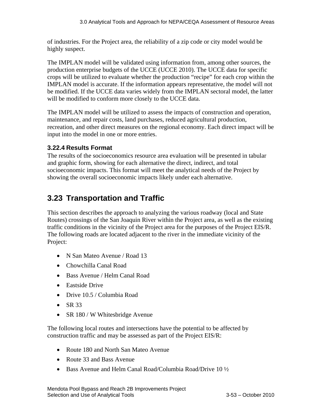of industries. For the Project area, the reliability of a zip code or city model would be highly suspect.

The IMPLAN model will be validated using information from, among other sources, the production enterprise budgets of the UCCE (UCCE 2010). The UCCE data for specific crops will be utilized to evaluate whether the production "recipe" for each crop within the IMPLAN model is accurate. If the information appears representative, the model will not be modified. If the UCCE data varies widely from the IMPLAN sectoral model, the latter will be modified to conform more closely to the UCCE data.

The IMPLAN model will be utilized to assess the impacts of construction and operation, maintenance, and repair costs, land purchases, reduced agricultural production, recreation, and other direct measures on the regional economy. Each direct impact will be input into the model in one or more entries.

### **3.22.4 Results Format**

The results of the socioeconomics resource area evaluation will be presented in tabular and graphic form, showing for each alternative the direct, indirect, and total socioeconomic impacts. This format will meet the analytical needs of the Project by showing the overall socioeconomic impacts likely under each alternative.

# **3.23 Transportation and Traffic**

This section describes the approach to analyzing the various roadway (local and State Routes) crossings of the San Joaquin River within the Project area, as well as the existing traffic conditions in the vicinity of the Project area for the purposes of the Project EIS/R. The following roads are located adjacent to the river in the immediate vicinity of the Project:

- N San Mateo Avenue / Road 13
- Chowchilla Canal Road
- Bass Avenue / Helm Canal Road
- Eastside Drive
- Drive 10.5 / Columbia Road
- $\bullet$  SR 33
- SR 180 / W Whitesbridge Avenue

The following local routes and intersections have the potential to be affected by construction traffic and may be assessed as part of the Project EIS/R:

- Route 180 and North San Mateo Avenue
- Route 33 and Bass Avenue
- Bass Avenue and Helm Canal Road/Columbia Road/Drive 10  $\frac{1}{2}$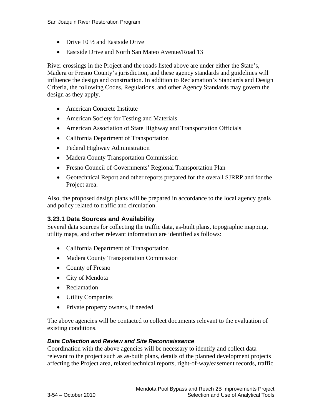- Drive  $10\frac{1}{2}$  and Eastside Drive
- Eastside Drive and North San Mateo Avenue/Road 13

River crossings in the Project and the roads listed above are under either the State's, Madera or Fresno County's jurisdiction, and these agency standards and guidelines will influence the design and construction. In addition to Reclamation's Standards and Design Criteria, the following Codes, Regulations, and other Agency Standards may govern the design as they apply.

- American Concrete Institute
- American Society for Testing and Materials
- American Association of State Highway and Transportation Officials
- California Department of Transportation
- Federal Highway Administration
- Madera County Transportation Commission
- Fresno Council of Governments' Regional Transportation Plan
- Geotechnical Report and other reports prepared for the overall SJRRP and for the Project area.

Also, the proposed design plans will be prepared in accordance to the local agency goals and policy related to traffic and circulation.

### **3.23.1 Data Sources and Availability**

Several data sources for collecting the traffic data, as-built plans, topographic mapping, utility maps, and other relevant information are identified as follows:

- California Department of Transportation
- Madera County Transportation Commission
- County of Fresno
- City of Mendota
- Reclamation
- Utility Companies
- Private property owners, if needed

The above agencies will be contacted to collect documents relevant to the evaluation of existing conditions.

#### *Data Collection and Review and Site Reconnaissance*

Coordination with the above agencies will be necessary to identify and collect data relevant to the project such as as-built plans, details of the planned development projects affecting the Project area, related technical reports, right-of-way/easement records, traffic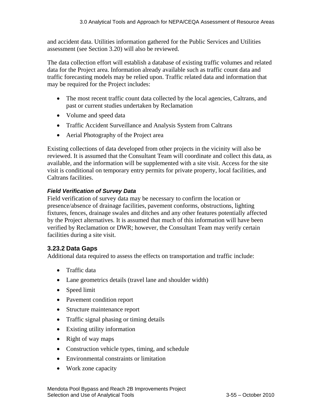and accident data. Utilities information gathered for the Public Services and Utilities assessment (see Section [3.20\)](#page-113-0) will also be reviewed.

The data collection effort will establish a database of existing traffic volumes and related data for the Project area. Information already available such as traffic count data and traffic forecasting models may be relied upon. Traffic related data and information that may be required for the Project includes:

- The most recent traffic count data collected by the local agencies, Caltrans, and past or current studies undertaken by Reclamation
- Volume and speed data
- Traffic Accident Surveillance and Analysis System from Caltrans
- Aerial Photography of the Project area

Existing collections of data developed from other projects in the vicinity will also be reviewed. It is assumed that the Consultant Team will coordinate and collect this data, as available, and the information will be supplemented with a site visit. Access for the site visit is conditional on temporary entry permits for private property, local facilities, and Caltrans facilities.

### *Field Verification of Survey Data*

Field verification of survey data may be necessary to confirm the location or presence/absence of drainage facilities, pavement conforms, obstructions, lighting fixtures, fences, drainage swales and ditches and any other features potentially affected by the Project alternatives. It is assumed that much of this information will have been verified by Reclamation or DWR; however, the Consultant Team may verify certain facilities during a site visit.

### **3.23.2 Data Gaps**

Additional data required to assess the effects on transportation and traffic include:

- Traffic data
- Lane geometrics details (travel lane and shoulder width)
- Speed limit
- Pavement condition report
- Structure maintenance report
- Traffic signal phasing or timing details
- Existing utility information
- Right of way maps
- Construction vehicle types, timing, and schedule
- Environmental constraints or limitation
- Work zone capacity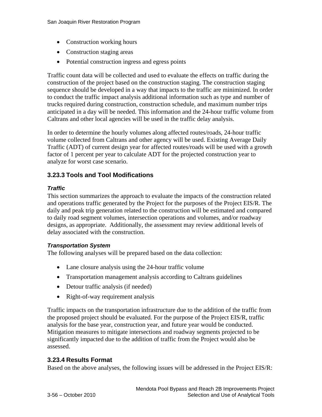- Construction working hours
- Construction staging areas
- Potential construction ingress and egress points

Traffic count data will be collected and used to evaluate the effects on traffic during the construction of the project based on the construction staging. The construction staging sequence should be developed in a way that impacts to the traffic are minimized. In order to conduct the traffic impact analysis additional information such as type and number of trucks required during construction, construction schedule, and maximum number trips anticipated in a day will be needed. This information and the 24-hour traffic volume from Caltrans and other local agencies will be used in the traffic delay analysis.

In order to determine the hourly volumes along affected routes/roads, 24-hour traffic volume collected from Caltrans and other agency will be used. Existing Average Daily Traffic (ADT) of current design year for affected routes/roads will be used with a growth factor of 1 percent per year to calculate ADT for the projected construction year to analyze for worst case scenario.

### **3.23.3 Tools and Tool Modifications**

### *Traffic*

This section summarizes the approach to evaluate the impacts of the construction related and operations traffic generated by the Project for the purposes of the Project EIS/R. The daily and peak trip generation related to the construction will be estimated and compared to daily road segment volumes, intersection operations and volumes, and/or roadway designs, as appropriate. Additionally, the assessment may review additional levels of delay associated with the construction.

#### *Transportation System*

The following analyses will be prepared based on the data collection:

- Lane closure analysis using the 24-hour traffic volume
- Transportation management analysis according to Caltrans guidelines
- Detour traffic analysis (if needed)
- Right-of-way requirement analysis

Traffic impacts on the transportation infrastructure due to the addition of the traffic from the proposed project should be evaluated. For the purpose of the Project EIS/R, traffic analysis for the base year, construction year, and future year would be conducted. Mitigation measures to mitigate intersections and roadway segments projected to be significantly impacted due to the addition of traffic from the Project would also be assessed.

### **3.23.4 Results Format**

Based on the above analyses, the following issues will be addressed in the Project EIS/R: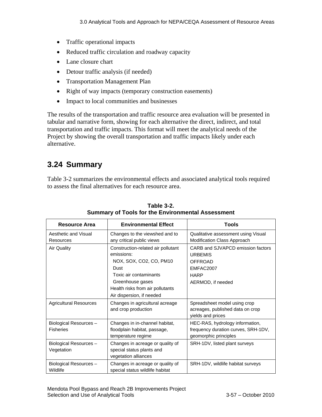- Traffic operational impacts
- Reduced traffic circulation and roadway capacity
- Lane closure chart
- Detour traffic analysis (if needed)
- Transportation Management Plan
- Right of way impacts (temporary construction easements)
- Impact to local communities and businesses

The results of the transportation and traffic resource area evaluation will be presented in tabular and narrative form, showing for each alternative the direct, indirect, and total transportation and traffic impacts. This format will meet the analytical needs of the Project by showing the overall transportation and traffic impacts likely under each alternative.

# **3.24 Summary**

[Table 3-2](#page-122-0) summarizes the environmental effects and associated analytical tools required to assess the final alternatives for each resource area.

| <b>Resource Area</b>                       | <b>Environmental Effect</b>                                                                                                                                                                        | <b>Tools</b>                                                                                                           |
|--------------------------------------------|----------------------------------------------------------------------------------------------------------------------------------------------------------------------------------------------------|------------------------------------------------------------------------------------------------------------------------|
| Aesthetic and Visual<br>Resources          | Changes to the viewshed and to<br>any critical public views                                                                                                                                        | Qualitative assessment using Visual<br>Modification Class Approach                                                     |
| <b>Air Quality</b>                         | Construction-related air pollutant<br>emissions:<br>NOX, SOX, CO2, CO, PM10<br>Dust<br>Toxic air contaminants<br>Greenhouse gases<br>Health risks from air pollutants<br>Air dispersion, if needed | CARB and SJVAPCD emission factors<br><b>URBEMIS</b><br><b>OFFROAD</b><br>EMFAC2007<br><b>HARP</b><br>AERMOD, if needed |
| <b>Agricultural Resources</b>              | Changes in agricultural acreage<br>and crop production                                                                                                                                             | Spreadsheet model using crop<br>acreages, published data on crop<br>yields and prices                                  |
| Biological Resources -<br><b>Fisheries</b> | Changes in in-channel habitat,<br>floodplain habitat, passage,<br>temperature regime                                                                                                               | HEC-RAS, hydrology information,<br>frequency duration curves, SRH-1DV,<br>geomorphic principles                        |
| Biological Resources -<br>Vegetation       | Changes in acreage or quality of<br>special status plants and<br>vegetation alliances                                                                                                              | SRH-1DV, listed plant surveys                                                                                          |
| Biological Resources -<br>Wildlife         | Changes in acreage or quality of<br>special status wildlife habitat                                                                                                                                | SRH-1DV, wildlife habitat surveys                                                                                      |

<span id="page-122-0"></span>**Table 3-2. Summary of Tools for the Environmental Assessment**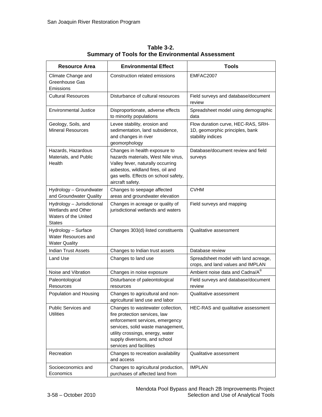| <b>Resource Area</b>                                                                      | <b>Environmental Effect</b>                                                                                                                                                                                                                | <b>Tools</b>                                                                               |
|-------------------------------------------------------------------------------------------|--------------------------------------------------------------------------------------------------------------------------------------------------------------------------------------------------------------------------------------------|--------------------------------------------------------------------------------------------|
| Climate Change and<br>Greenhouse Gas<br>Emissions                                         | Construction related emissions                                                                                                                                                                                                             | EMFAC2007                                                                                  |
| <b>Cultural Resources</b>                                                                 | Disturbance of cultural resources                                                                                                                                                                                                          | Field surveys and database/document<br>review                                              |
| <b>Environmental Justice</b>                                                              | Disproportionate, adverse effects<br>to minority populations                                                                                                                                                                               | Spreadsheet model using demographic<br>data                                                |
| Geology, Soils, and<br><b>Mineral Resources</b>                                           | Levee stability, erosion and<br>sedimentation, land subsidence,<br>and changes in river<br>geomorphology                                                                                                                                   | Flow duration curve, HEC-RAS, SRH-<br>1D, geomorphic principles, bank<br>stability indices |
| Hazards, Hazardous<br>Materials, and Public<br>Health                                     | Changes in health exposure to<br>hazards materials, West Nile virus,<br>Valley fever, naturally occurring<br>asbestos, wildland fires, oil and<br>gas wells. Effects on school safety,<br>aircraft safety.                                 | Database/document review and field<br>surveys                                              |
| Hydrology - Groundwater<br>and Groundwater Quality                                        | Changes to seepage affected<br>areas and groundwater elevation                                                                                                                                                                             | <b>CVHM</b>                                                                                |
| Hydrology - Jurisdictional<br>Wetlands and Other<br>Waters of the United<br><b>States</b> | Changes in acreage or quality of<br>jurisdictional wetlands and waters                                                                                                                                                                     | Field surveys and mapping                                                                  |
| Hydrology - Surface<br>Water Resources and<br><b>Water Quality</b>                        | Changes 303(d) listed constituents                                                                                                                                                                                                         | Qualitative assessment                                                                     |
| <b>Indian Trust Assets</b>                                                                | Changes to Indian trust assets                                                                                                                                                                                                             | Database review                                                                            |
| <b>Land Use</b>                                                                           | Changes to land use                                                                                                                                                                                                                        | Spreadsheet model with land acreage,<br>crops, and land values and IMPLAN                  |
| Noise and Vibration                                                                       | Changes in noise exposure                                                                                                                                                                                                                  | Ambient noise data and Cadna/A®                                                            |
| Paleontological<br>Resources                                                              | Disturbance of paleontological<br>resources                                                                                                                                                                                                | Field surveys and database/document<br>review                                              |
| Population and Housing                                                                    | Changes to agricultural and non-<br>agricultural land use and labor                                                                                                                                                                        | Qualitative assessment                                                                     |
| Public Services and<br><b>Utilities</b>                                                   | Changes to wastewater collection,<br>fire protection services, law<br>enforcement services, emergency<br>services, solid waste management,<br>utility crossings, energy, water<br>supply diversions, and school<br>services and facilities | HEC-RAS and qualitative assessment                                                         |
| Recreation                                                                                | Changes to recreation availability<br>and access                                                                                                                                                                                           | Qualitative assessment                                                                     |
| Socioeconomics and<br>Economics                                                           | Changes to agricultural production,<br>purchases of affected land from                                                                                                                                                                     | <b>IMPLAN</b>                                                                              |

**Table 3-2. Summary of Tools for the Environmental Assessment**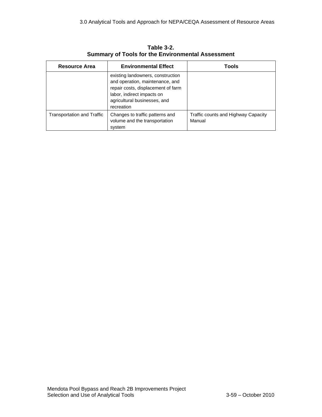| <b>Resource Area</b>       | <b>Environmental Effect</b>                                                                                                                                                            | <b>Tools</b>                                  |
|----------------------------|----------------------------------------------------------------------------------------------------------------------------------------------------------------------------------------|-----------------------------------------------|
|                            | existing landowners, construction<br>and operation, maintenance, and<br>repair costs, displacement of farm<br>labor, indirect impacts on<br>agricultural businesses, and<br>recreation |                                               |
| Transportation and Traffic | Changes to traffic patterns and<br>volume and the transportation<br>system                                                                                                             | Traffic counts and Highway Capacity<br>Manual |

**Table 3-2. Summary of Tools for the Environmental Assessment**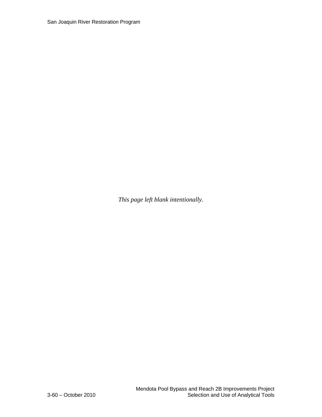*This page left blank intentionally.*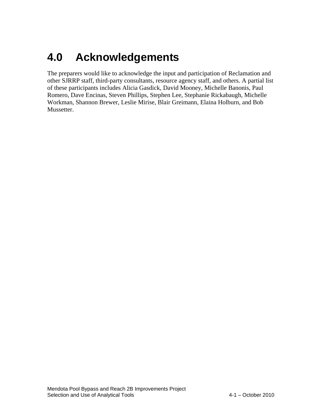# **4.0 Acknowledgements**

The preparers would like to acknowledge the input and participation of Reclamation and other SJRRP staff, third-party consultants, resource agency staff, and others. A partial list of these participants includes Alicia Gasdick, David Mooney, Michelle Banonis, Paul Romero, Dave Encinas, Steven Phillips, Stephen Lee, Stephanie Rickabaugh, Michelle Workman, Shannon Brewer, Leslie Mirise, Blair Greimann, Elaina Holburn, and Bob Mussetter.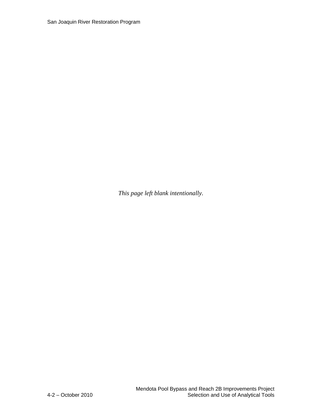*This page left blank intentionally.*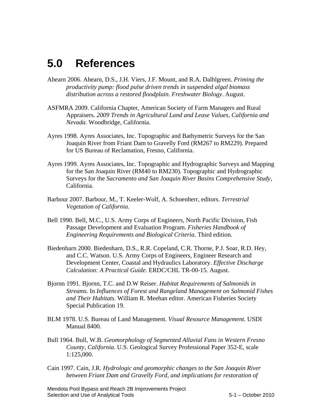# **5.0 References**

- Ahearn 2006. Ahearn, D.S., J.H. Viers, J.F. Mount, and R.A. Dalhlgreen. *Priming the productivity pump: flood pulse driven trends in suspended algal biomass distribution across a restored floodplain*. *Freshwater Biology*. August.
- ASFMRA 2009. California Chapter, American Society of Farm Managers and Rural Appraisers. *2009 Trends in Agricultural Land and Lease Values, California and Nevada*. Woodbridge, California.
- Ayres 1998. Ayres Associates, Inc. Topographic and Bathymetric Surveys for the San Joaquin River from Friant Dam to Gravelly Ford (RM267 to RM229). Prepared for US Bureau of Reclamation, Fresno, California.
- Ayres 1999. Ayres Associates, Inc. Topographic and Hydrographic Surveys and Mapping for the San Joaquin River (RM40 to RM230). Topographic and Hydrographic Surveys for the *Sacramento and San Joaquin River Basins Comprehensive Study*, California.
- Barbour 2007. Barbour, M., T. Keeler-Wolf, A. Schoenherr, editors. *Terrestrial Vegetation of California*.
- Bell 1990. Bell, M.C., U.S. Army Corps of Engineers, North Pacific Division, Fish Passage Development and Evaluation Program. *Fisheries Handbook of Engineering Requirements and Biological Criteria*. Third edition.
- Biedenharn 2000. Biedenharn, D.S., R.R. Copeland, C.R. Thorne, P.J. Soar, R.D. Hey, and C.C. Watson. U.S. Army Corps of Engineers, Engineer Research and Development Center, Coastal and Hydraulics Laboratory. *Effective Discharge Calculation: A Practical Guide*. ERDC/CHL TR-00-15. August.
- Bjornn 1991. Bjornn, T.C. and D.W Reiser. *Habitat Requirements of Salmonids in Streams*. In *Influences of Forest and Rangeland Management on Salmonid Fishes and Their Habitats*. William R. Meehan editor. American Fisheries Society Special Publication 19.
- BLM 1978. U.S. Bureau of Land Management. *Visual Resource Management*. USDI Manual 8400.
- Bull 1964. Bull, W.B. *Geomorphology of Segmented Alluvial Fans in Western Fresno County, California*. U.S. Geological Survey Professional Paper 352-E, scale 1:125,000.
- Cain 1997. Cain, J.R. *Hydrologic and geomorphic changes to the San Joaquin River between Friant Dam and Gravelly Ford, and implications for restoration of*

Mendota Pool Bypass and Reach 2B Improvements Project Selection and Use of Analytical Tools 5-1 – October 2010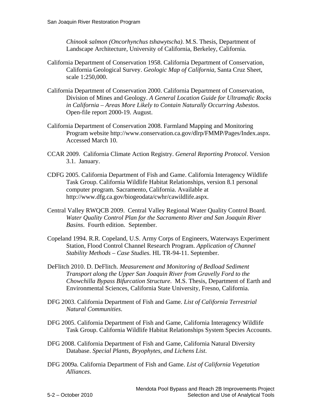*Chinook salmon (Oncorhynchus tshawytscha)*. M.S. Thesis, Department of Landscape Architecture, University of California, Berkeley, California.

- California Department of Conservation 1958. California Department of Conservation, California Geological Survey. *Geologic Map of California*, Santa Cruz Sheet, scale 1:250,000.
- California Department of Conservation 2000. California Department of Conservation, Division of Mines and Geology. *A General Location Guide for Ultramafic Rocks in California – Areas More Likely to Contain Naturally Occurring Asbestos*. Open-file report 2000-19. August.
- California Department of Conservation 2008. Farmland Mapping and Monitoring Program website http://www.conservation.ca.gov/dlrp/FMMP/Pages/Index.aspx. Accessed March 10.
- CCAR 2009. California Climate Action Registry. *General Reporting Protocol*. Version 3.1. January.
- CDFG 2005. California Department of Fish and Game. California Interagency Wildlife Task Group. California Wildlife Habitat Relationships, version 8.1 personal computer program. Sacramento, California. Available at http://www.dfg.ca.gov/biogeodata/cwhr/cawildlife.aspx.
- Central Valley RWQCB 2009. Central Valley Regional Water Quality Control Board. *Water Quality Control Plan for the Sacramento River and San Joaquin River Basins*. Fourth edition. September.
- Copeland 1994. R.R. Copeland, U.S. Army Corps of Engineers, Waterways Experiment Station, Flood Control Channel Research Program. *Application of Channel Stability Methods – Case Studies.* HL TR-94-11. September.
- DeFlitch 2010. D. DeFlitch. *Measurement and Monitoring of Bedload Sediment Transport along the Upper San Joaquin River from Gravelly Ford to the Chowchilla Bypass Bifurcation Structure*. M.S. Thesis, Department of Earth and Environmental Sciences, California State University, Fresno, California.
- DFG 2003. California Department of Fish and Game. *List of California Terrestrial Natural Communities*.
- DFG 2005. California Department of Fish and Game, California Interagency Wildlife Task Group. California Wildlife Habitat Relationships System Species Accounts.
- DFG 2008. California Department of Fish and Game, California Natural Diversity Database. *Special Plants, Bryophytes, and Lichens List*.
- DFG 2009a. California Department of Fish and Game. *List of California Vegetation Alliances*.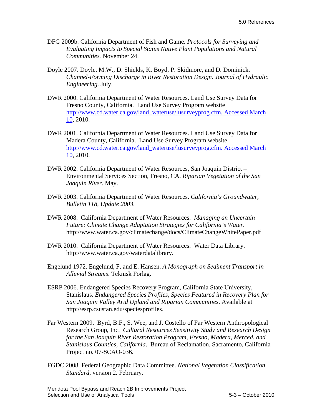- DFG 2009b. California Department of Fish and Game. *Protocols for Surveying and Evaluating Impacts to Special Status Native Plant Populations and Natural Communities.* November 24.
- Doyle 2007. Doyle, M.W., D. Shields, K. Boyd, P. Skidmore, and D. Dominick. *Channel-Forming Discharge in River Restoration Design*. *Journal of Hydraulic Engineering*. July.
- DWR 2000. California Department of Water Resources. Land Use Survey Data for Fresno County, California. Land Use Survey Program website [http://www.cd.water.ca.gov/land\\_wateruse/lusurveyprog.cfm. Accessed March](http://www.cd.water.ca.gov/land_wateruse/lusurveyprog.cfm. Accessed March 10)  [10,](http://www.cd.water.ca.gov/land_wateruse/lusurveyprog.cfm. Accessed March 10) 2010.
- DWR 2001. California Department of Water Resources. Land Use Survey Data for Madera County, California. Land Use Survey Program website [http://www.cd.water.ca.gov/land\\_wateruse/lusurveyprog.cfm. Accessed March](http://www.cd.water.ca.gov/land_wateruse/lusurveyprog.cfm. Accessed March 10)  [10,](http://www.cd.water.ca.gov/land_wateruse/lusurveyprog.cfm. Accessed March 10) 2010.
- DWR 2002. California Department of Water Resources, San Joaquin District Environmental Services Section, Fresno, CA. *Riparian Vegetation of the San Joaquin River*. May.
- DWR 2003. California Department of Water Resources. *California's Groundwater, Bulletin 118, Update 2003*.
- DWR 2008. California Department of Water Resources. *Managing an Uncertain Future: Climate Change Adaptation Strategies for California's Water*. http://www.water.ca.gov/climatechange/docs/ClimateChangeWhitePaper.pdf
- DWR 2010. California Department of Water Resources. Water Data Library. http://www.water.ca.gov/waterdatalibrary.
- Engelund 1972. Engelund, F. and E. Hansen. *A Monograph on Sediment Transport in Alluvial Streams*. Teknisk Forlag.
- ESRP 2006. Endangered Species Recovery Program, California State University, Stanislaus. *Endangered Species Profiles, Species Featured in Recovery Plan for San Joaquin Valley Arid Upland and Riparian Communities*. Available at http://esrp.csustan.edu/speciesprofiles.
- Far Western 2009. Byrd, B.F., S. Wee, and J. Costello of Far Western Anthropological Research Group, Inc. *Cultural Resources Sensitivity Study and Research Design for the San Joaquin River Restoration Program, Fresno, Madera, Merced, and Stanislaus Counties, California*. Bureau of Reclamation, Sacramento, California Project no. 07-SCAO-036.
- FGDC 2008. Federal Geographic Data Committee. *National Vegetation Classification Standard*, version 2. February.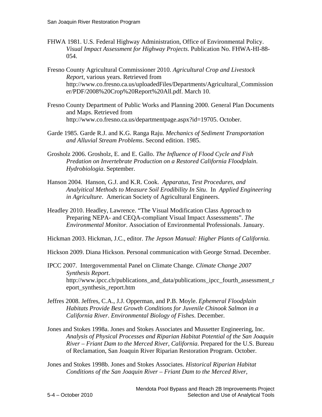- FHWA 1981. U.S. Federal Highway Administration, Office of Environmental Policy. *Visual Impact Assessment for Highway Projects*. Publication No. FHWA-HI-88- 054.
- Fresno County Agricultural Commissioner 2010. *Agricultural Crop and Livestock Report*, various years. Retrieved from http://www.co.fresno.ca.us/uploadedFiles/Departments/Agricultural\_Commission er/PDF/2008%20Crop%20Report%20All.pdf. March 10.
- Fresno County Department of Public Works and Planning 2000. General Plan Documents and Maps. Retrieved from http://www.co.fresno.ca.us/departmentpage.aspx?id=19705. October.
- Garde 1985. Garde R.J. and K.G. Ranga Raju. *Mechanics of Sediment Transportation and Alluvial Stream Problems*. Second edition. 1985.
- Grosholz 2006. Grosholz, E. and E. Gallo. *The Influence of Flood Cycle and Fish Predation on Invertebrate Production on a Restored California Floodplain*. *Hydrobiologia*. September.
- Hanson 2004. Hanson, G.J. and K.R. Cook. *Apparatus, Test Procedures, and Analyitical Methods to Measure Soil Erodibility In Situ*. In *Applied Engineering in Agriculture*. American Society of Agricultural Engineers.
- Headley 2010. Headley, Lawrence. "The Visual Modification Class Approach to Preparing NEPA- and CEQA-compliant Visual Impact Assessments". *The Environmental Monitor*. Association of Environmental Professionals. January.

Hickman 2003. Hickman, J.C., editor. *The Jepson Manual: Higher Plants of California.*

Hickson 2009. Diana Hickson. Personal communication with George Strnad. December.

- IPCC 2007. Intergovernmental Panel on Climate Change. *Climate Change 2007 Synthesis Report*. http://www.ipcc.ch/publications\_and\_data/publications\_ipcc\_fourth\_assessment\_r eport\_synthesis\_report.htm
- Jeffres 2008. Jeffres, C.A., J.J. Opperman, and P.B. Moyle. *Ephemeral Floodplain Habitats Provide Best Growth Conditions for Juvenile Chinook Salmon in a California River*. *Environmental Biology of Fishes*. December.
- Jones and Stokes 1998a. Jones and Stokes Associates and Mussetter Engineering, Inc. *Analysis of Physical Processes and Riparian Habitat Potential of the San Joaquin River – Friant Dam to the Merced River, California*. Prepared for the U.S. Bureau of Reclamation, San Joaquin River Riparian Restoration Program. October.
- Jones and Stokes 1998b. Jones and Stokes Associates. *Historical Riparian Habitat Conditions of the San Joaquin River – Friant Dam to the Merced River,*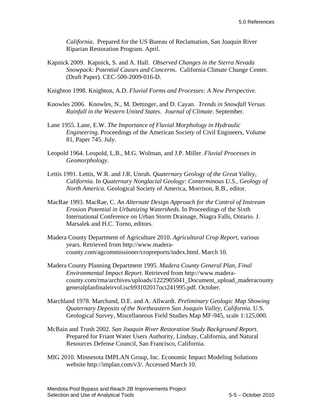*California*. Prepared for the US Bureau of Reclamation, San Joaquin River Riparian Restoration Program. April.

Kapnick 2009. Kapnick, S. and A. Hall. *Observed Changes in the Sierra Nevada Snowpack: Potential Causes and Concerns*. California Climate Change Center. (Draft Paper). CEC-500-2009-016-D.

Knighton 1998. Knighton, A.D. *Fluvial Forms and Processes: A New Perspective*.

- Knowles 2006. Knowles, N., M. Dettinger, and D. Cayan. *Trends in Snowfall Versus Rainfall in the Western United States*. *Journal of Climate*. September.
- Lane 1955. Lane, E.W. *The Importance of Fluvial Morphology in Hydraulic Engineering*. Proceedings of the American Society of Civil Engineers, Volume 81, Paper 745. July.
- Leopold 1964. Leopold, L.B., M.G. Wolman, and J.P. Miller. *Fluvial Processes in Geomorphology*.
- Lettis 1991. Lettis, W.R. and J.R. Unruh. *Quaternary Geology of the Great Valley, California*. In *Quaternary Nonglacial Geology: Conterminous U.S., Geology of North America*. Geological Society of America, Morrison, R.B., editor.
- MacRae 1993. MacRae, C. *An Alternate Design Approach for the Control of Instream Erosion Potential in Urbanizing Watersheds*. In Proceedings of the Sixth International Conference on Urban Storm Drainage, Niagra Falls, Ontario. J. Marsalek and H.C. Torno, editors.
- Madera County Department of Agriculture 2010. *Agricultural Crop Report*, various years. Retrieved from http://www.maderacounty.com/agcommissioner/cropreports/index.html. March 10.
- Madera County Planning Department 1995. *Madera County General Plan, Final Environmental Impact Report*. Retrieved from http://www.maderacounty.com/rma/archives/uploads/1222905041\_Document\_upload\_maderacounty generalplanfinaleirvol.isch93102017oct241995.pdf. October.
- Marchland 1978. Marchand, D.E. and A. Allwardt. *Preliminary Geologic Map Showing Quaternary Deposits of the Northeastern San Joaquin Valley, California*. U.S. Geological Survey, Miscellaneous Field Studies Map MF-945, scale 1:125,000.
- McBain and Trush 2002. *San Joaquin River Restoration Study Background Report*. Prepared for Friant Water Users Authority, Lindsay, California, and Natural Resources Defense Council, San Francisco, California.
- MIG 2010. Minnesota IMPLAN Group, Inc. Economic Impact Modeling Solutions website http://implan.com/v3/. Accessed March 10.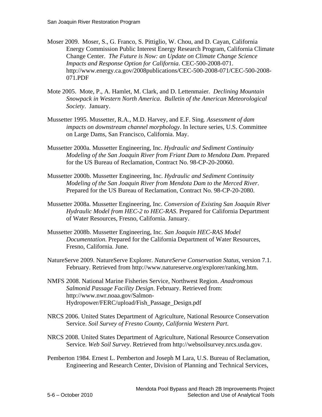- Moser 2009. Moser, S., G. Franco, S. Pittiglio, W. Chou, and D. Cayan, California Energy Commission Public Interest Energy Research Program, California Climate Change Center. *The Future is Now: an Update on Climate Change Science Impacts and Response Option for California*. CEC-500-2008-071. http://www.energy.ca.gov/2008publications/CEC-500-2008-071/CEC-500-2008- 071.PDF
- Mote 2005. Mote, P., A. Hamlet, M. Clark, and D. Lettenmaier. *Declining Mountain Snowpack in Western North America*. *Bulletin of the American Meteorological Society*. January.
- Mussetter 1995. Mussetter, R.A., M.D. Harvey, and E.F. Sing. *Assessment of dam impacts on downstream channel morphology*. In lecture series, U.S. Committee on Large Dams, San Francisco, California. May.
- Mussetter 2000a. Mussetter Engineering, Inc. *Hydraulic and Sediment Continuity Modeling of the San Joaquin River from Friant Dam to Mendota Dam*. Prepared for the US Bureau of Reclamation, Contract No. 98-CP-20-20060.
- Mussetter 2000b. Mussetter Engineering, Inc. *Hydraulic and Sediment Continuity Modeling of the San Joaquin River from Mendota Dam to the Merced River*. Prepared for the US Bureau of Reclamation, Contract No. 98-CP-20-2080.
- Mussetter 2008a. Mussetter Engineering, Inc. *Conversion of Existing San Joaquin River Hydraulic Model from HEC-2 to HEC-RAS*. Prepared for California Department of Water Resources, Fresno, California. January.
- Mussetter 2008b. Mussetter Engineering, Inc. *San Joaquin HEC-RAS Model Documentation*. Prepared for the California Department of Water Resources, Fresno, California. June.
- NatureServe 2009. NatureServe Explorer. *NatureServe Conservation Status*, version 7.1. February. Retrieved from http://www.natureserve.org/explorer/ranking.htm.
- NMFS 2008. National Marine Fisheries Service, Northwest Region. *Anadromous Salmonid Passage Facility Design*. February. Retrieved from: http://www.nwr.noaa.gov/Salmon-Hydropower/FERC/upload/Fish\_Passage\_Design.pdf
- NRCS 2006. United States Department of Agriculture, National Resource Conservation Service. *Soil Survey of Fresno County, California Western Part*.
- NRCS 2008. United States Department of Agriculture, National Resource Conservation Service. *Web Soil Survey*. Retrieved from http://websoilsurvey.nrcs.usda.gov.
- Pemberton 1984. Ernest L. Pemberton and Joseph M Lara, U.S. Bureau of Reclamation, Engineering and Research Center, Division of Planning and Technical Services,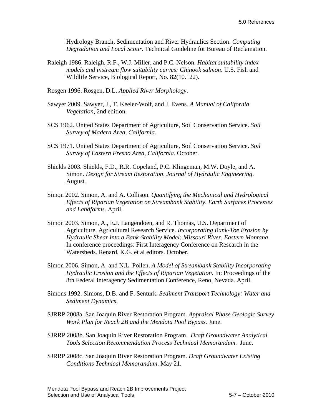Hydrology Branch, Sedimentation and River Hydraulics Section. *Computing Degradation and Local Scour*. Technical Guideline for Bureau of Reclamation.

Raleigh 1986. Raleigh, R.F., W.J. Miller, and P.C. Nelson. *Habitat suitability index models and instream flow suitability curves: Chinook salmon*. U.S. Fish and Wildlife Service, Biological Report, No. 82(10.122).

Rosgen 1996. Rosgen, D.L. *Applied River Morphology*.

- Sawyer 2009. Sawyer, J., T. Keeler-Wolf, and J. Evens. *A Manual of California Vegetation*, 2nd edition.
- SCS 1962. United States Department of Agriculture, Soil Conservation Service. *Soil Survey of Madera Area, California.*
- SCS 1971. United States Department of Agriculture, Soil Conservation Service. *Soil Survey of Eastern Fresno Area, California.* October.
- Shields 2003. Shields, F.D., R.R. Copeland, P.C. Klingeman, M.W. Doyle, and A. Simon. *Design for Stream Restoration*. *Journal of Hydraulic Engineering*. August.
- Simon 2002. Simon, A. and A. Collison. *Quantifying the Mechanical and Hydrological Effects of Riparian Vegetation on Streambank Stability*. *Earth Surfaces Processes and Landforms*. April.
- Simon 2003. Simon, A., E.J. Langendoen, and R. Thomas, U.S. Department of Agriculture, Agricultural Research Service. *Incorporating Bank-Toe Erosion by Hydraulic Shear into a Bank-Stability Model: Missouri River, Eastern Montana*. In conference proceedings: First Interagency Conference on Research in the Watersheds. Renard, K.G. et al editors. October.
- Simon 2006. Simon, A. and N.L. Pollen. *A Model of Streambank Stability Incorporating Hydraulic Erosion and the Effects of Riparian Vegetation.* In: Proceedings of the 8th Federal Interagency Sedimentation Conference, Reno, Nevada. April.
- Simons 1992. Simons, D.B. and F. Senturk. *Sediment Transport Technology: Water and Sediment Dynamics*.
- SJRRP 2008a. San Joaquin River Restoration Program. *Appraisal Phase Geologic Survey Work Plan for Reach 2B and the Mendota Pool Bypass*. June.
- SJRRP 2008b. San Joaquin River Restoration Program. *Draft Groundwater Analytical Tools Selection Recommendation Process Technical Memorandum*. June.
- SJRRP 2008c. San Joaquin River Restoration Program. *Draft Groundwater Existing Conditions Technical Memorandum*. May 21.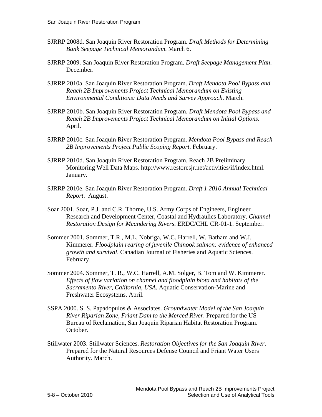- SJRRP 2008d. San Joaquin River Restoration Program. *Draft Methods for Determining Bank Seepage Technical Memorandum*. March 6.
- SJRRP 2009. San Joaquin River Restoration Program. *Draft Seepage Management Plan*. December.
- SJRRP 2010a. San Joaquin River Restoration Program. *Draft Mendota Pool Bypass and Reach 2B Improvements Project Technical Memorandum on Existing Environmental Conditions: Data Needs and Survey Approach*. March.
- SJRRP 2010b. San Joaquin River Restoration Program. *Draft Mendota Pool Bypass and Reach 2B Improvements Project Technical Memorandum on Initial Options*. April.
- SJRRP 2010c. San Joaquin River Restoration Program. *Mendota Pool Bypass and Reach 2B Improvements Project Public Scoping Report*. February.
- SJRRP 2010d. San Joaquin River Restoration Program. Reach 2B Preliminary Monitoring Well Data Maps. http://www.restoresjr.net/activities/if/index.html. January.
- SJRRP 2010e. San Joaquin River Restoration Program. *Draft 1 2010 Annual Technical Report*. August.
- Soar 2001. Soar, P.J. and C.R. Thorne, U.S. Army Corps of Engineers, Engineer Research and Development Center, Coastal and Hydraulics Laboratory. *Channel Restoration Design for Meandering Rivers*. ERDC/CHL CR-01-1. September.
- Sommer 2001. Sommer, T.R., M.L. Nobriga, W.C. Harrell, W. Batham and W.J. Kimmerer. *Floodplain rearing of juvenile Chinook salmon: evidence of enhanced growth and survival*. Canadian Journal of Fisheries and Aquatic Sciences. February.
- Sommer 2004. Sommer, T. R., W.C. Harrell, A.M. Solger, B. Tom and W. Kimmerer. *Effects of flow variation on channel and floodplain biota and habitats of the Sacramento River, California, USA*. Aquatic Conservation-Marine and Freshwater Ecosystems. April.
- SSPA 2000. S. S. Papadopulos & Associates. *Groundwater Model of the San Joaquin River Riparian Zone, Friant Dam to the Merced River*. Prepared for the US Bureau of Reclamation, San Joaquin Riparian Habitat Restoration Program. October.
- Stillwater 2003. Stillwater Sciences. *Restoration Objectives for the San Joaquin River*. Prepared for the Natural Resources Defense Council and Friant Water Users Authority. March.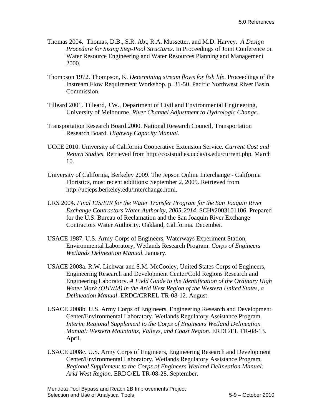- Thomas 2004. Thomas, D.B., S.R. Abt, R.A. Mussetter, and M.D. Harvey. *A Design Procedure for Sizing Step-Pool Structures*. In Proceedings of Joint Conference on Water Resource Engineering and Water Resources Planning and Management 2000.
- Thompson 1972. Thompson, K. *Determining stream flows for fish life*. Proceedings of the Instream Flow Requirement Workshop. p. 31-50. Pacific Northwest River Basin Commission.
- Tilleard 2001. Tilleard, J.W., Department of Civil and Environmental Engineering, University of Melbourne. *River Channel Adjustment to Hydrologic Change*.
- Transportation Research Board 2000. National Research Council, Transportation Research Board. *Highway Capacity Manual*.
- UCCE 2010. University of California Cooperative Extension Service. *Current Cost and Return Studies*. Retrieved from http://coststudies.ucdavis.edu/current.php. March 10.
- University of California, Berkeley 2009. The Jepson Online Interchange California Floristics, most recent additions: September 2, 2009. Retrieved from http://ucjeps.berkeley.edu/interchange.html.
- URS 2004. *Final EIS/EIR for the Water Transfer Program for the San Joaquin River Exchange Contractors Water Authority, 2005-2014*. SCH#2003101106. Prepared for the U.S. Bureau of Reclamation and the San Joaquin River Exchange Contractors Water Authority. Oakland, California. December.
- USACE 1987. U.S. Army Corps of Engineers, Waterways Experiment Station, Environmental Laboratory, Wetlands Research Program. *Corps of Engineers Wetlands Delineation Manual.* January.
- USACE 2008a. R.W. Lichwar and S.M. McCooley, United States Corps of Engineers, Engineering Research and Development Center/Cold Regions Research and Engineering Laboratory. *A Field Guide to the Identification of the Ordinary High Water Mark (OHWM) in the Arid West Region of the Western United States, a Delineation Manual*. ERDC/CRREL TR-08-12. August.
- USACE 2008b. U.S. Army Corps of Engineers, Engineering Research and Development Center/Environmental Laboratory, Wetlands Regulatory Assistance Program. *Interim Regional Supplement to the Corps of Engineers Wetland Delineation Manual: Western Mountains, Valleys, and Coast Region*. ERDC/EL TR-08-13. April.
- USACE 2008c. U.S. Army Corps of Engineers, Engineering Research and Development Center/Environmental Laboratory, Wetlands Regulatory Assistance Program. *Regional Supplement to the Corps of Engineers Wetland Delineation Manual: Arid West Region*. ERDC/EL TR-08-28. September.